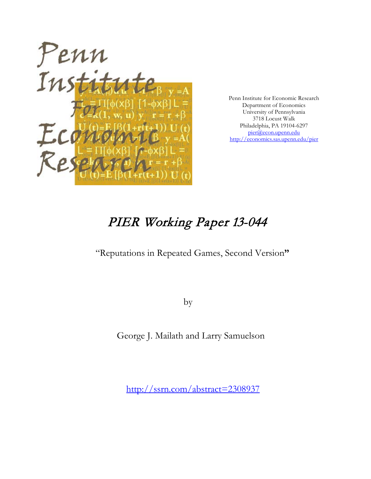

Penn Institute for Economic Research Department of Economics University of Pennsylvania 3718 Locust Walk Philadelphia, PA 19104-6297 [pier@econ.upenn.edu](mailto:pier@econ.upenn.edu) <http://economics.sas.upenn.edu/pier>

# PIER Working Paper 13-044

"Reputations in Repeated Games, Second Version**"**

by

George J. Mailath and Larry Samuelson

[http://ssrn.com/abstract=2](http://ssrn.com/abstract_id=)308937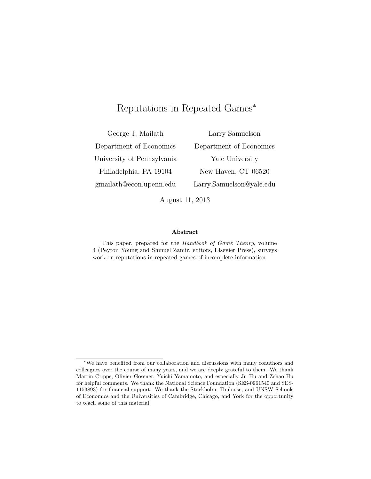# Reputations in Repeated Games<sup>∗</sup>

George J. Mailath Department of Economics University of Pennsylvania Philadelphia, PA 19104 gmailath@econ.upenn.edu

Larry Samuelson Department of Economics Yale University New Haven, CT 06520 Larry.Samuelson@yale.edu

August 11, 2013

#### Abstract

This paper, prepared for the Handbook of Game Theory, volume 4 (Peyton Young and Shmuel Zamir, editors, Elsevier Press), surveys work on reputations in repeated games of incomplete information.

<sup>∗</sup>We have benefited from our collaboration and discussions with many coauthors and colleagues over the course of many years, and we are deeply grateful to them. We thank Martin Cripps, Olivier Gossner, Yuichi Yamamoto, and especially Ju Hu and Zehao Hu for helpful comments. We thank the National Science Foundation (SES-0961540 and SES-1153893) for financial support. We thank the Stockholm, Toulouse, and UNSW Schools of Economics and the Universities of Cambridge, Chicago, and York for the opportunity to teach some of this material.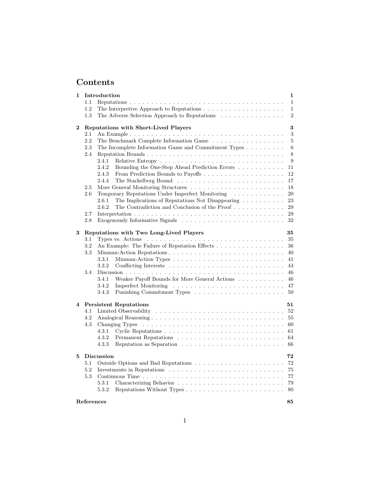## Contents

| 1        |                                     | Introduction<br>1                                                                                    |                |  |  |  |
|----------|-------------------------------------|------------------------------------------------------------------------------------------------------|----------------|--|--|--|
|          | 1.1                                 |                                                                                                      | $\mathbf{1}$   |  |  |  |
|          | 1.2                                 | The Interpretive Approach to Reputations $\dots \dots \dots \dots \dots \dots \dots$                 | $\mathbf{1}$   |  |  |  |
|          | 1.3                                 | The Adverse Selection Approach to Reputations                                                        | $\overline{2}$ |  |  |  |
|          |                                     |                                                                                                      |                |  |  |  |
| $\bf{2}$ |                                     | <b>Reputations with Short-Lived Players</b><br>3                                                     |                |  |  |  |
|          | 2.1                                 |                                                                                                      | 3              |  |  |  |
|          | 2.2                                 | The Benchmark Complete Information Game                                                              | $\bf 5$        |  |  |  |
|          | 2.3                                 | The Incomplete Information Game and Commitment Types $\ldots \ldots \ldots$                          | $\,$ 6 $\,$    |  |  |  |
|          | 2.4                                 |                                                                                                      | 8              |  |  |  |
|          |                                     | 2.4.1                                                                                                | 9              |  |  |  |
|          |                                     | 2.4.2<br>Bounding the One-Step Ahead Prediction Errors                                               | 11             |  |  |  |
|          |                                     | From Prediction Bounds to Payoffs<br>2.4.3                                                           | 12             |  |  |  |
|          |                                     | 2.4.4                                                                                                | 17             |  |  |  |
|          |                                     |                                                                                                      |                |  |  |  |
|          | $2.5\,$                             |                                                                                                      | 18             |  |  |  |
|          | 2.6                                 | Temporary Reputations Under Imperfect Monitoring                                                     | 20             |  |  |  |
|          |                                     | 2.6.1<br>The Implications of Reputations Not Disappearing $\ldots \ldots \ldots$                     | 23             |  |  |  |
|          |                                     | The Contradiction and Conclusion of the Proof $\dots \dots \dots \dots$<br>2.6.2                     | 29             |  |  |  |
|          | 2.7                                 |                                                                                                      | 29             |  |  |  |
|          | 2.8                                 |                                                                                                      | 32             |  |  |  |
|          |                                     |                                                                                                      |                |  |  |  |
| 3        |                                     | Reputations with Two Long-Lived Players                                                              | 35             |  |  |  |
|          | 3.1                                 | Types vs. Actions $\ldots \ldots \ldots \ldots \ldots \ldots \ldots \ldots \ldots \ldots \ldots$     | 35             |  |  |  |
|          | $3.2\,$                             | An Example: The Failure of Reputation Effects                                                        | 36             |  |  |  |
|          | 3.3                                 |                                                                                                      | 40             |  |  |  |
|          |                                     | 3.3.1                                                                                                | 41             |  |  |  |
|          |                                     | 3.3.2                                                                                                | 44             |  |  |  |
|          | 3.4                                 |                                                                                                      | 46             |  |  |  |
|          |                                     | 3.4.1<br>Weaker Payoff Bounds for More General Actions                                               | 46             |  |  |  |
|          |                                     | 3.4.2                                                                                                | 47             |  |  |  |
|          |                                     | 3.4.3                                                                                                | 50             |  |  |  |
|          |                                     |                                                                                                      |                |  |  |  |
| 4        | <b>Persistent Reputations</b><br>51 |                                                                                                      |                |  |  |  |
|          | 4.1                                 |                                                                                                      | 52             |  |  |  |
|          | 4.2                                 |                                                                                                      | 55             |  |  |  |
|          | 4.3                                 | Changing Types $\ldots \ldots \ldots \ldots \ldots \ldots \ldots \ldots \ldots \ldots \ldots \ldots$ | 60             |  |  |  |
|          |                                     | 4.3.1                                                                                                | 61             |  |  |  |
|          |                                     | 4.3.2                                                                                                | 64             |  |  |  |
|          |                                     |                                                                                                      |                |  |  |  |
|          |                                     | Reputation as Separation $\ldots \ldots \ldots \ldots \ldots \ldots \ldots \ldots$<br>4.3.3          | 66             |  |  |  |
| 5        |                                     | <b>Discussion</b>                                                                                    | 72             |  |  |  |
|          | 5.1                                 |                                                                                                      | 72             |  |  |  |
|          |                                     |                                                                                                      |                |  |  |  |
|          | 5.2                                 |                                                                                                      | 75             |  |  |  |
|          | 5.3                                 |                                                                                                      | 77             |  |  |  |
|          |                                     | 5.3.1                                                                                                | 79             |  |  |  |
|          |                                     | 5.3.2                                                                                                | 80             |  |  |  |
|          |                                     |                                                                                                      |                |  |  |  |
|          | References<br>85                    |                                                                                                      |                |  |  |  |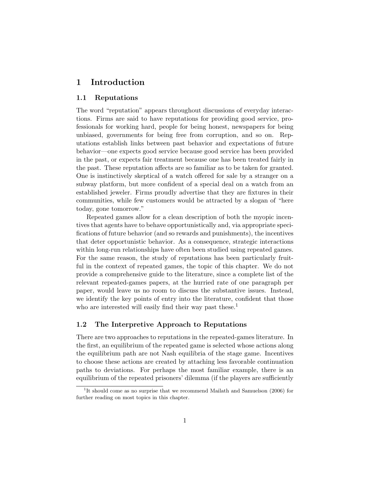### <span id="page-3-0"></span>1 Introduction

#### <span id="page-3-1"></span>1.1 Reputations

The word "reputation" appears throughout discussions of everyday interactions. Firms are said to have reputations for providing good service, professionals for working hard, people for being honest, newspapers for being unbiased, governments for being free from corruption, and so on. Reputations establish links between past behavior and expectations of future behavior—one expects good service because good service has been provided in the past, or expects fair treatment because one has been treated fairly in the past. These reputation affects are so familiar as to be taken for granted. One is instinctively skeptical of a watch offered for sale by a stranger on a subway platform, but more confident of a special deal on a watch from an established jeweler. Firms proudly advertise that they are fixtures in their communities, while few customers would be attracted by a slogan of "here today, gone tomorrow."

Repeated games allow for a clean description of both the myopic incentives that agents have to behave opportunistically and, via appropriate specifications of future behavior (and so rewards and punishments), the incentives that deter opportunistic behavior. As a consequence, strategic interactions within long-run relationships have often been studied using repeated games. For the same reason, the study of reputations has been particularly fruitful in the context of repeated games, the topic of this chapter. We do not provide a comprehensive guide to the literature, since a complete list of the relevant repeated-games papers, at the hurried rate of one paragraph per paper, would leave us no room to discuss the substantive issues. Instead, we identify the key points of entry into the literature, confident that those who are interested will easily find their way past these.<sup>[1](#page-3-3)</sup>

#### <span id="page-3-2"></span>1.2 The Interpretive Approach to Reputations

There are two approaches to reputations in the repeated-games literature. In the first, an equilibrium of the repeated game is selected whose actions along the equilibrium path are not Nash equilibria of the stage game. Incentives to choose these actions are created by attaching less favorable continuation paths to deviations. For perhaps the most familiar example, there is an equilibrium of the repeated prisoners' dilemma (if the players are sufficiently

<span id="page-3-3"></span><sup>&</sup>lt;sup>1</sup>It should come as no surprise that we recommend [Mailath and Samuelson](#page-87-0) [\(2006\)](#page-87-0) for further reading on most topics in this chapter.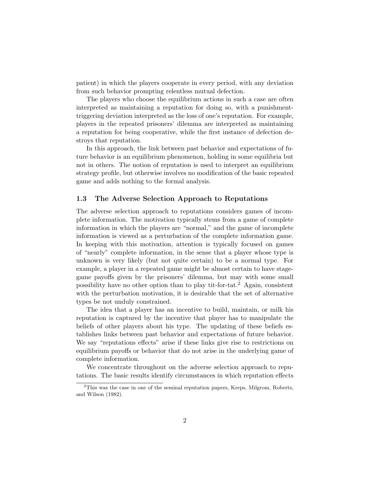patient) in which the players cooperate in every period, with any deviation from such behavior prompting relentless mutual defection.

The players who choose the equilibrium actions in such a case are often interpreted as maintaining a reputation for doing so, with a punishmenttriggering deviation interpreted as the loss of one's reputation. For example, players in the repeated prisoners' dilemma are interpreted as maintaining a reputation for being cooperative, while the first instance of defection destroys that reputation.

In this approach, the link between past behavior and expectations of future behavior is an equilibrium phenomenon, holding in some equilibria but not in others. The notion of reputation is used to interpret an equilibrium strategy profile, but otherwise involves no modification of the basic repeated game and adds nothing to the formal analysis.

#### <span id="page-4-0"></span>1.3 The Adverse Selection Approach to Reputations

The adverse selection approach to reputations considers games of incomplete information. The motivation typically stems from a game of complete information in which the players are "normal," and the game of incomplete information is viewed as a perturbation of the complete information game. In keeping with this motivation, attention is typically focused on games of "nearly" complete information, in the sense that a player whose type is unknown is very likely (but not quite certain) to be a normal type. For example, a player in a repeated game might be almost certain to have stagegame payoffs given by the prisoners' dilemma, but may with some small possibility have no other option than to play tit-for-tat.<sup>[2](#page-4-1)</sup> Again, consistent with the perturbation motivation, it is desirable that the set of alternative types be not unduly constrained.

The idea that a player has an incentive to build, maintain, or milk his reputation is captured by the incentive that player has to manipulate the beliefs of other players about his type. The updating of these beliefs establishes links between past behavior and expectations of future behavior. We say "reputations effects" arise if these links give rise to restrictions on equilibrium payoffs or behavior that do not arise in the underlying game of complete information.

We concentrate throughout on the adverse selection approach to reputations. The basic results identify circumstances in which reputation effects

<span id="page-4-1"></span> $2^2$ This was the case in one of the seminal reputation papers, [Kreps, Milgrom, Roberts,](#page-86-0) [and Wilson](#page-86-0) [\(1982\)](#page-86-0).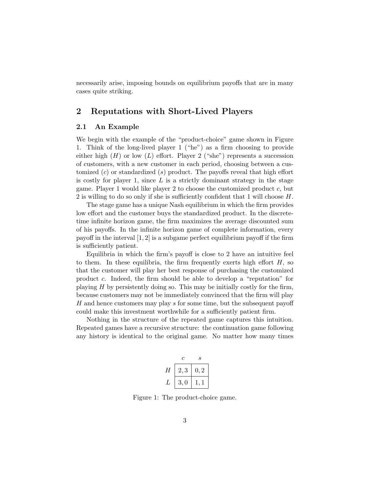necessarily arise, imposing bounds on equilibrium payoffs that are in many cases quite striking.

### <span id="page-5-0"></span>2 Reputations with Short-Lived Players

#### <span id="page-5-1"></span>2.1 An Example

We begin with the example of the "product-choice" game shown in Figure [1.](#page-5-2) Think of the long-lived player 1 ("he") as a firm choosing to provide either high  $(H)$  or low  $(L)$  effort. Player 2 ("she") represents a succession of customers, with a new customer in each period, choosing between a customized  $(c)$  or standardized  $(s)$  product. The payoffs reveal that high effort is costly for player 1, since  $L$  is a strictly dominant strategy in the stage game. Player 1 would like player 2 to choose the customized product  $c$ , but 2 is willing to do so only if she is sufficiently confident that 1 will choose H.

The stage game has a unique Nash equilibrium in which the firm provides low effort and the customer buys the standardized product. In the discretetime infinite horizon game, the firm maximizes the average discounted sum of his payoffs. In the infinite horizon game of complete information, every payoff in the interval  $[1, 2]$  is a subgame perfect equilibrium payoff if the firm is sufficiently patient.

Equilibria in which the firm's payoff is close to 2 have an intuitive feel to them. In these equilibria, the firm frequently exerts high effort  $H$ , so that the customer will play her best response of purchasing the customized product c. Indeed, the firm should be able to develop a "reputation" for playing  $H$  by persistently doing so. This may be initially costly for the firm, because customers may not be immediately convinced that the firm will play H and hence customers may play s for some time, but the subsequent payoff could make this investment worthwhile for a sufficiently patient firm.

Nothing in the structure of the repeated game captures this intuition. Repeated games have a recursive structure: the continuation game following any history is identical to the original game. No matter how many times

|    | с    | S    |
|----|------|------|
| H  | 2, 3 | 0, 2 |
| 1. | 3,0  | 1, 1 |

<span id="page-5-2"></span>Figure 1: The product-choice game.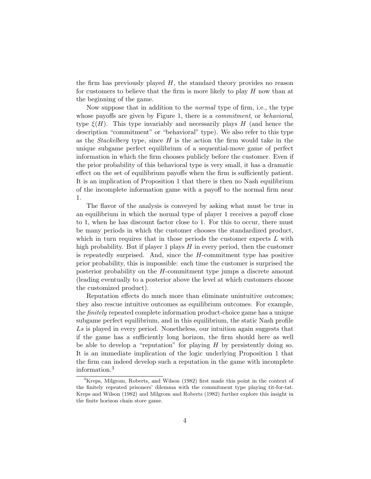the firm has previously played  $H$ , the standard theory provides no reason for customers to believe that the firm is more likely to play  $H$  now than at the beginning of the game.

Now suppose that in addition to the normal type of firm, i.e., the type whose payoffs are given by Figure [1,](#page-5-2) there is a *commitment*, or *behavioral*, type  $\xi(H)$ . This type invariably and necessarily plays H (and hence the description "commitment" or "behavioral" type). We also refer to this type as the *Stackelberg* type, since  $H$  is the action the firm would take in the unique subgame perfect equilibrium of a sequential-move game of perfect information in which the firm chooses publicly before the customer. Even if the prior probability of this behavioral type is very small, it has a dramatic effect on the set of equilibrium payoffs when the firm is sufficiently patient. It is an implication of Proposition [1](#page-15-0) that there is then no Nash equilibrium of the incomplete information game with a payoff to the normal firm near 1.

The flavor of the analysis is conveyed by asking what must be true in an equilibrium in which the normal type of player 1 receives a payoff close to 1, when he has discount factor close to 1. For this to occur, there must be many periods in which the customer chooses the standardized product, which in turn requires that in those periods the customer expects  $L$  with high probability. But if player 1 plays  $H$  in every period, then the customer is repeatedly surprised. And, since the  $H$ -commitment type has positive prior probability, this is impossible: each time the customer is surprised the posterior probability on the H-commitment type jumps a discrete amount (leading eventually to a posterior above the level at which customers choose the customized product).

Reputation effects do much more than eliminate unintuitive outcomes; they also rescue intuitive outcomes as equilibrium outcomes. For example, the *finitely* repeated complete information product-choice game has a unique subgame perfect equilibrium, and in this equilibrium, the static Nash profile Ls is played in every period. Nonetheless, our intuition again suggests that if the game has a sufficiently long horizon, the firm should here as well be able to develop a "reputation" for playing  $H$  by persistently doing so. It is an immediate implication of the logic underlying Proposition [1](#page-15-0) that the firm can indeed develop such a reputation in the game with incomplete information.[3](#page-6-0)

<span id="page-6-0"></span> ${}^{3}$ [Kreps, Milgrom, Roberts, and Wilson](#page-86-0) [\(1982\)](#page-86-0) first made this point in the context of the finitely repeated prisoners' dilemma with the commitment type playing tit-for-tat. [Kreps and Wilson](#page-86-1) [\(1982\)](#page-86-1) and [Milgrom and Roberts](#page-87-1) [\(1982\)](#page-87-1) further explore this insight in the finite horizon chain store game.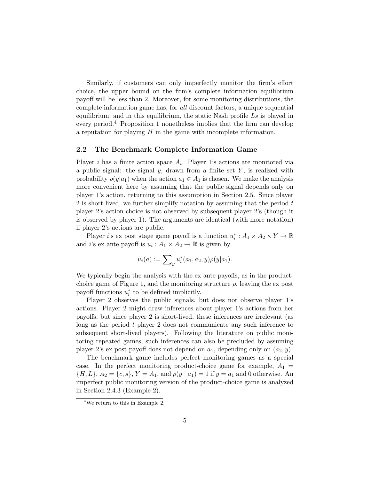Similarly, if customers can only imperfectly monitor the firm's effort choice, the upper bound on the firm's complete information equilibrium payoff will be less than 2. Moreover, for some monitoring distributions, the complete information game has, for all discount factors, a unique sequential equilibrium, and in this equilibrium, the static Nash profile Ls is played in every period.[4](#page-7-1) Proposition [1](#page-15-0) nonetheless implies that the firm can develop a reputation for playing  $H$  in the game with incomplete information.

#### <span id="page-7-0"></span>2.2 The Benchmark Complete Information Game

Player *i* has a finite action space  $A_i$ . Player 1's actions are monitored via a public signal: the signal  $y$ , drawn from a finite set  $Y$ , is realized with probability  $\rho(y|a_1)$  when the action  $a_1 \in A_1$  is chosen. We make the analysis more convenient here by assuming that the public signal depends only on player 1's action, returning to this assumption in Section [2.5.](#page-20-0) Since player 2 is short-lived, we further simplify notation by assuming that the period t player 2's action choice is not observed by subsequent player 2's (though it is observed by player 1). The arguments are identical (with more notation) if player 2's actions are public.

Player *i*'s ex post stage game payoff is a function  $u_i^*: A_1 \times A_2 \times Y \to \mathbb{R}$ and *i*'s ex ante payoff is  $u_i : A_1 \times A_2 \to \mathbb{R}$  is given by

$$
u_i(a) := \sum_{y} u_i^*(a_1, a_2, y) \rho(y|a_1).
$$

We typically begin the analysis with the ex ante payoffs, as in the product-choice game of Figure [1,](#page-5-2) and the monitoring structure  $\rho$ , leaving the ex post payoff functions  $u_i^*$  to be defined implicitly.

Player 2 observes the public signals, but does not observe player 1's actions. Player 2 might draw inferences about player 1's actions from her payoffs, but since player 2 is short-lived, these inferences are irrelevant (as long as the period t player 2 does not communicate any such inference to subsequent short-lived players). Following the literature on public monitoring repeated games, such inferences can also be precluded by assuming player 2's ex post payoff does not depend on  $a_1$ , depending only on  $(a_2, y)$ .

The benchmark game includes perfect monitoring games as a special case. In the perfect monitoring product-choice game for example,  $A_1$  =  $\{H, L\}, A_2 = \{c, s\}, Y = A_1$ , and  $\rho(y \mid a_1) = 1$  if  $y = a_1$  and 0 otherwise. An imperfect public monitoring version of the product-choice game is analyzed in Section [2.4.3](#page-14-0) (Example [2\)](#page-18-0).

<span id="page-7-1"></span><sup>4</sup>We return to this in Example [2.](#page-18-0)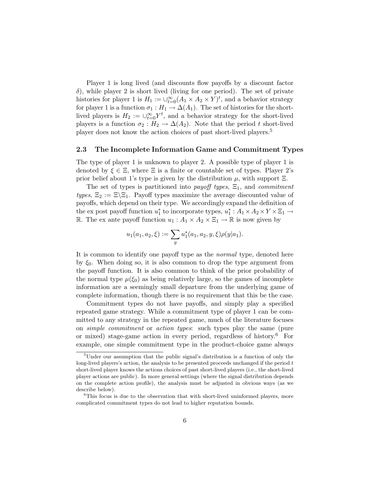Player 1 is long lived (and discounts flow payoffs by a discount factor δ), while player 2 is short lived (living for one period). The set of private histories for player 1 is  $H_1 := \bigcup_{t=0}^{\infty} (A_1 \times A_2 \times Y)^t$ , and a behavior strategy for player 1 is a function  $\sigma_1 : H_1 \to \Delta(A_1)$ . The set of histories for the shortlived players is  $H_2 := \bigcup_{t=0}^{\infty} Y^t$ , and a behavior strategy for the short-lived players is a function  $\sigma_2 : H_2 \to \Delta(A_2)$ . Note that the period t short-lived player does not know the action choices of past short-lived players.[5](#page-8-1)

#### <span id="page-8-0"></span>2.3 The Incomplete Information Game and Commitment Types

The type of player 1 is unknown to player 2. A possible type of player 1 is denoted by  $\xi \in \Xi$ , where  $\Xi$  is a finite or countable set of types. Player 2's prior belief about 1's type is given by the distribution  $\mu$ , with support  $\Xi$ .

The set of types is partitioned into payoff types,  $\Xi_1$ , and commitment types,  $\Xi_2 := \Xi \setminus \Xi_1$ . Payoff types maximize the average discounted value of payoffs, which depend on their type. We accordingly expand the definition of the ex post payoff function  $u_1^*$  to incorporate types,  $u_1^*: A_1 \times A_2 \times Y \times \Xi_1 \rightarrow$ R. The ex ante payoff function  $u_1: A_1 \times A_2 \times \Xi_1 \to \mathbb{R}$  is now given by

$$
u_1(a_1, a_2, \xi) := \sum_y u_1^*(a_1, a_2, y, \xi) \rho(y|a_1).
$$

It is common to identify one payoff type as the normal type, denoted here by  $\xi_0$ . When doing so, it is also common to drop the type argument from the payoff function. It is also common to think of the prior probability of the normal type  $\mu(\xi_0)$  as being relatively large, so the games of incomplete information are a seemingly small departure from the underlying game of complete information, though there is no requirement that this be the case.

Commitment types do not have payoffs, and simply play a specified repeated game strategy. While a commitment type of player 1 can be committed to any strategy in the repeated game, much of the literature focuses on simple commitment or action types: such types play the same (pure or mixed) stage-game action in every period, regardless of history.<sup>[6](#page-8-2)</sup> For example, one simple commitment type in the product-choice game always

<span id="page-8-1"></span><sup>&</sup>lt;sup>5</sup>Under our assumption that the public signal's distribution is a function of only the long-lived players's action, the analysis to be presented proceeds unchanged if the period  $t$ short-lived player knows the actions choices of past short-lived players (i.e., the short-lived player actions are public). In more general settings (where the signal distribution depends on the complete action profile), the analysis must be adjusted in obvious ways (as we describe below).

<span id="page-8-2"></span><sup>&</sup>lt;sup>6</sup>This focus is due to the observation that with short-lived uninformed players, more complicated commitment types do not lead to higher reputation bounds.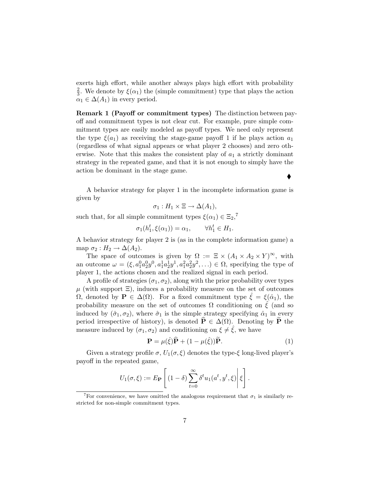exerts high effort, while another always plays high effort with probability 2  $\frac{2}{3}$ . We denote by  $\xi(\alpha_1)$  the (simple commitment) type that plays the action  $\alpha_1 \in \Delta(A_1)$  in every period.

Remark 1 (Payoff or commitment types) The distinction between payoff and commitment types is not clear cut. For example, pure simple commitment types are easily modeled as payoff types. We need only represent the type  $\xi(a_1)$  as receiving the stage-game payoff 1 if he plays action  $a_1$ (regardless of what signal appears or what player 2 chooses) and zero otherwise. Note that this makes the consistent play of  $a_1$  a strictly dominant strategy in the repeated game, and that it is not enough to simply have the action be dominant in the stage game. ♦

A behavior strategy for player 1 in the incomplete information game is given by

$$
\sigma_1: H_1 \times \Xi \to \Delta(A_1),
$$

such that, for all simple commitment types  $\xi(\alpha_1) \in \Xi_2$ ,<sup>[7](#page-9-0)</sup>

$$
\sigma_1(h_1^t, \xi(\alpha_1)) = \alpha_1, \qquad \forall h_1^t \in H_1.
$$

A behavior strategy for player 2 is (as in the complete information game) a map  $\sigma_2: H_2 \to \Delta(A_2)$ .

The space of outcomes is given by  $\Omega := \Xi \times (A_1 \times A_2 \times Y)^\infty$ , with an outcome  $\omega = (\xi, a_1^0 a_2^0 y^0, a_1^1 a_2^1 y^1, a_1^2 a_2^2 y^2, \ldots) \in \Omega$ , specifying the type of player 1, the actions chosen and the realized signal in each period.

A profile of strategies  $(\sigma_1, \sigma_2)$ , along with the prior probability over types  $\mu$  (with support  $\Xi$ ), induces a probability measure on the set of outcomes  $Ω$ , denoted by  $P \in Δ(Ω)$ . For a fixed commitment type  $\hat{\xi} = \xi(\hat{\alpha}_1)$ , the probability measure on the set of outcomes  $\Omega$  conditioning on  $\xi$  (and so induced by  $(\hat{\sigma}_1, \sigma_2)$ , where  $\hat{\sigma}_1$  is the simple strategy specifying  $\hat{\alpha}_1$  in every period irrespective of history), is denoted  $\mathbf{P} \in \Delta(\Omega)$ . Denoting by P the measure induced by  $(\sigma_1, \sigma_2)$  and conditioning on  $\xi \neq \hat{\xi}$ , we have

<span id="page-9-1"></span>
$$
\mathbf{P} = \mu(\hat{\xi})\widehat{\mathbf{P}} + (1 - \mu(\hat{\xi}))\widetilde{\mathbf{P}}.
$$
 (1)

Given a strategy profile  $\sigma$ ,  $U_1(\sigma,\xi)$  denotes the type- $\xi$  long-lived player's payoff in the repeated game,

$$
U_1(\sigma,\xi) := E_{\mathbf{P}}\left[ (1-\delta) \sum_{t=0}^{\infty} \delta^t u_1(a^t, y^t, \xi) \middle| \xi \right].
$$

<span id="page-9-0"></span><sup>&</sup>lt;sup>7</sup>For convenience, we have omitted the analogous requirement that  $\sigma_1$  is similarly restricted for non-simple commitment types.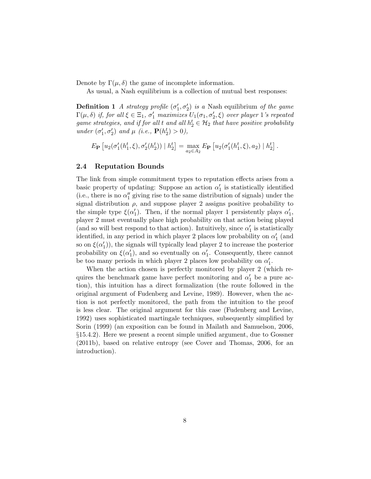Denote by  $\Gamma(\mu,\delta)$  the game of incomplete information.

As usual, a Nash equilibrium is a collection of mutual best responses:

**Definition 1** A strategy profile  $(\sigma'_1, \sigma'_2)$  is a Nash equilibrium of the game  $\Gamma(\mu,\delta)$  if, for all  $\xi \in \Xi_1$ ,  $\sigma'_1$  maximizes  $U_1(\sigma_1,\sigma'_2,\xi)$  over player 1's repeated game strategies, and if for all t and all  $h_2^t \in \mathcal{H}_2$  that have positive probability under  $(\sigma'_1, \sigma'_2)$  and  $\mu$  (i.e.,  $\mathbf{P}(h_2^t) > 0$ ),

$$
E_{\mathbf{P}}\left[u_2(\sigma'_1(h_1^t,\xi),\sigma'_2(h_2^t))\mid h_2^t\right] = \max_{a_2 \in A_2} E_{\mathbf{P}}\left[u_2(\sigma'_1(h_1^t,\xi),a_2)\mid h_2^t\right].
$$

#### <span id="page-10-0"></span>2.4 Reputation Bounds

The link from simple commitment types to reputation effects arises from a basic property of updating: Suppose an action  $\alpha'_1$  is statistically identified (i.e., there is no  $\alpha''_1$  giving rise to the same distribution of signals) under the signal distribution  $\rho$ , and suppose player 2 assigns positive probability to the simple type  $\xi(\alpha'_1)$ . Then, if the normal player 1 persistently plays  $\alpha'_1$ , player 2 must eventually place high probability on that action being played (and so will best respond to that action). Intuitively, since  $\alpha'_1$  is statistically identified, in any period in which player 2 places low probability on  $\alpha_1'$  (and so on  $\xi(\alpha_1')$ ), the signals will typically lead player 2 to increase the posterior probability on  $\xi(\alpha'_1)$ , and so eventually on  $\alpha'_1$ . Consequently, there cannot be too many periods in which player 2 places low probability on  $\alpha'_1$ .

When the action chosen is perfectly monitored by player 2 (which requires the benchmark game have perfect monitoring and  $\alpha'_1$  be a pure action), this intuition has a direct formalization (the route followed in the original argument of [Fudenberg and Levine, 1989\)](#page-85-0). However, when the action is not perfectly monitored, the path from the intuition to the proof is less clear. The original argument for this case [\(Fudenberg and Levine,](#page-85-1) [1992\)](#page-85-1) uses sophisticated martingale techniques, subsequently simplified by [Sorin \(1999\)](#page-87-2) (an exposition can be found in [Mailath and Samuelson, 2006,](#page-87-0) §15.4.2). Here we present a recent simple unified argument, due to [Gossner](#page-86-2) [\(2011b\)](#page-86-2), based on relative entropy (see [Cover and Thomas, 2006,](#page-84-0) for an introduction).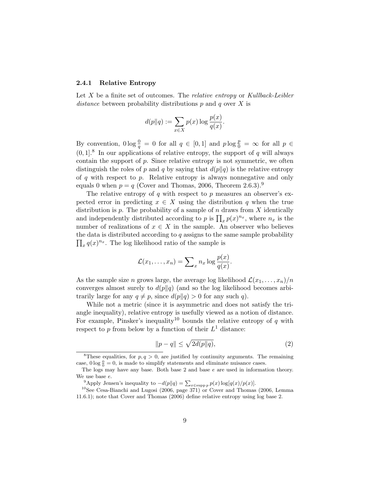#### <span id="page-11-0"></span>2.4.1 Relative Entropy

Let  $X$  be a finite set of outcomes. The *relative entropy* or Kullback-Leibler distance between probability distributions  $p$  and  $q$  over  $X$  is

$$
d(p||q) := \sum_{x \in X} p(x) \log \frac{p(x)}{q(x)}.
$$

By convention,  $0\log\frac{0}{q} = 0$  for all  $q \in [0,1]$  and  $p\log\frac{p}{0} = \infty$  for all  $p \in$  $(0, 1]$ .<sup>[8](#page-11-1)</sup> In our applications of relative entropy, the support of q will always contain the support of  $p$ . Since relative entropy is not symmetric, we often distinguish the roles of p and q by saying that  $d(p||q)$  is the relative entropy of  $q$  with respect to  $p$ . Relative entropy is always nonnegative and only equals 0 when  $p = q$  [\(Cover and Thomas, 2006,](#page-84-0) Theorem 2.6.3).<sup>[9](#page-11-2)</sup>

The relative entropy of q with respect to  $p$  measures an observer's expected error in predicting  $x \in X$  using the distribution q when the true distribution is p. The probability of a sample of n draws from  $X$  identically and independently distributed according to p is  $\prod_x p(x)^{n_x}$ , where  $n_x$  is the number of realizations of  $x \in X$  in the sample. An observer who believes the data is distributed according to  $q$  assigns to the same sample probability  $\prod_x q(x)^{n_x}$ . The log likelihood ratio of the sample is

$$
\mathcal{L}(x_1,\ldots,x_n)=\sum\nolimits_x n_x \log \frac{p(x)}{q(x)}.
$$

As the sample size n grows large, the average log likelihood  $\mathcal{L}(x_1, \ldots, x_n)/n$ converges almost surely to  $d(p||q)$  (and so the log likelihood becomes arbitrarily large for any  $q \neq p$ , since  $d(p||q) > 0$  for any such q).

While not a metric (since it is asymmetric and does not satisfy the triangle inequality), relative entropy is usefully viewed as a notion of distance. For example, Pinsker's inequality<sup>[10](#page-11-3)</sup> bounds the relative entropy of q with respect to p from below by a function of their  $L^1$  distance:

<span id="page-11-4"></span>
$$
||p - q|| \le \sqrt{2d(p||q)},\tag{2}
$$

<span id="page-11-1"></span><sup>&</sup>lt;sup>8</sup>These equalities, for  $p, q > 0$ , are justified by continuity arguments. The remaining case,  $0 \log \frac{0}{0} = 0$ , is made to simplify statements and eliminate nuisance cases.

The logs may have any base. Both base 2 and base e are used in information theory. We use base e.

<span id="page-11-3"></span><span id="page-11-2"></span><sup>9</sup> Apply Jensen's inequality to  $-d(p||q) = \sum_{x \in \text{supp } p} p(x) \log[q(x)/p(x)].$ 

 $10$ See [Cesa-Bianchi and Lugosi](#page-84-1) [\(2006,](#page-84-0) page 371) or [Cover and Thomas](#page-84-0) (2006, Lemma 11.6.1); note that [Cover and Thomas](#page-84-0) [\(2006\)](#page-84-0) define relative entropy using log base 2.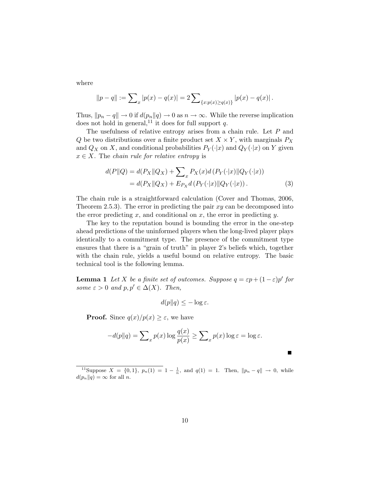where

$$
||p - q|| := \sum_{x} |p(x) - q(x)| = 2 \sum_{\{x: p(x) \ge q(x)\}} |p(x) - q(x)|.
$$

Thus,  $||p_n - q|| \to 0$  if  $d(p_n||q) \to 0$  as  $n \to \infty$ . While the reverse implication does not hold in general,<sup>[11](#page-12-0)</sup> it does for full support  $q$ .

The usefulness of relative entropy arises from a chain rule. Let P and Q be two distributions over a finite product set  $X \times Y$ , with marginals  $P_X$ and  $Q_X$  on X, and conditional probabilities  $P_Y(\cdot|x)$  and  $Q_Y(\cdot|x)$  on Y given  $x \in X$ . The chain rule for relative entropy is

$$
d(P||Q) = d(P_X||Q_X) + \sum_{x} P_X(x) d(P_Y(\cdot|x)||Q_Y(\cdot|x))
$$
  
= 
$$
d(P_X||Q_X) + E_{P_X}d(P_Y(\cdot|x)||Q_Y(\cdot|x)).
$$
 (3)

The chain rule is a straightforward calculation [\(Cover and Thomas, 2006,](#page-84-0) Theorem 2.5.3). The error in predicting the pair  $xy$  can be decomposed into the error predicting x, and conditional on x, the error in predicting y.

The key to the reputation bound is bounding the error in the one-step ahead predictions of the uninformed players when the long-lived player plays identically to a commitment type. The presence of the commitment type ensures that there is a "grain of truth" in player 2's beliefs which, together with the chain rule, yields a useful bound on relative entropy. The basic technical tool is the following lemma.

<span id="page-12-1"></span>**Lemma 1** Let X be a finite set of outcomes. Suppose  $q = \varepsilon p + (1 - \varepsilon)p'$  for some  $\varepsilon > 0$  and  $p, p' \in \Delta(X)$ . Then,

$$
d(p||q) \leq -\log \varepsilon.
$$

**Proof.** Since  $q(x)/p(x) \geq \varepsilon$ , we have

$$
-d(p||q) = \sum_{x} p(x) \log \frac{q(x)}{p(x)} \ge \sum_{x} p(x) \log \varepsilon = \log \varepsilon.
$$

<span id="page-12-0"></span><sup>&</sup>lt;sup>11</sup>Suppose  $X = \{0, 1\}$ ,  $p_n(1) = 1 - \frac{1}{n}$ , and  $q(1) = 1$ . Then,  $||p_n - q|| \to 0$ , while  $d(p_n||q) = \infty$  for all *n*.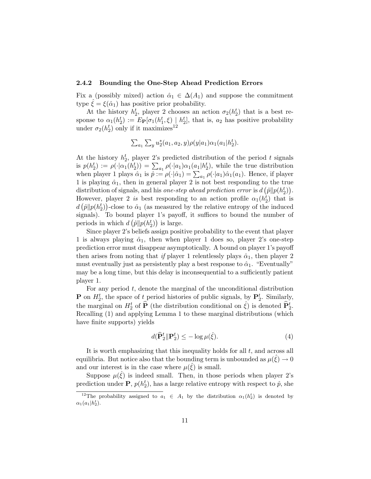#### <span id="page-13-0"></span>2.4.2 Bounding the One-Step Ahead Prediction Errors

Fix a (possibly mixed) action  $\hat{\alpha}_1 \in \Delta(A_1)$  and suppose the commitment type  $\hat{\xi} = \xi(\hat{\alpha}_1)$  has positive prior probability.

At the history  $h_2^t$ , player 2 chooses an action  $\sigma_2(h_2^t)$  that is a best response to  $\alpha_1(h_2^t) := E_{\mathbf{P}}[\sigma_1(h_1^t, \xi) \mid h_2^t]$ , that is,  $a_2$  has positive probability under  $\sigma_2(h_2^t)$  only if it maximizes<sup>[12](#page-13-1)</sup>

$$
\sum_{a_1} \sum_{y} u_2^*(a_1, a_2, y) \rho(y|a_1) \alpha_1(a_1|h_2^t).
$$

At the history  $h_2^t$ , player 2's predicted distribution of the period t signals is  $p(h_2^t) := \rho(\cdot|\alpha_1(h_2^t)) = \sum_{a_1} \rho(\cdot|a_1)\alpha_1(a_1|h_2^t)$ , while the true distribution when player 1 plays  $\hat{\alpha}_1$  is  $\hat{p} := \rho(\cdot|\hat{\alpha}_1) = \sum_{a_1} \rho(\cdot|a_1)\hat{\alpha}_1(a_1)$ . Hence, if player 1 is playing  $\hat{\alpha}_1$ , then in general player 2 is not best responding to the true distribution of signals, and his *one-step ahead prediction error* is  $d\left(\hat{p}||p(h_2^t)\right)$ . However, player 2 is best responding to an action profile  $\alpha_1(h_2^{\dagger})$  that is  $d\left(\hat{p}||p(h_2^t)\right)$ -close to  $\hat{\alpha}_1$  (as measured by the relative entropy of the induced signals). To bound player 1's payoff, it suffices to bound the number of periods in which  $d\left(\hat{p}||p(h_2^t)\right)$  is large.

Since player 2's beliefs assign positive probability to the event that player 1 is always playing  $\hat{\alpha}_1$ , then when player 1 does so, player 2's one-step prediction error must disappear asymptotically. A bound on player 1's payoff then arises from noting that if player 1 relentlessly plays  $\hat{\alpha}_1$ , then player 2 must eventually just as persistently play a best response to  $\hat{\alpha}_1$ . "Eventually" may be a long time, but this delay is inconsequential to a sufficiently patient player 1.

For any period  $t$ , denote the marginal of the unconditional distribution **P** on  $H_2^t$ , the space of t period histories of public signals, by  $\mathbf{P}_2^t$ . Similarly, the marginal on  $H_2^t$  of  $\widehat{P}$  (the distribution conditional on  $\widehat{\xi}$ ) is denoted  $\widehat{P}_2^t$ . Recalling [\(1\)](#page-9-1) and applying Lemma [1](#page-12-1) to these marginal distributions (which have finite supports) yields

<span id="page-13-2"></span>
$$
d(\widehat{\mathbf{P}}_2^t \|\mathbf{P}_2^t) \le -\log \mu(\hat{\xi}).\tag{4}
$$

It is worth emphasizing that this inequality holds for all  $t$ , and across all equilibria. But notice also that the bounding term is unbounded as  $\mu(\hat{\xi}) \to 0$ and our interest is in the case where  $\mu(\hat{\xi})$  is small.

Suppose  $\mu(\hat{\xi})$  is indeed small. Then, in those periods when player 2's prediction under **P**,  $p(h_2^t)$ , has a large relative entropy with respect to  $\hat{p}$ , she

<span id="page-13-1"></span><sup>&</sup>lt;sup>12</sup>The probability assigned to  $a_1 \in A_1$  by the distribution  $\alpha_1(h_2^t)$  is denoted by  $\alpha_1(a_1|h_2^t)$ .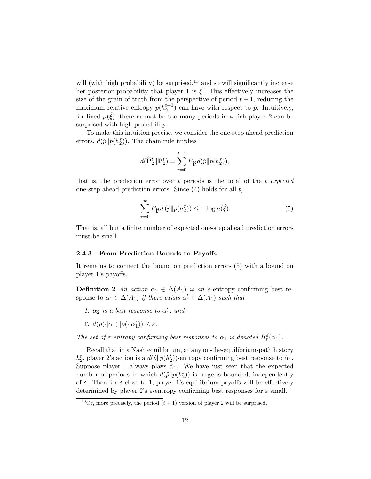will (with high probability) be surprised, $13$  and so will significantly increase her posterior probability that player 1 is  $\hat{\xi}$ . This effectively increases the size of the grain of truth from the perspective of period  $t + 1$ , reducing the maximum relative entropy  $p(h_2^{t+1})$  can have with respect to  $\hat{p}$ . Intuitively, for fixed  $\mu(\hat{\xi})$ , there cannot be too many periods in which player 2 can be surprised with high probability.

To make this intuition precise, we consider the one-step ahead prediction errors,  $d(\hat{p}||p(h_2^{\tau}))$ . The chain rule implies

$$
d(\widehat{\mathbf{P}}_2^t \|\mathbf{P}_2^t) = \sum_{\tau=0}^{t-1} E_{\widehat{\mathbf{P}}} d(\widehat{p} \| p(h_2^{\tau})),
$$

that is, the prediction error over  $t$  periods is the total of the  $t$  expected one-step ahead prediction errors. Since  $(4)$  holds for all t,

<span id="page-14-2"></span>
$$
\sum_{\tau=0}^{\infty} E_{\widehat{\mathbf{P}}} d\left(\widehat{p} \| p(h_2^{\tau})\right) \le -\log \mu(\widehat{\xi}).\tag{5}
$$

That is, all but a finite number of expected one-step ahead prediction errors must be small.

#### <span id="page-14-0"></span>2.4.3 From Prediction Bounds to Payoffs

It remains to connect the bound on prediction errors [\(5\)](#page-14-2) with a bound on player 1's payoffs.

<span id="page-14-3"></span>Definition 2 An action  $\alpha_2 \in \Delta(A_2)$  is an  $\varepsilon$ -entropy confirming best response to  $\alpha_1 \in \Delta(A_1)$  if there exists  $\alpha'_1 \in \Delta(A_1)$  such that

- 1.  $\alpha_2$  is a best response to  $\alpha'_1$ ; and
- 2.  $d(\rho(\cdot|\alpha_1)\|\rho(\cdot|\alpha_1')) \leq \varepsilon$ .

The set of  $\varepsilon$ -entropy confirming best responses to  $\alpha_1$  is denoted  $B^d_{\varepsilon}(\alpha_1)$ .

Recall that in a Nash equilibrium, at any on-the-equilibrium-path history  $h_2^t$ , player 2's action is a  $d(\hat{p}||p(h_2^t))$ -entropy confirming best response to  $\hat{\alpha}_1$ . Suppose player 1 always plays  $\hat{\alpha}_1$ . We have just seen that the expected number of periods in which  $d(\hat{p}||p(h_2^t))$  is large is bounded, independently of  $\delta$ . Then for  $\delta$  close to 1, player 1's equilibrium payoffs will be effectively determined by player 2's  $\varepsilon$ -entropy confirming best responses for  $\varepsilon$  small.

<span id="page-14-1"></span><sup>&</sup>lt;sup>13</sup>Or, more precisely, the period  $(t + 1)$  version of player 2 will be surprised.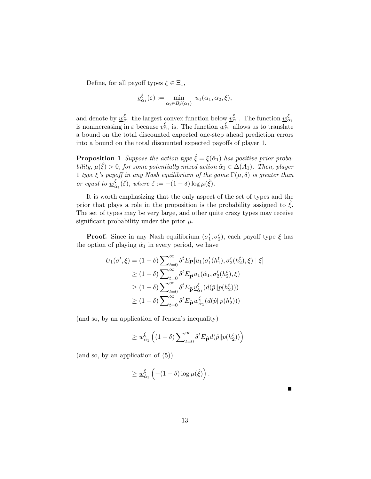Define, for all payoff types  $\xi \in \Xi_1$ ,

$$
\underline{v}_{\alpha_1}^{\xi}(\varepsilon) := \min_{\alpha_2 \in B_{\varepsilon}^d(\alpha_1)} u_1(\alpha_1, \alpha_2, \xi),
$$

and denote by  $\underline{w}_{\alpha_1}^{\xi}$  the largest convex function below  $\underline{v}_{\alpha_1}^{\xi}$ . The function  $\underline{w}_{\alpha_1}^{\xi}$ is nonincreasing in  $\varepsilon$  because  $\underline{v}_{\alpha_1}^{\xi}$  is. The function  $\underline{w}_{\alpha_1}^{\xi}$  allows us to translate a bound on the total discounted expected one-step ahead prediction errors into a bound on the total discounted expected payoffs of player 1.

<span id="page-15-0"></span>**Proposition 1** Suppose the action type  $\hat{\xi} = \xi(\hat{\alpha}_1)$  has positive prior probability,  $\mu(\hat{\xi}) > 0$ , for some potentially mixed action  $\hat{\alpha}_1 \in \Delta(A_1)$ . Then, player 1 type  $\xi$ 's payoff in any Nash equilibrium of the game  $\Gamma(\mu, \delta)$  is greater than or equal to  $w_{\hat{c}}^{\xi}$  $\hat{\xi}_{\hat{\alpha}_1}(\hat{\varepsilon}), \text{ where } \hat{\varepsilon} := -(1-\delta)\log \mu(\hat{\xi}).$ 

It is worth emphasizing that the only aspect of the set of types and the prior that plays a role in the proposition is the probability assigned to  $\hat{\xi}$ . The set of types may be very large, and other quite crazy types may receive significant probability under the prior  $\mu$ .

**Proof.** Since in any Nash equilibrium  $(\sigma'_1, \sigma'_2)$ , each payoff type  $\xi$  has the option of playing  $\hat{\alpha}_1$  in every period, we have

$$
U_{1}(\sigma', \xi) = (1 - \delta) \sum_{t=0}^{\infty} \delta^{t} E_{\mathbf{P}}[u_{1}(\sigma'_{1}(h_{1}^{t}), \sigma'_{2}(h_{2}^{t}), \xi) | \xi]
$$
  
\n
$$
\geq (1 - \delta) \sum_{t=0}^{\infty} \delta^{t} E_{\hat{\mathbf{P}}} u_{1}(\hat{\alpha}_{1}, \sigma'_{2}(h_{2}^{t}), \xi)
$$
  
\n
$$
\geq (1 - \delta) \sum_{t=0}^{\infty} \delta^{t} E_{\hat{\mathbf{P}}} \underline{v}_{\hat{\alpha}_{1}}^{\xi} (d(\hat{p} || p(h_{2}^{t})))
$$
  
\n
$$
\geq (1 - \delta) \sum_{t=0}^{\infty} \delta^{t} E_{\hat{\mathbf{P}}} \underline{w}_{\hat{\alpha}_{1}}^{\xi} (d(\hat{p} || p(h_{2}^{t})))
$$

(and so, by an application of Jensen's inequality)

$$
\geq \underline{w}_{\hat{\alpha}_1}^{\xi} \left( (1 - \delta) \sum_{t=0}^{\infty} \delta^t E_{\widehat{\mathbf{P}}} d(\hat{p} || p(h_2^t)) \right)
$$

<span id="page-15-1"></span>(and so, by an application of  $(5)$ )

$$
\geq \underline{w}_{\hat{\alpha}_1}^{\xi} \left( -(1-\delta) \log \mu(\hat{\xi}) \right).
$$

Г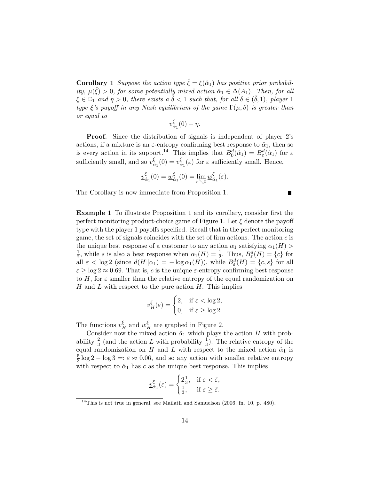**Corollary 1** Suppose the action type  $\hat{\xi} = \xi(\hat{\alpha}_1)$  has positive prior probability,  $\mu(\hat{\xi}) > 0$ , for some potentially mixed action  $\hat{\alpha}_1 \in \Delta(A_1)$ . Then, for all  $\xi \in \Xi_1$  and  $\eta > 0$ , there exists a  $\bar{\delta} < 1$  such that, for all  $\delta \in (\bar{\delta}, 1)$ , player 1 type  $\xi$ 's payoff in any Nash equilibrium of the game  $\Gamma(\mu, \delta)$  is greater than or equal to

$$
\underline{v}_{\hat{\alpha}_1}^{\xi}(0) - \eta.
$$

**Proof.** Since the distribution of signals is independent of player 2's actions, if a mixture is an  $\varepsilon$ -entropy confirming best response to  $\hat{\alpha}_1$ , then so is every action in its support.<sup>[14](#page-16-0)</sup> This implies that  $B_0^d(\hat{\alpha}_1) = B_\varepsilon^d(\hat{\alpha}_1)$  for  $\varepsilon$ sufficiently small, and so  $v_{\hat{c}}^{\xi}$  $\frac{\xi}{\hat{\alpha}_1}(0) = \underline{v}_{\hat{c}}^{\xi}$  $\hat{\alpha}_1(\varepsilon)$  for  $\varepsilon$  sufficiently small. Hence,

$$
\underline{v}_{\hat{\alpha}_1}^{\xi}(0) = \underline{w}_{\hat{\alpha}_1}^{\xi}(0) = \lim_{\varepsilon \searrow 0} \underline{w}_{\hat{\alpha}_1}^{\xi}(\varepsilon).
$$

The Corollary is now immediate from Proposition [1.](#page-15-0)

<span id="page-16-1"></span>Example 1 To illustrate Proposition [1](#page-15-0) and its corollary, consider first the perfect monitoring product-choice game of Figure [1.](#page-5-2) Let  $\xi$  denote the payoff type with the player 1 payoffs specified. Recall that in the perfect monitoring game, the set of signals coincides with the set of firm actions. The action  $c$  is the unique best response of a customer to any action  $\alpha_1$  satisfying  $\alpha_1(H)$ 1  $\frac{1}{2}$ , while s is also a best response when  $\alpha_1(H) = \frac{1}{2}$ . Thus,  $B^d_{\varepsilon}(H) = \{c\}$  for all  $\varepsilon < \log 2$  (since  $d(H||\alpha_1) = -\log \alpha_1(H)$ ), while  $B^d_{\varepsilon}(H) = \{c, s\}$  for all  $\varepsilon > \log 2 \approx 0.69$ . That is, c is the unique  $\varepsilon$ -entropy confirming best response to H, for  $\varepsilon$  smaller than the relative entropy of the equal randomization on H and L with respect to the pure action H. This implies

$$
\underline{v}_H^{\xi}(\varepsilon) = \begin{cases} 2, & \text{if } \varepsilon < \log 2, \\ 0, & \text{if } \varepsilon \ge \log 2. \end{cases}
$$

The functions  $\underline{v}_H^{\xi}$  and  $\underline{w}_H^{\xi}$  are graphed in Figure [2.](#page-17-0)

Consider now the mixed action  $\hat{\alpha}_1$  which plays the action H with probability  $\frac{2}{3}$  (and the action L with probability  $\frac{1}{3}$ ). The relative entropy of the equal randomization on H and L with respect to the mixed action  $\hat{\alpha}_1$  is 5  $\frac{5}{3}$  log 2 – log 3 =:  $\bar{\varepsilon} \approx 0.06$ , and so any action with smaller relative entropy with respect to  $\hat{\alpha}_1$  has c as the unique best response. This implies

$$
\underline{v}_{\hat{\alpha}_1}^{\xi}(\varepsilon) = \begin{cases} 2\frac{1}{3}, & \text{if } \varepsilon < \bar{\varepsilon}, \\ \frac{1}{3}, & \text{if } \varepsilon \ge \bar{\varepsilon}. \end{cases}
$$

<span id="page-16-0"></span> $14$ This is not true in general, see [Mailath and Samuelson](#page-87-0) [\(2006,](#page-87-0) fn. 10, p. 480).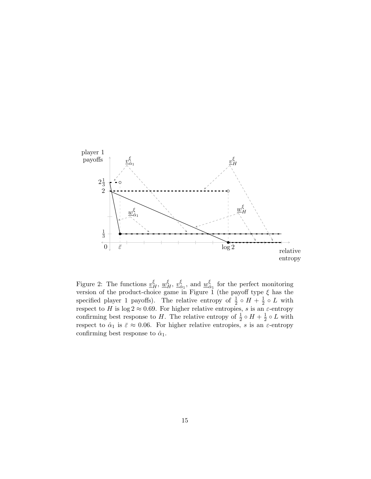

<span id="page-17-0"></span>Figure 2: The functions  $\underline{v}_H^{\xi}$ ,  $\underline{w}_H^{\xi}$ ,  $\underline{v}_{{\hat{o}}}^{\xi}$  $\xi_{\hat{\alpha}_1}$ , and  $\underline{w}_{\hat{\alpha}}^{\xi}$  $\frac{\xi}{\hat{\alpha}_1}$  for the perfect monitoring version of the product-choice game in Figure [1](#page-5-2) (the payoff type  $\xi$  has the specified player 1 payoffs). The relative entropy of  $\frac{1}{2} \circ H + \frac{1}{2}$  $\frac{1}{2} \circ L$  with respect to H is  $log 2 \approx 0.69$ . For higher relative entropies, s is an  $\varepsilon$ -entropy confirming best response to H. The relative entropy of  $\frac{1}{2} \circ H + \frac{1}{2}$  $\frac{1}{2} \circ L$  with respect to  $\hat{\alpha}_1$  is  $\bar{\varepsilon} \approx 0.06$ . For higher relative entropies, s is an  $\varepsilon$ -entropy confirming best response to  $\hat{\alpha}_1$ .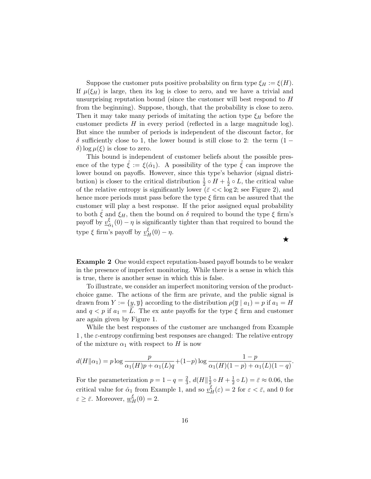Suppose the customer puts positive probability on firm type  $\xi_H := \xi(H)$ . If  $\mu(\xi_H)$  is large, then its log is close to zero, and we have a trivial and unsurprising reputation bound (since the customer will best respond to  $H$ from the beginning). Suppose, though, that the probability is close to zero. Then it may take many periods of imitating the action type  $\xi_H$  before the customer predicts  $H$  in every period (reflected in a large magnitude log). But since the number of periods is independent of the discount factor, for  $\delta$  sufficiently close to 1, the lower bound is still close to 2: the term (1 −  $\delta$ ) log  $\mu(\xi)$  is close to zero.

This bound is independent of customer beliefs about the possible presence of the type  $\hat{\xi} := \xi(\hat{\alpha}_1)$ . A possibility of the type  $\hat{\xi}$  can improve the lower bound on payoffs. However, since this type's behavior (signal distribution) is closer to the critical distribution  $\frac{1}{2} \circ H + \frac{1}{2}$  $\frac{1}{2} \circ L$ , the critical value of the relative entropy is significantly lower ( $\bar{\varepsilon} << \log 2$ ; see Figure [2\)](#page-17-0), and hence more periods must pass before the type  $\xi$  firm can be assured that the customer will play a best response. If the prior assigned equal probability to both  $\xi$  and  $\xi_H$ , then the bound on  $\delta$  required to bound the type  $\xi$  firm's payoff by  $v_{\hat{c}}^{\xi}$  $\frac{\xi}{\hat{\alpha}_1}(0) - \eta$  is significantly tighter than that required to bound the type  $\xi$  firm's payoff by  $\underline{v}^{\xi}_H(0) - \eta$ .

Example 2 One would expect reputation-based payoff bounds to be weaker in the presence of imperfect monitoring. While there is a sense in which this is true, there is another sense in which this is false.

<span id="page-18-0"></span> $\bigstar$ 

To illustrate, we consider an imperfect monitoring version of the productchoice game. The actions of the firm are private, and the public signal is drawn from  $Y := \{y, \overline{y}\}\$ according to the distribution  $\rho(\overline{y} \mid a_1) = p$  if  $a_1 = H$ and  $q < p$  if  $a_1 = L$ . The ex ante payoffs for the type  $\xi$  firm and customer are again given by Figure [1.](#page-5-2)

While the best responses of the customer are unchanged from Example [1](#page-16-1), the  $\varepsilon$ -entropy confirming best responses are changed: The relative entropy of the mixture  $\alpha_1$  with respect to H is now

$$
d(H||\alpha_1) = p \log \frac{p}{\alpha_1(H)p + \alpha_1(L)q} + (1-p) \log \frac{1-p}{\alpha_1(H)(1-p) + \alpha_1(L)(1-q)}.
$$

For the parameterization  $p = 1 - q = \frac{2}{3}$  $\frac{2}{3}$ ,  $d(H||\frac{1}{2})$  $\frac{1}{2} \circ H + \frac{1}{2}$  $(\frac{1}{2} \circ L) = \bar{\varepsilon} \approx 0.06$ , the critical value for  $\hat{\alpha}_1$  from Example [1,](#page-16-1) and so  $\underline{v}_H^{\xi}(\varepsilon) = 2$  for  $\varepsilon < \bar{\varepsilon}$ , and 0 for  $\varepsilon \geq \bar{\varepsilon}$ . Moreover,  $\underline{w}_{H}^{\xi}(0) = 2$ .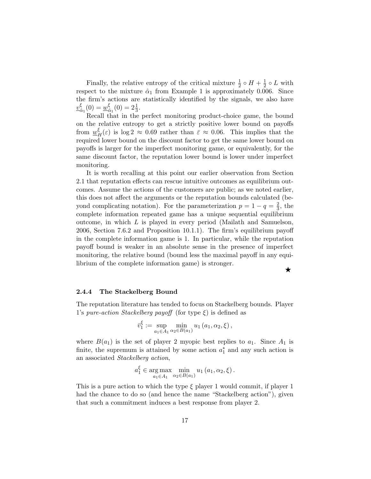Finally, the relative entropy of the critical mixture  $\frac{1}{2} \circ H + \frac{1}{2}$  $\frac{1}{2} \circ L$  with respect to the mixture  $\hat{\alpha}_1$  from Example [1](#page-16-1) is approximately 0.006. Since the firm's actions are statistically identified by the signals, we also have  $v_{\hat{c}}^{\xi}$  $\frac{\xi}{\hat{\alpha}_1}(0) = \underline{w}_{\hat{\alpha}}^{\xi}$  $\frac{\xi}{\hat{\alpha}_1}(0) = 2\frac{1}{3}.$ 

Recall that in the perfect monitoring product-choice game, the bound on the relative entropy to get a strictly positive lower bound on payoffs from  $\underline{w}_{H}^{\xi}(\varepsilon)$  is log 2  $\approx 0.69$  rather than  $\overline{\varepsilon} \approx 0.06$ . This implies that the required lower bound on the discount factor to get the same lower bound on payoffs is larger for the imperfect monitoring game, or equivalently, for the same discount factor, the reputation lower bound is lower under imperfect monitoring.

It is worth recalling at this point our earlier observation from Section [2.1](#page-5-1) that reputation effects can rescue intuitive outcomes as equilibrium outcomes. Assume the actions of the customers are public; as we noted earlier, this does not affect the arguments or the reputation bounds calculated (beyond complicating notation). For the parameterization  $p = 1 - q = \frac{2}{3}$  $\frac{2}{3}$ , the complete information repeated game has a unique sequential equilibrium outcome, in which L is played in every period [\(Mailath and Samuelson,](#page-87-0) [2006,](#page-87-0) Section 7.6.2 and Proposition 10.1.1). The firm's equilibrium payoff in the complete information game is 1. In particular, while the reputation payoff bound is weaker in an absolute sense in the presence of imperfect monitoring, the relative bound (bound less the maximal payoff in any equilibrium of the complete information game) is stronger.

### <span id="page-19-0"></span>2.4.4 The Stackelberg Bound

The reputation literature has tended to focus on Stackelberg bounds. Player 1's pure-action Stackelberg payoff (for type  $\xi$ ) is defined as

 $\bigstar$ 

$$
\bar{v}_1^{\xi} := \sup_{a_1 \in A_1} \min_{\alpha_2 \in B(a_1)} u_1(a_1, \alpha_2, \xi),
$$

where  $B(a_1)$  is the set of player 2 myopic best replies to  $a_1$ . Since  $A_1$  is finite, the supremum is attained by some action  $a_1^*$  and any such action is an associated Stackelberg action,

$$
a_1^{\xi} \in \underset{a_1 \in A_1}{\arg \max} \min_{\alpha_2 \in B(a_1)} u_1(a_1, \alpha_2, \xi).
$$

This is a pure action to which the type  $\xi$  player 1 would commit, if player 1 had the chance to do so (and hence the name "Stackelberg action"), given that such a commitment induces a best response from player 2.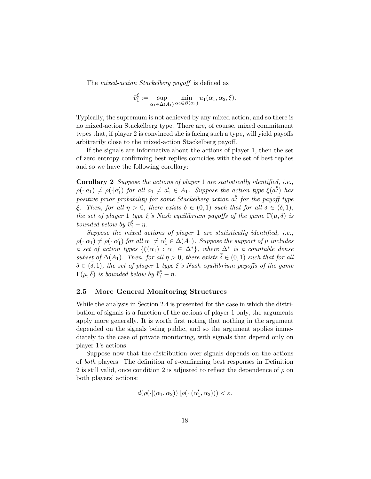The mixed-action Stackelberg payoff is defined as

$$
\bar{\bar{v}}_1^{\xi} := \sup_{\alpha_1 \in \Delta(A_1)} \min_{\alpha_2 \in B(\alpha_1)} u_1(\alpha_1, \alpha_2, \xi).
$$

Typically, the supremum is not achieved by any mixed action, and so there is no mixed-action Stackelberg type. There are, of course, mixed commitment types that, if player 2 is convinced she is facing such a type, will yield payoffs arbitrarily close to the mixed-action Stackelberg payoff.

If the signals are informative about the actions of player 1, then the set of zero-entropy confirming best replies coincides with the set of best replies and so we have the following corollary:

<span id="page-20-1"></span>**Corollary 2** Suppose the actions of player 1 are statistically identified, i.e.,  $\rho(\cdot|a_1) \neq \rho(\cdot|a'_1)$  for all  $a_1 \neq a'_1 \in A_1$ . Suppose the action type  $\xi(a_1^{\xi})$  $_{1}^{\xi}$ ) has positive prior probability for some Stackelberg action  $a_1^{\xi}$  $\frac{1}{1}$  for the payoff type ξ. Then, for all  $\eta > 0$ , there exists  $\overline{\delta} \in (0,1)$  such that for all  $\delta \in (\overline{\delta},1)$ , the set of player 1 type  $\xi$ 's Nash equilibrium payoffs of the game  $\Gamma(\mu, \delta)$  is bounded below by  $\bar{v}_1^{\xi} - \eta$ .

Suppose the mixed actions of player 1 are statistically identified, i.e.,  $\rho(\cdot|\alpha_1) \neq \rho(\cdot|\alpha_1')$  for all  $\alpha_1 \neq \alpha_1' \in \Delta(A_1)$ . Suppose the support of  $\mu$  includes a set of action types  $\{\xi(\alpha_1) : \alpha_1 \in \Delta^*\}$ , where  $\Delta^*$  is a countable dense subset of  $\Delta(A_1)$ . Then, for all  $\eta > 0$ , there exists  $\delta \in (0,1)$  such that for all  $\delta \in (\bar{\delta}, 1)$ , the set of player 1 type  $\xi$ 's Nash equilibrium payoffs of the game  $\Gamma(\mu,\delta)$  is bounded below by  $\bar{\bar{v}}_1^{\xi} - \eta$ .

#### <span id="page-20-0"></span>2.5 More General Monitoring Structures

While the analysis in Section [2.4](#page-10-0) is presented for the case in which the distribution of signals is a function of the actions of player 1 only, the arguments apply more generally. It is worth first noting that nothing in the argument depended on the signals being public, and so the argument applies immediately to the case of private monitoring, with signals that depend only on player 1's actions.

Suppose now that the distribution over signals depends on the actions of both players. The definition of  $\varepsilon$ -confirming best responses in Definition [2](#page-14-3) is still valid, once condition 2 is adjusted to reflect the dependence of  $\rho$  on both players' actions:

$$
d(\rho(\cdot | (\alpha_1,\alpha_2)) \| \rho(\cdot | (\alpha_1',\alpha_2))) < \varepsilon.
$$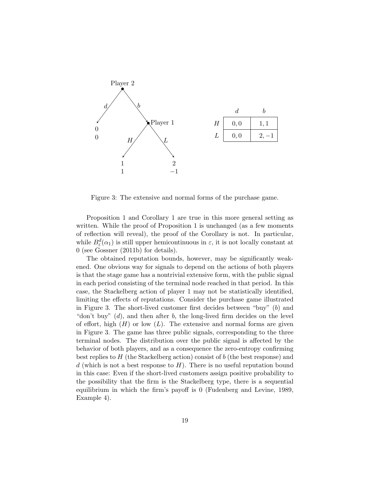

<span id="page-21-0"></span>Figure 3: The extensive and normal forms of the purchase game.

Proposition [1](#page-15-0) and Corollary [1](#page-15-1) are true in this more general setting as written. While the proof of Proposition [1](#page-15-0) is unchanged (as a few moments of reflection will reveal), the proof of the Corollary is not. In particular, while  $B_{\varepsilon}^{d}(\alpha_{1})$  is still upper hemicontinuous in  $\varepsilon$ , it is not locally constant at 0 (see [Gossner \(2011b\)](#page-86-2) for details).

The obtained reputation bounds, however, may be significantly weakened. One obvious way for signals to depend on the actions of both players is that the stage game has a nontrivial extensive form, with the public signal in each period consisting of the terminal node reached in that period. In this case, the Stackelberg action of player 1 may not be statistically identified, limiting the effects of reputations. Consider the purchase game illustrated in Figure [3.](#page-21-0) The short-lived customer first decides between "buy"  $(b)$  and "don't buy"  $(d)$ , and then after b, the long-lived firm decides on the level of effort, high  $(H)$  or low  $(L)$ . The extensive and normal forms are given in Figure [3.](#page-21-0) The game has three public signals, corresponding to the three terminal nodes. The distribution over the public signal is affected by the behavior of both players, and as a consequence the zero-entropy confirming best replies to H (the Stackelberg action) consist of b (the best response) and  $d$  (which is not a best response to  $H$ ). There is no useful reputation bound in this case: Even if the short-lived customers assign positive probability to the possibility that the firm is the Stackelberg type, there is a sequential equilibrium in which the firm's payoff is 0 [\(Fudenberg and Levine, 1989,](#page-85-0) Example 4).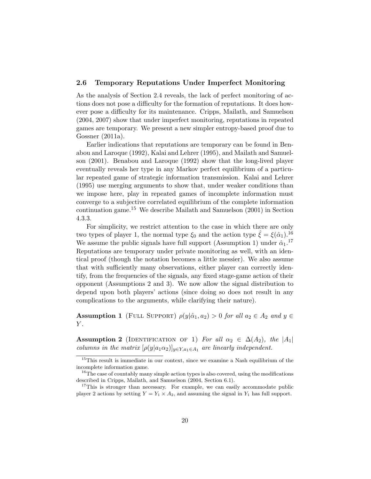#### <span id="page-22-0"></span>2.6 Temporary Reputations Under Imperfect Monitoring

As the analysis of Section [2.4](#page-10-0) reveals, the lack of perfect monitoring of actions does not pose a difficulty for the formation of reputations. It does however pose a difficulty for its maintenance. [Cripps, Mailath, and Samuelson](#page-84-2) [\(2004,](#page-84-2) [2007\)](#page-84-3) show that under imperfect monitoring, reputations in repeated games are temporary. We present a new simpler entropy-based proof due to [Gossner \(2011a\)](#page-86-3).

Earlier indications that reputations are temporary can be found in [Ben](#page-84-4)[abou and Laroque \(1992\)](#page-84-4), [Kalai and Lehrer \(1995\)](#page-86-4), and [Mailath and Samuel](#page-87-3)[son \(2001\)](#page-87-3). [Benabou and Laroque \(1992\)](#page-84-4) show that the long-lived player eventually reveals her type in any Markov perfect equilibrium of a particular repeated game of strategic information transmission. [Kalai and Lehrer](#page-86-4) [\(1995\)](#page-86-4) use merging arguments to show that, under weaker conditions than we impose here, play in repeated games of incomplete information must converge to a subjective correlated equilibrium of the complete information continuation game.[15](#page-22-1) We describe [Mailath and Samuelson \(2001\)](#page-87-3) in Section [4.3.3.](#page-68-0)

For simplicity, we restrict attention to the case in which there are only two types of player 1, the normal type  $\xi_0$  and the action type  $\hat{\xi} = \xi(\hat{\alpha}_1)^{16}$  $\hat{\xi} = \xi(\hat{\alpha}_1)^{16}$  $\hat{\xi} = \xi(\hat{\alpha}_1)^{16}$ We assume the public signals have full support (Assumption [1\)](#page-22-3) under  $\hat{\alpha}_1$ .<sup>[17](#page-22-4)</sup> Reputations are temporary under private monitoring as well, with an identical proof (though the notation becomes a little messier). We also assume that with sufficiently many observations, either player can correctly identify, from the frequencies of the signals, any fixed stage-game action of their opponent (Assumptions [2](#page-22-5) and [3\)](#page-22-6). We now allow the signal distribution to depend upon both players' actions (since doing so does not result in any complications to the arguments, while clarifying their nature).

<span id="page-22-3"></span>**Assumption 1** (FULL SUPPORT)  $\rho(y|\hat{\alpha}_1, a_2) > 0$  for all  $a_2 \in A_2$  and  $y \in A_1$  $Y$ .

<span id="page-22-5"></span>Assumption 2 (IDENTIFICATION OF 1) For all  $\alpha_2 \in \Delta(A_2)$ , the  $|A_1|$ columns in the matrix  $[\rho(y|a_1\alpha_2)]_{y\in Y, a_1\in A_1}$  are linearly independent.

<span id="page-22-6"></span><span id="page-22-1"></span><sup>&</sup>lt;sup>15</sup>This result is immediate in our context, since we examine a Nash equilibrium of the incomplete information game.

<span id="page-22-2"></span> $16$ The case of countably many simple action types is also covered, using the modifications described in [Cripps, Mailath, and Samuelson](#page-84-2) [\(2004,](#page-84-2) Section 6.1).

<span id="page-22-4"></span><sup>&</sup>lt;sup>17</sup>This is stronger than necessary. For example, we can easily accommodate public player 2 actions by setting  $Y = Y_1 \times A_2$ , and assuming the signal in  $Y_1$  has full support.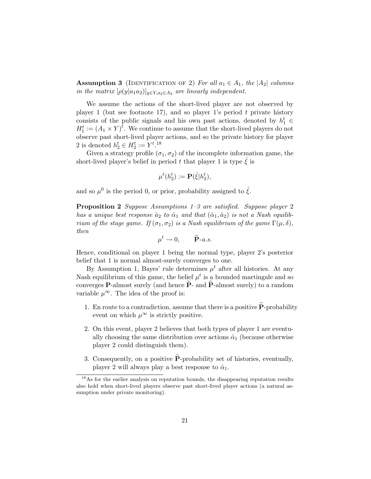**Assumption 3** (IDENTIFICATION OF 2) For all  $a_1 \in A_1$ , the  $|A_2|$  columns in the matrix  $[\rho(y|a_1a_2)]_{y \in Y, a_2 \in A_2}$  are linearly independent.

We assume the actions of the short-lived player are not observed by player 1 (but see footnote [17\)](#page-22-4), and so player 1's period  $t$  private history consists of the public signals and his own past actions, denoted by  $h_1^t$  ∈  $H_1^t := (A_1 \times Y)^t$ . We continue to assume that the short-lived players do not observe past short-lived player actions, and so the private history for player 2 is denoted  $h_2^t \in H_2^t := Y^t.$ <sup>[18](#page-23-0)</sup>

Given a strategy profile  $(\sigma_1, \sigma_2)$  of the incomplete information game, the short-lived player's belief in period t that player 1 is type  $\xi$  is

$$
\mu^t(h_2^t) := \mathbf{P}(\hat{\xi}|h_2^t),
$$

<span id="page-23-1"></span>and so  $\mu^0$  is the period 0, or prior, probability assigned to  $\hat{\xi}$ .

Proposition 2 Suppose Assumptions [1–](#page-22-3)[3](#page-22-6) are satisfied. Suppose player 2 has a unique best response  $\hat{a}_2$  to  $\hat{\alpha}_1$  and that  $(\hat{\alpha}_1, \hat{\alpha}_2)$  is not a Nash equilibrium of the stage game. If  $(\sigma_1, \sigma_2)$  is a Nash equilibrium of the game  $\Gamma(\mu, \delta)$ , then

$$
\mu^t \to 0, \qquad \widetilde{\mathbf{P}}\text{-}a.s.
$$

Hence, conditional on player 1 being the normal type, player 2's posterior belief that 1 is normal almost-surely converges to one.

By Assumption [1,](#page-22-3) Bayes' rule determines  $\mu^t$  after all histories. At any Nash equilibrium of this game, the belief  $\mu^t$  is a bounded martingale and so converges **P**-almost surely (and hence  $\widetilde{P}$ - and  $\widehat{P}$ -almost surely) to a random variable  $\mu^{\infty}$ . The idea of the proof is:

- 1. En route to a contradiction, assume that there is a positive  $\widetilde{\mathbf{P}}$ -probability event on which  $\mu^{\infty}$  is strictly positive.
- 2. On this event, player 2 believes that both types of player 1 are eventually choosing the same distribution over actions  $\hat{\alpha}_1$  (because otherwise player 2 could distinguish them).
- 3. Consequently, on a positive  $\widetilde{\mathbf{P}}$ -probability set of histories, eventually, player 2 will always play a best response to  $\hat{\alpha}_1$ .

<span id="page-23-0"></span><sup>&</sup>lt;sup>18</sup>As for the earlier analysis on reputation bounds, the disappearing reputation results also hold when short-lived players observe past short-lived player actions (a natural assumption under private monitoring).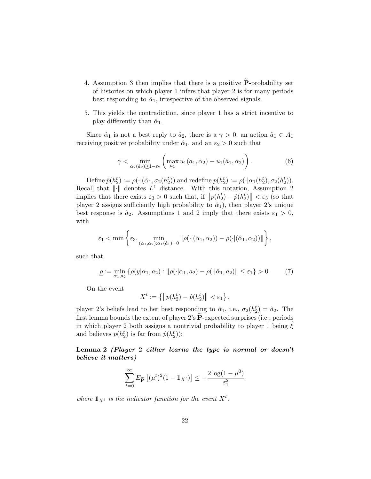- 4. Assumption [3](#page-22-6) then implies that there is a positive  $\widetilde{\mathbf{P}}$ -probability set of histories on which player 1 infers that player 2 is for many periods best responding to  $\hat{\alpha}_1$ , irrespective of the observed signals.
- 5. This yields the contradiction, since player 1 has a strict incentive to play differently than  $\hat{\alpha}_1$ .

Since  $\hat{\alpha}_1$  is not a best reply to  $\hat{a}_2$ , there is a  $\gamma > 0$ , an action  $\hat{a}_1 \in A_1$ receiving positive probability under  $\hat{\alpha}_1$ , and an  $\varepsilon_2 > 0$  such that

<span id="page-24-1"></span>
$$
\gamma < \min_{\alpha_2(\hat{a}_2) \ge 1 - \varepsilon_2} \left( \max_{a_1} u_1(a_1, \alpha_2) - u_1(\hat{a}_1, \alpha_2) \right). \tag{6}
$$

Define  $\hat{p}(h_2^t) := \rho(\cdot | (\hat{\alpha}_1, \sigma_2(h_2^t))$  and redefine  $p(h_2^t) := \rho(\cdot | \alpha_1(h_2^t), \sigma_2(h_2^t))$ . Recall that  $\|\cdot\|$  denotes  $L^1$  distance. With this notation, Assumption [2](#page-22-5) implies that there exists  $\varepsilon_3 > 0$  such that, if  $||p(h_2^t) - \hat{p}(h_2^t)|| < \varepsilon_3$  (so that player 2 assigns sufficiently high probability to  $\hat{\alpha}_1$ ), then player 2's unique best response is  $\hat{a}_2$ . Assumptions [1](#page-22-3) and [2](#page-22-5) imply that there exists  $\varepsilon_1 > 0$ , with

$$
\varepsilon_1 < \min \left\{ \varepsilon_3, \min_{(\alpha_1,\alpha_2): \alpha_1(\hat{a}_1)=0} \|\rho(\cdot|(\alpha_1,\alpha_2)) - \rho(\cdot|(\hat{\alpha}_1,\alpha_2))\| \right\},\,
$$

such that

<span id="page-24-2"></span>
$$
\underline{\rho} := \min_{\alpha_1, a_2} \{ \rho(y|\alpha_1, a_2) : ||\rho(\cdot|\alpha_1, a_2) - \rho(\cdot|\hat{\alpha}_1, a_2)|| \le \varepsilon_1 \} > 0. \tag{7}
$$

On the event

$$
X^t := \left\{ \left\| p(h_2^t) - \hat{p}(h_2^t) \right\| < \varepsilon_1 \right\},\
$$

player 2's beliefs lead to her best responding to  $\hat{\alpha}_1$ , i.e.,  $\sigma_2(h_2^t) = \hat{a}_2$ . The first lemma bounds the extent of player 2's  $\tilde{P}$ -expected surprises (i.e., periods in which player 2 both assigns a nontrivial probability to player 1 being  $\zeta$ and believes  $p(h_2^t)$  is far from  $\hat{p}(h_2^t)$ :

<span id="page-24-0"></span>Lemma 2 (Player 2 either learns the type is normal or doesn't believe it matters)

$$
\sum_{t=0}^{\infty} E_{\widetilde{\mathbf{P}}}\left[ (\mu^t)^2 (1 - \mathbb{1}_{X^t}) \right] \le -\frac{2\log(1 - \mu^0)}{\varepsilon_1^2}
$$

where  $\mathbb{1}_{X^t}$  is the indicator function for the event  $X^t$ .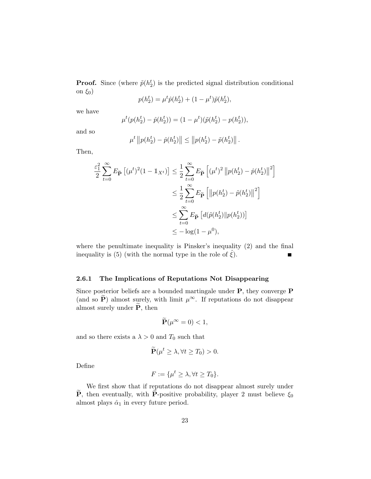**Proof.** Since (where  $\tilde{p}(h_2^t)$  is the predicted signal distribution conditional on  $\xi_0$ )

$$
p(h_2^t) = \mu^t \hat{p}(h_2^t) + (1 - \mu^t) \tilde{p}(h_2^t),
$$

we have

$$
\mu^t(p(h_2^t) - \hat{p}(h_2^t)) = (1 - \mu^t)(\tilde{p}(h_2^t) - p(h_2^t)),
$$

and so

$$
\mu^{t} \| p(h_2^t) - \hat{p}(h_2^t) \| \leq \| p(h_2^t) - \tilde{p}(h_2^t) \|.
$$

Then,

$$
\frac{\varepsilon_1^2}{2} \sum_{t=0}^{\infty} E_{\widetilde{\mathbf{P}}}\left[ (\mu^t)^2 (1 - \mathbb{1}_{X^t}) \right] \le \frac{1}{2} \sum_{t=0}^{\infty} E_{\widetilde{\mathbf{P}}}\left[ (\mu^t)^2 \left\| p(h_2^t) - \hat{p}(h_2^t) \right\|^2 \right]
$$
  

$$
\le \frac{1}{2} \sum_{t=0}^{\infty} E_{\widetilde{\mathbf{P}}}\left[ \left\| p(h_2^t) - \tilde{p}(h_2^t) \right\|^2 \right]
$$
  

$$
\le \sum_{t=0}^{\infty} E_{\widetilde{\mathbf{P}}}\left[ d(\tilde{p}(h_2^t) \| p(h_2^t)) \right]
$$
  

$$
\le -\log(1 - \mu^0),
$$

where the penultimate inequality is Pinsker's inequality [\(2\)](#page-11-4) and the final inequality is [\(5\)](#page-14-2) (with the normal type in the role of  $\hat{\xi}$ ).  $\blacksquare$ 

#### <span id="page-25-0"></span>2.6.1 The Implications of Reputations Not Disappearing

Since posterior beliefs are a bounded martingale under P, they converge P (and so  $\tilde{P}$ ) almost surely, with limit  $\mu^{\infty}$ . If reputations do not disappear almost surely under  $\dot{\mathbf{P}}$ , then

$$
\widetilde{\mathbf{P}}(\mu^{\infty} = 0) < 1,
$$

and so there exists a  $\lambda > 0$  and  $T_0$  such that

$$
\widetilde{\mathbf{P}}(\mu^t \ge \lambda, \forall t \ge T_0) > 0.
$$

Define

<span id="page-25-1"></span>
$$
F := \{ \mu^t \ge \lambda, \forall t \ge T_0 \}.
$$

We first show that if reputations do not disappear almost surely under  $\widetilde{\mathbf{P}}$ , then eventually, with  $\widetilde{\mathbf{P}}$ -positive probability, player 2 must believe  $\xi_0$ almost plays  $\hat{\alpha}_1$  in every future period.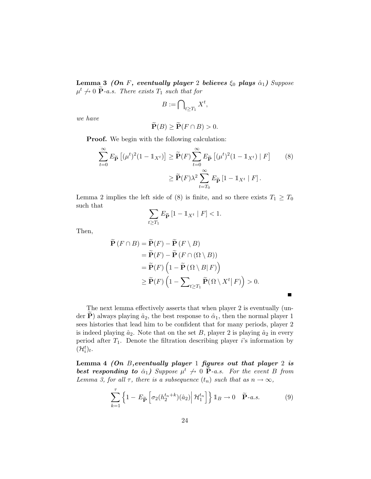Lemma 3 (On F, eventually player 2 believes  $\xi_0$  plays  $\hat{\alpha}_1$ ) Suppose  $\mu^t \nrightarrow 0$   $\widetilde{\mathbf{P}}$ -a.s. There exists  $T_1$  such that for

<span id="page-26-0"></span>
$$
B:=\bigcap\nolimits_{t\geq T_1}X^t,
$$

we have

$$
\widetilde{\mathbf{P}}(B) \ge \widetilde{\mathbf{P}}(F \cap B) > 0.
$$

Proof. We begin with the following calculation:

$$
\sum_{t=0}^{\infty} E_{\widetilde{\mathbf{P}}} \left[ (\mu^t)^2 (1 - \mathbb{1}_{X^t}) \right] \ge \widetilde{\mathbf{P}}(F) \sum_{t=0}^{\infty} E_{\widetilde{\mathbf{P}}} \left[ (\mu^t)^2 (1 - \mathbb{1}_{X^t}) \mid F \right] \tag{8}
$$

$$
\ge \widetilde{\mathbf{P}}(F) \lambda^2 \sum_{t=T_0}^{\infty} E_{\widetilde{\mathbf{P}}} \left[ 1 - \mathbb{1}_{X^t} \mid F \right].
$$

Lemma [2](#page-24-0) implies the left side of [\(8\)](#page-26-0) is finite, and so there exists  $T_1 \geq T_0$ such that

$$
\sum_{t\geq T_1} E_{\widetilde{\mathbf{P}}}\left[1-\mathbb{1}_{X^t} \mid F\right] < 1.
$$

Then,

$$
\tilde{\mathbf{P}}(F \cap B) = \tilde{\mathbf{P}}(F) - \tilde{\mathbf{P}}(F \setminus B)
$$
\n
$$
= \tilde{\mathbf{P}}(F) - \tilde{\mathbf{P}}(F \cap (\Omega \setminus B))
$$
\n
$$
= \tilde{\mathbf{P}}(F) \left(1 - \tilde{\mathbf{P}}(\Omega \setminus B \mid F)\right)
$$
\n
$$
\geq \tilde{\mathbf{P}}(F) \left(1 - \sum_{t \geq T_1} \tilde{\mathbf{P}}(\Omega \setminus X^t \mid F)\right) > 0.
$$

Е

The next lemma effectively asserts that when player 2 is eventually (under P) always playing  $\hat{a}_2$ , the best response to  $\hat{\alpha}_1$ , then the normal player 1 sees histories that lead him to be confident that for many periods, player 2 is indeed playing  $\hat{a}_2$ . Note that on the set B, player 2 is playing  $\hat{a}_2$  in every period after  $T_1$ . Denote the filtration describing player i's information by  $(\mathcal{H}_i^t)_t$ .

<span id="page-26-2"></span>Lemma 4  $(On B, eventually player 1 figures out that player 2 is$ best responding to  $\hat{\alpha}_1$ ) Suppose  $\mu^t \to 0$   $\tilde{P}$ -a.s. For the event B from Lemma [3,](#page-25-1) for all  $\tau$ , there is a subsequence  $(t_n)$  such that as  $n \to \infty$ ,

<span id="page-26-1"></span>
$$
\sum_{k=1}^{\tau} \left\{ 1 - E_{\widetilde{\mathbf{P}}} \left[ \sigma_2(h_2^{t_n+k})(\hat{a}_2) \middle| \mathcal{H}_1^{t_n} \right] \right\} \mathbb{1}_B \to 0 \quad \widetilde{\mathbf{P}}\text{-}a.s.
$$
 (9)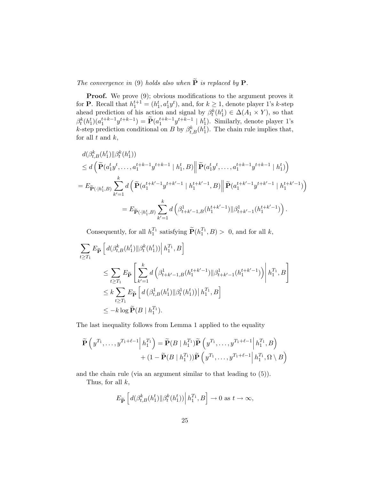# The convergence in [\(9\)](#page-26-1) holds also when  $\widetilde{P}$  is replaced by  $P$ .

**Proof.** We prove  $(9)$ ; obvious modifications to the argument proves it for **P**. Recall that  $h_1^{t+1} = (h_1^t, a_1^t y^t)$ , and, for  $k \geq 1$ , denote player 1's k-step ahead prediction of his action and signal by  $\beta_t^k(h_1^t) \in \Delta(A_1 \times Y)$ , so that  $\beta_t^k(h_1^t)(a_1^{t+k-1}y^{t+k-1}) = \widetilde{\mathbf{P}}(a_1^{t+k-1}y^{t+k-1} | h_1^t)$ . Similarly, denote player 1's k-step prediction conditional on B by  $\beta_{t,B}^k(h_1^t)$ . The chain rule implies that, for all  $t$  and  $k$ ,

$$
d(\beta_{t,B}^{k}(h_{1}^{t})||\beta_{t}^{k}(h_{1}^{t}))
$$
  
\n
$$
\leq d\left(\tilde{\mathbf{P}}(a_{1}^{t}y^{t},...,a_{1}^{t+k-1}y^{t+k-1} | h_{1}^{t},B)\right\|\tilde{\mathbf{P}}(a_{1}^{t}y^{t},...,a_{1}^{t+k-1}y^{t+k-1} | h_{1}^{t})\right)
$$
  
\n
$$
= E_{\tilde{\mathbf{P}}(\cdot|h_{1}^{t},B)}\sum_{k'=1}^{k} d\left(\tilde{\mathbf{P}}(a_{1}^{t+k'-1}y^{t+k'-1} | h_{1}^{t+k'-1},B)\right\|\tilde{\mathbf{P}}(a_{1}^{t+k'-1}y^{t+k'-1} | h_{1}^{t+k'-1})\right)
$$
  
\n
$$
= E_{\tilde{\mathbf{P}}(\cdot|h_{1}^{t},B)}\sum_{k'=1}^{k} d\left(\beta_{t+k'-1,B}^{1}(h_{1}^{t+k'-1})||\beta_{t+k'-1}^{1}(h_{1}^{t+k'-1})\right).
$$

Consequently, for all  $h_1^{T_1}$  satisfying  $\widetilde{\mathbf{P}}(h_1^{T_1}, B) > 0$ , and for all k,

$$
\sum_{t \ge T_1} E_{\widetilde{\mathbf{P}}} \left[ d(\beta_{t,B}^k(h_1^t) || \beta_t^k(h_1^t)) \Big| h_1^{T_1}, B \right]
$$
\n
$$
\le \sum_{t \ge T_1} E_{\widetilde{\mathbf{P}}} \left[ \sum_{k'=1}^k d\left(\beta_{t+k'-1,B}^1(h_1^{t+k'-1}) || \beta_{t+k'-1}^1(h_1^{t+k'-1})\right) \Big| h_1^{T_1}, B \right]
$$
\n
$$
\le k \sum_{t \ge T_1} E_{\widetilde{\mathbf{P}}} \left[ d\left(\beta_{t,B}^1(h_1^t) || \beta_t^1(h_1^t)\right) | h_1^{T_1}, B \right]
$$
\n
$$
\le -k \log \widetilde{\mathbf{P}}(B \mid h_1^{T_1}).
$$

The last inequality follows from Lemma [1](#page-12-1) applied to the equality

$$
\widetilde{\mathbf{P}}\left(y^{T_1},\ldots,y^{T_1+\ell-1}\Big| h_1^{T_1}\right) = \widetilde{\mathbf{P}}(B \mid h_1^{T_1}) \widetilde{\mathbf{P}}\left(y^{T_1},\ldots,y^{T_1+\ell-1}\Big| h_1^{T_1},B\right) \n+ (1-\widetilde{\mathbf{P}}(B \mid h_1^{T_1})) \widetilde{\mathbf{P}}\left(y^{T_1},\ldots,y^{T_1+\ell-1}\Big| h_1^{T_1},\Omega \setminus B\right)
$$

and the chain rule (via an argument similar to that leading to [\(5\)](#page-14-2)).

Thus, for all  $k$ ,

$$
E_{\widetilde{\mathbf{P}}}\left[\left.d(\beta_{t,B}^k(h_1^t)\|\beta_t^k(h_1^t)\right)\middle|h_1^{T_1},B\right]\to 0 \text{ as } t\to\infty,
$$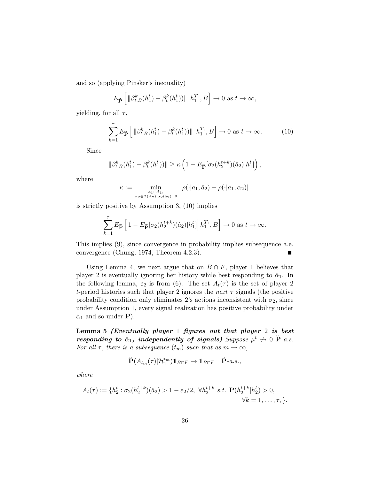and so (applying Pinsker's inequality)

$$
E_{\widetilde{\mathbf{P}}}\left[\left\|\beta_{t,B}^{k}(h_{1}^{t})-\beta_{t}^{k}(h_{1}^{t})\right\|\middle|h_{1}^{T_{1}},B\right]\to 0 \text{ as } t\to\infty,
$$

yielding, for all  $\tau$ ,

<span id="page-28-0"></span>
$$
\sum_{k=1}^{\tau} E_{\widetilde{\mathbf{P}}} \left[ \left\| \beta_{t,B}^{k}(h_{1}^{t}) - \beta_{t}^{k}(h_{1}^{t}) \right) \right\| \left| h_{1}^{T_{1}}, B \right] \to 0 \text{ as } t \to \infty. \tag{10}
$$

Since

$$
\|\beta_{t,B}^k(h_1^t) - \beta_t^k(h_1^t)\| \ge \kappa \left(1 - E_{\widetilde{\mathbf{P}}}[\sigma_2(h_2^{t+k})(\hat{a}_2)|h_1^t]\right),
$$

where

$$
\kappa := \min_{\substack{a_1 \in A_1, \\ \alpha_2 \in \Delta(A_2), \alpha_2(\hat{a}_2) = 0}} \| \rho(\cdot | a_1, \hat{a}_2) - \rho(\cdot | a_1, \alpha_2) \|
$$

is strictly positive by Assumption [3,](#page-22-6) [\(10\)](#page-28-0) implies

$$
\sum_{k=1}^{\tau} E_{\widetilde{\mathbf{P}}}\left[1 - E_{\widetilde{\mathbf{P}}}[\sigma_2(h_2^{t+k})(\hat{a}_2)|h_1^t]\middle| h_1^{T_1}, B\right] \to 0 \text{ as } t \to \infty.
$$

This implies [\(9\)](#page-26-1), since convergence in probability implies subsequence a.e. convergence [\(Chung, 1974,](#page-84-5) Theorem 4.2.3).

Using Lemma [4,](#page-26-2) we next argue that on  $B \cap F$ , player 1 believes that player 2 is eventually ignoring her history while best responding to  $\hat{\alpha}_1$ . In the following lemma,  $\varepsilon_2$  is from [\(6\)](#page-24-1). The set  $A_t(\tau)$  is the set of player 2 t-period histories such that player 2 ignores the next  $\tau$  signals (the positive probability condition only eliminates 2's actions inconsistent with  $\sigma_2$ , since under Assumption [1,](#page-22-3) every signal realization has positive probability under  $\hat{\alpha}_1$  and so under **P**).

<span id="page-28-1"></span>Lemma 5 (Eventually player 1 figures out that player 2 is best responding to  $\hat{\alpha}_1$ , independently of signals) Suppose  $\mu^t \nrightarrow 0$   $\tilde{\mathbf{P}}$ -a.s. For all  $\tau$ , there is a subsequence  $(t_m)$  such that as  $m \to \infty$ ,

$$
\widetilde{\mathbf{P}}(A_{t_m}(\tau)|\mathcal{H}_1^{t_m})\mathbb{1}_{B\cap F} \to \mathbb{1}_{B\cap F} \quad \widetilde{\mathbf{P}}\text{-}a.s.,
$$

where

$$
A_t(\tau) := \{ h_2^t : \sigma_2(h_2^{t+k})(\hat{a}_2) > 1 - \varepsilon_2/2, \ \forall h_2^{t+k} \ s.t. \ \mathbf{P}(h_2^{t+k}|h_2^t) > 0, \forall k = 1, ..., \tau, \}.
$$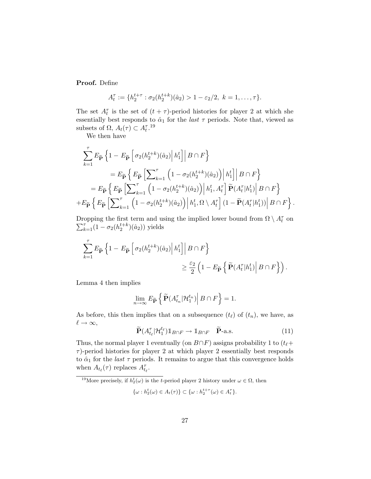Proof. Define

$$
A_t^{\tau} := \{ h_2^{t+\tau} : \sigma_2(h_2^{t+k})(\hat{a}_2) > 1 - \varepsilon_2/2, \ k = 1, \dots, \tau \}.
$$

The set  $A_t^{\tau}$  is the set of  $(t + \tau)$ -period histories for player 2 at which she essentially best responds to  $\hat{\alpha}_1$  for the *last*  $\tau$  periods. Note that, viewed as subsets of  $\Omega$ ,  $A_t(\tau) \subset A_t^{\tau}$ .<sup>[19](#page-29-0)</sup>

We then have

$$
\sum_{k=1}^{\tau} E_{\widetilde{\mathbf{P}}} \left\{ 1 - E_{\widetilde{\mathbf{P}}} \left[ \sigma_2(h_2^{t+k})(\hat{a}_2) \Big| h_1^t \right] \middle| B \cap F \right\}
$$
\n
$$
= E_{\widetilde{\mathbf{P}}} \left\{ E_{\widetilde{\mathbf{P}}} \left[ \sum_{k=1}^{\tau} \left( 1 - \sigma_2(h_2^{t+k})(\hat{a}_2) \right) \Big| h_1^t \right] \middle| B \cap F \right\}
$$
\n
$$
= E_{\widetilde{\mathbf{P}}} \left\{ E_{\widetilde{\mathbf{P}}} \left[ \sum_{k=1}^{\tau} \left( 1 - \sigma_2(h_2^{t+k})(\hat{a}_2) \right) \Big| h_1^t, A_t^{\tau} \right] \widetilde{\mathbf{P}}(A_t^{\tau}|h_1^t) \middle| B \cap F \right\}
$$
\n
$$
+ E_{\widetilde{\mathbf{P}}} \left\{ E_{\widetilde{\mathbf{P}}} \left[ \sum_{k=1}^{\tau} \left( 1 - \sigma_2(h_2^{t+k})(\hat{a}_2) \right) \Big| h_1^t, \Omega \setminus A_t^{\tau} \right] (1 - \widetilde{\mathbf{P}}(A_t^{\tau}|h_1^t)) \middle| B \cap F \right\}.
$$

Dropping the first term and using the implied lower bound from  $\Omega \setminus A_t^{\tau}$  on  $\sum_{k=1}^{7} (1 - \sigma_2(h_2^{t+k})(\hat{a}_2))$  yields

$$
\sum_{k=1}^{\tau} E_{\widetilde{\mathbf{P}}} \left\{ 1 - E_{\widetilde{\mathbf{P}}} \left[ \sigma_2(h_2^{t+k})(\hat{a}_2) \Big| h_1^t \right] \middle| B \cap F \right\} \n\geq \frac{\varepsilon_2}{2} \left( 1 - E_{\widetilde{\mathbf{P}}} \left\{ \widetilde{\mathbf{P}}(A_t^{\tau}|h_1^t) \middle| B \cap F \right\} \right).
$$

Lemma [4](#page-26-2) then implies

$$
\lim_{n \to \infty} E_{\widetilde{\mathbf{P}}} \left\{ \widetilde{\mathbf{P}}(A_{t_n}^{\tau} | \mathcal{H}_1^{t_n}) \middle| B \cap F \right\} = 1.
$$

As before, this then implies that on a subsequence  $(t_{\ell})$  of  $(t_n)$ , we have, as  $\ell \to \infty$ ,

<span id="page-29-1"></span>
$$
\widetilde{\mathbf{P}}(A_{t_{\ell}}^{\tau}|\mathcal{H}_1^{t_{\ell}})\mathbb{1}_{B\cap F}\to\mathbb{1}_{B\cap F}\quad\widetilde{\mathbf{P}}\text{-a.s.}\tag{11}
$$

 $\ddotsc$ 

Thus, the normal player 1 eventually (on  $B\cap F$ ) assigns probability 1 to  $(t_{\ell}+$  $\tau$ )-period histories for player 2 at which player 2 essentially best responds to  $\hat{\alpha}_1$  for the *last*  $\tau$  periods. It remains to argue that this convergence holds when  $A_{t_\ell}(\tau)$  replaces  $A_{t_\ell}^{\tau}$ .

$$
\{\omega: h_2^t(\omega) \in A_t(\tau)\} \subset \{\omega: h_2^{t+\tau}(\omega) \in A_t^{\tau}\}.
$$

<span id="page-29-0"></span><sup>&</sup>lt;sup>19</sup>More precisely, if  $h_2^t(\omega)$  is the t-period player 2 history under  $\omega \in \Omega$ , then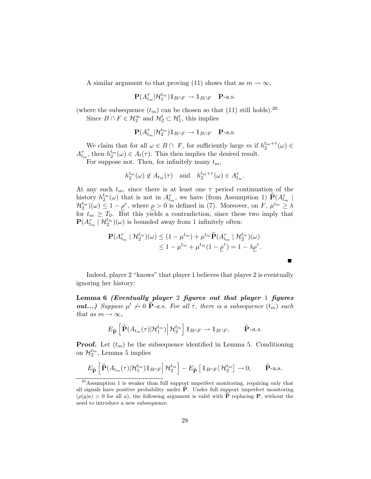A similar argument to that proving [\(11\)](#page-29-1) shows that as  $m \to \infty$ ,

$$
\mathbf{P}(A_{t_m}^\tau|\mathcal{H}_1^{t_m})\mathbbm{1}_{B\cap F}\to \mathbbm{1}_{B\cap F}\quad\mathbf{P}\text{-a.s.}
$$

(where the subsequence  $(t_m)$  can be chosen so that [\(11\)](#page-29-1) still holds).<sup>[20](#page-30-0)</sup> Since  $B \cap F \in \mathcal{H}_2^{\infty}$  and  $\mathcal{H}_2^t \subset \mathcal{H}_1^t$ , this implies

$$
\mathbf{P}(A_{t_m}^\tau|\mathcal{H}_2^{t_m})\mathbbm{1}_{B\cap F}\rightarrow \mathbbm{1}_{B\cap F}\quad\mathbf{P}\text{-a.s.}
$$

We claim that for all  $\omega \in B \cap F$ , for sufficiently large m if  $h_2^{t_m+\tau}(\omega) \in$  $A_{t_m}^{\tau}$ , then  $h_2^{t_m}(\omega) \in A_t(\tau)$ . This then implies the desired result.

For suppose not. Then, for infinitely many  $t_m$ ,

$$
h_2^{t_m}(\omega) \notin A_{t_m}(\tau) \quad \text{and} \quad h_2^{t_m+\tau}(\omega) \in A_{t_m}^{\tau}.
$$

At any such  $t_m$ , since there is at least one  $\tau$  period continuation of the history  $h_2^{t_m}(\omega)$  that is not in  $A_{t_m}^{\tau}$ , we have (from Assumption [1\)](#page-22-3)  $\widehat{P}(A_{t_m}^{\tau})$  $\mathcal{H}_{2}^{t_{m}}(\omega) \leq 1-\underline{\rho}^{\tau}$ , where  $\underline{\rho} > 0$  is defined in [\(7\)](#page-24-2). Moreover, on  $F, \mu^{t_{m}} \geq \lambda$ for  $t_m \geq T_0$ . But this yields a contradiction, since these two imply that  $\mathbf{P}(A^\tau_{t_m} \mid \mathcal{H}^{t_m}_2)(\omega)$  is bounded away from 1 infinitely often:

$$
\mathbf{P}(A_{t_m}^{\tau} \mid \mathcal{H}_2^{t_m})(\omega) \le (1 - \mu^{t_m}) + \mu^{t_m} \widehat{\mathbf{P}}(A_{t_m}^{\tau} \mid \mathcal{H}_2^{t_m})(\omega) \le 1 - \mu^{t_m} + \mu^{t_m} (1 - \underline{\rho}^{\tau}) = 1 - \lambda \underline{\rho}^{\tau}.
$$

Г

Indeed, player 2 "knows" that player 1 believes that player 2 is eventually ignoring her history:

<span id="page-30-1"></span>Lemma 6 (Eventually player 2 figures out that player 1 figures **out...**) Suppose  $\mu^t \nightharpoonup 0$   $\widetilde{\mathbf{P}}$ -a.s. For all  $\tau$ , there is a subsequence  $(t_m)$  such that as  $m \to \infty$ ,

$$
E_{\widetilde{\mathbf{P}}} \left[ \widetilde{\mathbf{P}} \left( A_{t_m}(\tau) | \mathcal{H}_1^{t_m} \right) \middle| \mathcal{H}_2^{t_m} \right] \mathbb{1}_{B \cap F} \to \mathbb{1}_{B \cap F}, \qquad \widetilde{\mathbf{P}}\text{-}a.s.
$$

**Proof.** Let  $(t_m)$  be the subsequence identified in Lemma [5.](#page-28-1) Conditioning on  $\mathcal{H}_2^{t_m}$ , Lemma [5](#page-28-1) implies

$$
E_{\widetilde{\mathbf{P}}} \left[ \widetilde{\mathbf{P}} (A_{t_m}(\tau) | \mathcal{H}_1^{t_m}) \mathbb{1}_{B \cap F} \middle| \mathcal{H}_2^{t_m} \right] - E_{\widetilde{\mathbf{P}}} \left[ \mathbb{1}_{B \cap F} | \mathcal{H}_2^{t_m} \right] \to 0, \qquad \widetilde{\mathbf{P}}\text{-a.s.}
$$

<span id="page-30-0"></span><sup>20</sup>Assumption [1](#page-22-3) is weaker than full support imperfect monitoring, requiring only that all signals have positive probability under  $\hat{P}$ . Under full support imperfect monitoring  $(\rho(y|a) > 0$  for all a), the following argument is valid with P replacing P, without the need to introduce a new subsequence.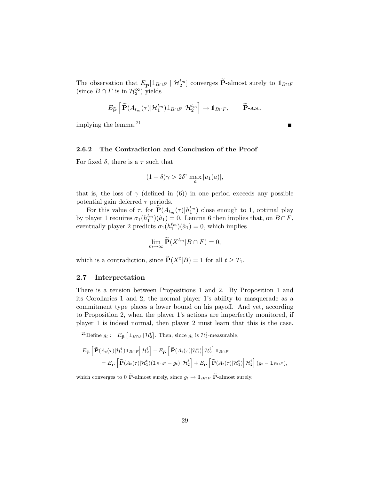The observation that  $E_{\tilde{\mathbf{P}}}[\mathbb{1}_{B\cap F} | \mathcal{H}_2^{t_m}]$  converges  $\tilde{\mathbf{P}}$ -almost surely to  $\mathbb{1}_{B\cap F}$ (since  $B \cap F$  is in  $\mathcal{H}_2^{\infty}$ ) yields

$$
E_{\widetilde{\mathbf{P}}} \left[ \widetilde{\mathbf{P}} (A_{t_m}(\tau) | \mathcal{H}_1^{t_m}) \mathbb{1}_{B \cap F} \middle| \mathcal{H}_2^{t_m} \right] \to \mathbb{1}_{B \cap F}, \qquad \widetilde{\mathbf{P}}\text{-a.s.},
$$

implying the lemma. $^{21}$  $^{21}$  $^{21}$ 

#### <span id="page-31-0"></span>2.6.2 The Contradiction and Conclusion of the Proof

For fixed  $\delta$ , there is a  $\tau$  such that

$$
(1 - \delta)\gamma > 2\delta^{\tau} \max_{a} |u_1(a)|,
$$

that is, the loss of  $\gamma$  (defined in [\(6\)](#page-24-1)) in one period exceeds any possible potential gain deferred  $\tau$  periods.

For this value of  $\tau$ , for  $\widetilde{\mathbf{P}}(A_{t_m}(\tau)|h_1^{t_m})$  close enough to 1, optimal play by player 1 requires  $\sigma_1(h_1^{t_m})(\hat{a}_1) = 0$ . Lemma [6](#page-30-1) then implies that, on  $B \cap F$ , eventually player 2 predicts  $\sigma_1(h_1^{tm})(\hat{a}_1) = 0$ , which implies

$$
\lim_{m \to \infty} \widetilde{\mathbf{P}}(X^{t_m} | B \cap F) = 0,
$$

which is a contradiction, since  $\widetilde{\mathbf{P}}(X^t|B) = 1$  for all  $t \geq T_1$ .

#### <span id="page-31-1"></span>2.7 Interpretation

There is a tension between Propositions [1](#page-15-0) and [2.](#page-23-1) By Proposition [1](#page-15-0) and its Corollaries [1](#page-15-1) and [2,](#page-20-1) the normal player 1's ability to masquerade as a commitment type places a lower bound on his payoff. And yet, according to Proposition [2,](#page-23-1) when the player 1's actions are imperfectly monitored, if player 1 is indeed normal, then player 2 must learn that this is the case.

<span id="page-31-2"></span><sup>21</sup>Define  $g_t := E_{\widetilde{\mathbf{P}}}\left[\left.\mathbbm{1}_{B\cap F}\right|\mathcal{H}_2^t\right]$ Then, since  $g_t$  is  $\mathcal{H}_2^t$ -measurable,

$$
E_{\tilde{\mathbf{P}}} \left[ \tilde{\mathbf{P}} (A_t(\tau) | \mathcal{H}_1^t) \mathbb{1}_{B \cap F} \middle| \mathcal{H}_2^t \right] - E_{\tilde{\mathbf{P}}} \left[ \tilde{\mathbf{P}} (A_t(\tau) | \mathcal{H}_1^t) \middle| \mathcal{H}_2^t \right] \mathbb{1}_{B \cap F} = E_{\tilde{\mathbf{P}}} \left[ \tilde{\mathbf{P}} (A_t(\tau) | \mathcal{H}_1^t) (\mathbb{1}_{B \cap F} - g_t) \middle| \mathcal{H}_2^t \right] + E_{\tilde{\mathbf{P}}} \left[ \tilde{\mathbf{P}} (A_t(\tau) | \mathcal{H}_1^t) \middle| \mathcal{H}_2^t \right] (g_t - \mathbb{1}_{B \cap F}),
$$

which converges to 0  $\widetilde{\mathbf{P}}$ -almost surely, since  $g_t \to \mathbbm{1}_{B \cap F}$   $\widetilde{\mathbf{P}}$ -almost surely.

 $\overline{\phantom{a}}$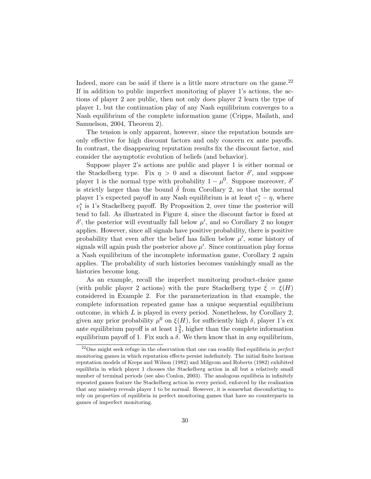Indeed, more can be said if there is a little more structure on the game. $^{22}$  $^{22}$  $^{22}$ If in addition to public imperfect monitoring of player 1's actions, the actions of player 2 are public, then not only does player 2 learn the type of player 1, but the continuation play of any Nash equilibrium converges to a Nash equilibrium of the complete information game [\(Cripps, Mailath, and](#page-84-2) [Samuelson, 2004,](#page-84-2) Theorem 2).

The tension is only apparent, however, since the reputation bounds are only effective for high discount factors and only concern ex ante payoffs. In contrast, the disappearing reputation results fix the discount factor, and consider the asymptotic evolution of beliefs (and behavior).

Suppose player 2's actions are public and player 1 is either normal or the Stackelberg type. Fix  $\eta > 0$  and a discount factor  $\delta'$ , and suppose player 1 is the normal type with probability  $1 - \mu^0$ . Suppose moreover,  $\delta'$ is strictly larger than the bound  $\bar{\delta}$  from Corollary [2,](#page-20-1) so that the normal player 1's expected payoff in any Nash equilibrium is at least  $v_1^* - \eta$ , where  $v_1^*$  is 1's Stackelberg payoff. By Proposition [2,](#page-23-1) over time the posterior will tend to fall. As illustrated in Figure [4,](#page-33-0) since the discount factor is fixed at  $δ'$ , the posterior will eventually fall below  $μ'$ , and so Corollary [2](#page-20-1) no longer applies. However, since all signals have positive probability, there is positive probability that even after the belief has fallen below  $\mu'$ , some history of signals will again push the posterior above  $\mu'$ . Since continuation play forms a Nash equilibrium of the incomplete information game, Corollary [2](#page-20-1) again applies. The probability of such histories becomes vanishingly small as the histories become long.

As an example, recall the imperfect monitoring product-choice game (with public player 2 actions) with the pure Stackelberg type  $\ddot{\xi} = \xi(H)$ considered in Example [2.](#page-18-0) For the parameterization in that example, the complete information repeated game has a unique sequential equilibrium outcome, in which  $L$  is played in every period. Nonetheless, by Corollary [2,](#page-20-1) given any prior probability  $\mu^0$  on  $\xi(H)$ , for sufficiently high  $\delta$ , player 1's ex ante equilibrium payoff is at least  $1\frac{3}{4}$ , higher than the complete information equilibrium payoff of 1. Fix such a  $\delta$ . We then know that in any equilibrium,

<span id="page-32-0"></span> $22$ One might seek refuge in the observation that one can readily find equilibria in *perfect* monitoring games in which reputation effects persist indefinitely. The initial finite horizon reputation models of [Kreps and Wilson](#page-86-1) [\(1982\)](#page-86-1) and [Milgrom and Roberts](#page-87-1) [\(1982\)](#page-87-1) exhibited equilibria in which player 1 chooses the Stackelberg action in all but a relatively small number of terminal periods (see also [Conlon, 2003\)](#page-84-6). The analogous equilibria in infinitely repeated games feature the Stackelberg action in every period, enforced by the realization that any misstep reveals player 1 to be normal. However, it is somewhat discomforting to rely on properties of equilibria in perfect monitoring games that have no counterparts in games of imperfect monitoring.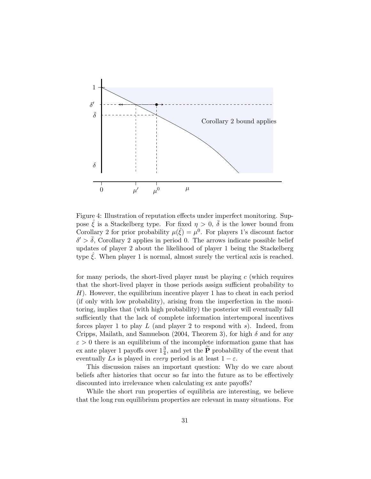

<span id="page-33-0"></span>Figure 4: Illustration of reputation effects under imperfect monitoring. Suppose  $\hat{\xi}$  is a Stackelberg type. For fixed  $\eta > 0$ ,  $\overline{\delta}$  is the lower bound from Corollary [2](#page-20-1) for prior probability  $\mu(\hat{\xi}) = \mu^0$ . For players 1's discount factor  $δ' > δ$ , Corollary [2](#page-20-1) applies in period 0. The arrows indicate possible belief updates of player 2 about the likelihood of player 1 being the Stackelberg type  $\xi$ . When player 1 is normal, almost surely the vertical axis is reached.

for many periods, the short-lived player must be playing  $c$  (which requires that the short-lived player in those periods assign sufficient probability to  $H$ ). However, the equilibrium incentive player 1 has to cheat in each period (if only with low probability), arising from the imperfection in the monitoring, implies that (with high probability) the posterior will eventually fall sufficiently that the lack of complete information intertemporal incentives forces player 1 to play  $L$  (and player 2 to respond with s). Indeed, from [Cripps, Mailath, and Samuelson \(2004,](#page-84-2) Theorem 3), for high  $\delta$  and for any  $\varepsilon > 0$  there is an equilibrium of the incomplete information game that has ex ante player 1 payoffs over  $1\frac{3}{4}$ , and yet the  $\tilde{P}$  probability of the event that eventually Ls is played in every period is at least  $1 - \varepsilon$ .

This discussion raises an important question: Why do we care about beliefs after histories that occur so far into the future as to be effectively discounted into irrelevance when calculating ex ante payoffs?

While the short run properties of equilibria are interesting, we believe that the long run equilibrium properties are relevant in many situations. For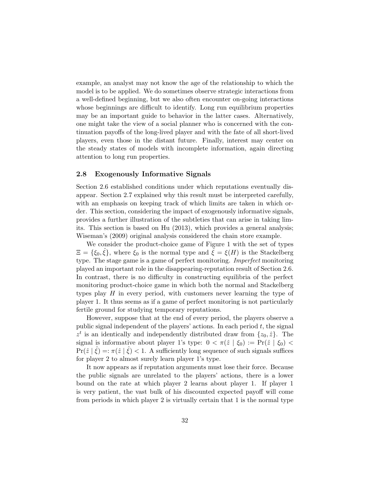example, an analyst may not know the age of the relationship to which the model is to be applied. We do sometimes observe strategic interactions from a well-defined beginning, but we also often encounter on-going interactions whose beginnings are difficult to identify. Long run equilibrium properties may be an important guide to behavior in the latter cases. Alternatively, one might take the view of a social planner who is concerned with the continuation payoffs of the long-lived player and with the fate of all short-lived players, even those in the distant future. Finally, interest may center on the steady states of models with incomplete information, again directing attention to long run properties.

#### <span id="page-34-0"></span>2.8 Exogenously Informative Signals

Section [2.6](#page-22-0) established conditions under which reputations eventually disappear. Section [2.7](#page-31-1) explained why this result must be interpreted carefully, with an emphasis on keeping track of which limits are taken in which order. This section, considering the impact of exogenously informative signals, provides a further illustration of the subtleties that can arise in taking limits. This section is based on [Hu \(2013\)](#page-86-5), which provides a general analysis; [Wiseman'](#page-87-4)s [\(2009\)](#page-87-4) original analysis considered the chain store example.

We consider the product-choice game of Figure [1](#page-5-2) with the set of types  $\Xi = {\xi_0, \hat{\xi}}$ , where  $\xi_0$  is the normal type and  $\tilde{\hat{\xi}} = \xi(H)$  is the Stackelberg type. The stage game is a game of perfect monitoring. *Imperfect* monitoring played an important role in the disappearing-reputation result of Section [2.6.](#page-22-0) In contrast, there is no difficulty in constructing equilibria of the perfect monitoring product-choice game in which both the normal and Stackelberg types play  $H$  in every period, with customers never learning the type of player 1. It thus seems as if a game of perfect monitoring is not particularly fertile ground for studying temporary reputations.

However, suppose that at the end of every period, the players observe a public signal independent of the players' actions. In each period  $t$ , the signal  $z<sup>t</sup>$  is an identically and independently distributed draw from  $\{z_0, \hat{z}\}\$ . The signal is informative about player 1's type:  $0 < \pi(\hat{z} \mid \xi_0) := \Pr(\hat{z} \mid \xi_0)$  $Pr(\hat{z} | \hat{\xi}) = \pi(\hat{z} | \hat{\xi}) < 1$ . A sufficiently long sequence of such signals suffices for player 2 to almost surely learn player 1's type.

It now appears as if reputation arguments must lose their force. Because the public signals are unrelated to the players' actions, there is a lower bound on the rate at which player 2 learns about player 1. If player 1 is very patient, the vast bulk of his discounted expected payoff will come from periods in which player 2 is virtually certain that 1 is the normal type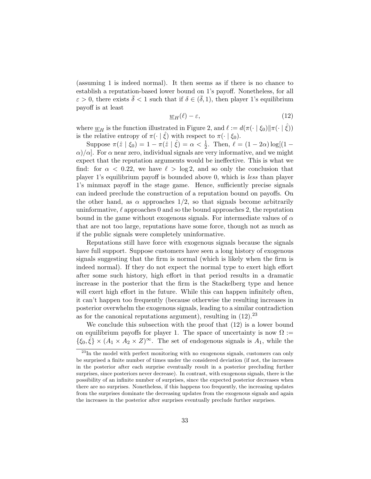(assuming 1 is indeed normal). It then seems as if there is no chance to establish a reputation-based lower bound on 1's payoff. Nonetheless, for all  $\varepsilon > 0$ , there exists  $\bar{\delta} < 1$  such that if  $\delta \in (\bar{\delta}, 1)$ , then player 1's equilibrium payoff is at least

<span id="page-35-0"></span>
$$
\underline{w}_H(\ell) - \varepsilon,\tag{12}
$$

where  $\underline{w}_H$  is the function illustrated in Figure [2,](#page-17-0) and  $\ell := d(\pi(\cdot | \xi_0) || \pi(\cdot | \xi))$ is the relative entropy of  $\pi(\cdot | \hat{\xi})$  with respect to  $\pi(\cdot | \xi_0)$ .

Suppose  $\pi(\hat{z} | \xi_0) = 1 - \pi(\hat{z} | \hat{\xi}) = \alpha < \frac{1}{2}$ . Then,  $\ell = (1 - 2\alpha) \log[(1 - \frac{1}{2})]$  $\alpha$ / $\alpha$ . For  $\alpha$  near zero, individual signals are very informative, and we might expect that the reputation arguments would be ineffective. This is what we find: for  $\alpha < 0.22$ , we have  $\ell > \log 2$ , and so only the conclusion that player 1's equilibrium payoff is bounded above 0, which is less than player 1's minmax payoff in the stage game. Hence, sufficiently precise signals can indeed preclude the construction of a reputation bound on payoffs. On the other hand, as  $\alpha$  approaches 1/2, so that signals become arbitrarily uninformative,  $\ell$  approaches 0 and so the bound approaches 2, the reputation bound in the game without exogenous signals. For intermediate values of  $\alpha$ that are not too large, reputations have some force, though not as much as if the public signals were completely uninformative.

Reputations still have force with exogenous signals because the signals have full support. Suppose customers have seen a long history of exogenous signals suggesting that the firm is normal (which is likely when the firm is indeed normal). If they do not expect the normal type to exert high effort after some such history, high effort in that period results in a dramatic increase in the posterior that the firm is the Stackelberg type and hence will exert high effort in the future. While this can happen infinitely often, it can't happen too frequently (because otherwise the resulting increases in posterior overwhelm the exogenous signals, leading to a similar contradiction as for the canonical reputations argument), resulting in  $(12).^{23}$  $(12).^{23}$  $(12).^{23}$ 

We conclude this subsection with the proof that [\(12\)](#page-35-0) is a lower bound on equilibrium payoffs for player 1. The space of uncertainty is now  $\Omega :=$  $\{\xi_0, \tilde{\xi}\}\times (A_1\times A_2\times Z)^\infty$ . The set of endogenous signals is  $A_1$ , while the

<span id="page-35-1"></span><sup>&</sup>lt;sup>23</sup>In the model with perfect monitoring with no exogenous signals, customers can only be surprised a finite number of times under the considered deviation (if not, the increases in the posterior after each surprise eventually result in a posterior precluding further surprises, since posteriors never decrease). In contrast, with exogenous signals, there is the possibility of an infinite number of surprises, since the expected posterior decreases when there are no surprises. Nonetheless, if this happens too frequently, the increasing updates from the surprises dominate the decreasing updates from the exogenous signals and again the increases in the posterior after surprises eventually preclude further surprises.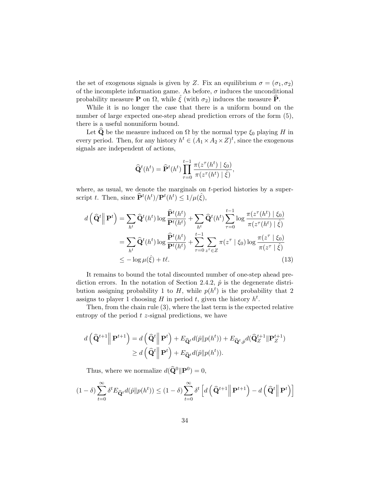the set of exogenous signals is given by Z. Fix an equilibrium  $\sigma = (\sigma_1, \sigma_2)$ of the incomplete information game. As before,  $\sigma$  induces the unconditional probability measure **P** on  $\Omega$ , while  $\xi$  (with  $\sigma_2$ ) induces the measure **P**.

While it is no longer the case that there is a uniform bound on the number of large expected one-step ahead prediction errors of the form  $(5)$ , there is a useful nonuniform bound.

Let  $\tilde{\mathbf{Q}}$  be the measure induced on  $\Omega$  by the normal type  $\xi_0$  playing H in every period. Then, for any history  $h^t \in (A_1 \times A_2 \times Z)^t$ , since the exogenous signals are independent of actions,

<span id="page-36-0"></span>
$$
\widehat{\mathbf{Q}}^{t}(h^{t}) = \widehat{\mathbf{P}}^{t}(h^{t}) \prod_{\tau=0}^{t-1} \frac{\pi(z^{\tau}(h^{t}) \mid \xi_{0})}{\pi(z^{\tau}(h^{t}) \mid \widehat{\xi})},
$$

where, as usual, we denote the marginals on  $t$ -period histories by a superscript t. Then, since  $\widehat{\mathbf{P}}^t(h^t)/\mathbf{P}^t(h^t) \leq 1/\mu(\hat{\xi}),$ 

$$
d\left(\widehat{\mathbf{Q}}^{t}\middle|\mathbf{P}^{t}\right) = \sum_{h^{t}} \widehat{\mathbf{Q}}^{t}(h^{t}) \log \frac{\widehat{\mathbf{P}}^{t}(h^{t})}{\mathbf{P}^{t}(h^{t})} + \sum_{h^{t}} \widehat{\mathbf{Q}}^{t}(h^{t}) \sum_{\tau=0}^{t-1} \log \frac{\pi(z^{\tau}(h^{t}) \mid \xi_{0})}{\pi(z^{\tau}(h^{t}) \mid \widehat{\xi})}
$$

$$
= \sum_{h^{t}} \widehat{\mathbf{Q}}^{t}(h^{t}) \log \frac{\widehat{\mathbf{P}}^{t}(h^{t})}{\mathbf{P}^{t}(h^{t})} + \sum_{\tau=0}^{t-1} \sum_{z^{\tau} \in \mathbb{Z}} \pi(z^{\tau} \mid \xi_{0}) \log \frac{\pi(z^{\tau} \mid \xi_{0})}{\pi(z^{\tau} \mid \widehat{\xi})}
$$

$$
\leq -\log \mu(\widehat{\xi}) + t\ell.
$$
(13)

It remains to bound the total discounted number of one-step ahead pre-diction errors. In the notation of Section [2.4.2,](#page-13-0)  $\hat{p}$  is the degenerate distribution assigning probability 1 to H, while  $p(h^t)$  is the probability that 2 assigns to player 1 choosing H in period t, given the history  $h^t$ .

Then, from the chain rule [\(3\)](#page-12-0), where the last term is the expected relative entropy of the period  $t$  z-signal predictions, we have

$$
d\left(\widehat{\mathbf{Q}}^{t+1}\middle\|\mathbf{P}^{t+1}\right) = d\left(\widehat{\mathbf{Q}}^t\middle\|\mathbf{P}^t\right) + E_{\widehat{\mathbf{Q}}^t}d(\widehat{p}\middle\|p(h^t)) + E_{\widehat{\mathbf{Q}}^t,\widehat{p}}d(\widehat{\mathbf{Q}}_Z^{t+1}\middle\|\mathbf{P}_Z^{t+1})
$$
  

$$
\geq d\left(\widehat{\mathbf{Q}}^t\middle\|\mathbf{P}^t\right) + E_{\widehat{\mathbf{Q}}^t}d(\widehat{p}\middle\|p(h^t)).
$$

Thus, where we normalize  $d(\hat{\mathbf{Q}}^0||\mathbf{P}^0) = 0$ ,

$$
(1 - \delta) \sum_{t=0}^{\infty} \delta^t E_{\widehat{\mathbf{Q}}^t} d(\widehat{p} || p(h^t)) \le (1 - \delta) \sum_{t=0}^{\infty} \delta^t \left[ d \left( \widehat{\mathbf{Q}}^{t+1} \middle\| \mathbf{P}^{t+1} \right) - d \left( \widehat{\mathbf{Q}}^t \middle\| \mathbf{P}^t \right) \right]
$$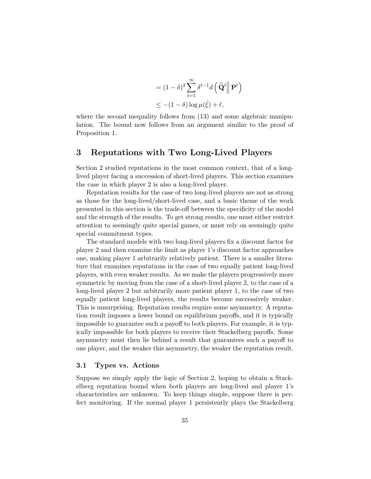$$
= (1 - \delta)^2 \sum_{t=1}^{\infty} \delta^{t-1} d\left(\widehat{\mathbf{Q}}^t \middle\| \mathbf{P}^t\right)
$$
  

$$
\leq -(1 - \delta) \log \mu(\widehat{\xi}) + \ell,
$$

where the second inequality follows from  $(13)$  and some algebraic manipulation. The bound now follows from an argument similar to the proof of Proposition [1.](#page-15-0)

# 3 Reputations with Two Long-Lived Players

Section [2](#page-5-0) studied reputations in the most common context, that of a longlived player facing a succession of short-lived players. This section examines the case in which player 2 is also a long-lived player.

Reputation results for the case of two long-lived players are not as strong as those for the long-lived/short-lived case, and a basic theme of the work presented in this section is the trade-off between the specificity of the model and the strength of the results. To get strong results, one must either restrict attention to seemingly quite special games, or must rely on seemingly quite special commitment types.

The standard models with two long-lived players fix a discount factor for player 2 and then examine the limit as player 1's discount factor approaches one, making player 1 arbitrarily relatively patient. There is a smaller literature that examines reputations in the case of two equally patient long-lived players, with even weaker results. As we make the players progressively more symmetric by moving from the case of a short-lived player 2, to the case of a long-lived player 2 but arbitrarily more patient player 1, to the case of two equally patient long-lived players, the results become successively weaker. This is unsurprising. Reputation results require some asymmetry. A reputation result imposes a lower bound on equilibrium payoffs, and it is typically impossible to guarantee such a payoff to both players, For example, it is typically impossible for both players to receive their Stackelberg payoffs. Some asymmetry must then lie behind a result that guarantees such a payoff to one player, and the weaker this asymmetry, the weaker the reputation result.

# 3.1 Types vs. Actions

Suppose we simply apply the logic of Section [2,](#page-5-0) hoping to obtain a Stackelberg reputation bound when both players are long-lived and player 1's characteristics are unknown. To keep things simple, suppose there is perfect monitoring. If the normal player 1 persistently plays the Stackelberg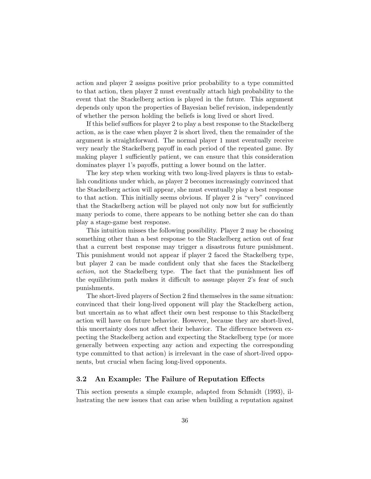action and player 2 assigns positive prior probability to a type committed to that action, then player 2 must eventually attach high probability to the event that the Stackelberg action is played in the future. This argument depends only upon the properties of Bayesian belief revision, independently of whether the person holding the beliefs is long lived or short lived.

If this belief suffices for player 2 to play a best response to the Stackelberg action, as is the case when player 2 is short lived, then the remainder of the argument is straightforward. The normal player 1 must eventually receive very nearly the Stackelberg payoff in each period of the repeated game. By making player 1 sufficiently patient, we can ensure that this consideration dominates player 1's payoffs, putting a lower bound on the latter.

The key step when working with two long-lived players is thus to establish conditions under which, as player 2 becomes increasingly convinced that the Stackelberg action will appear, she must eventually play a best response to that action. This initially seems obvious. If player 2 is "very" convinced that the Stackelberg action will be played not only now but for sufficiently many periods to come, there appears to be nothing better she can do than play a stage-game best response.

This intuition misses the following possibility. Player 2 may be choosing something other than a best response to the Stackelberg action out of fear that a current best response may trigger a disastrous future punishment. This punishment would not appear if player 2 faced the Stackelberg type, but player 2 can be made confident only that she faces the Stackelberg action, not the Stackelberg type. The fact that the punishment lies off the equilibrium path makes it difficult to assuage player 2's fear of such punishments.

The short-lived players of Section [2](#page-5-0) find themselves in the same situation: convinced that their long-lived opponent will play the Stackelberg action, but uncertain as to what affect their own best response to this Stackelberg action will have on future behavior. However, because they are short-lived, this uncertainty does not affect their behavior. The difference between expecting the Stackelberg action and expecting the Stackelberg type (or more generally between expecting any action and expecting the corresponding type committed to that action) is irrelevant in the case of short-lived opponents, but crucial when facing long-lived opponents.

# <span id="page-38-0"></span>3.2 An Example: The Failure of Reputation Effects

This section presents a simple example, adapted from [Schmidt \(1993\)](#page-87-0), illustrating the new issues that can arise when building a reputation against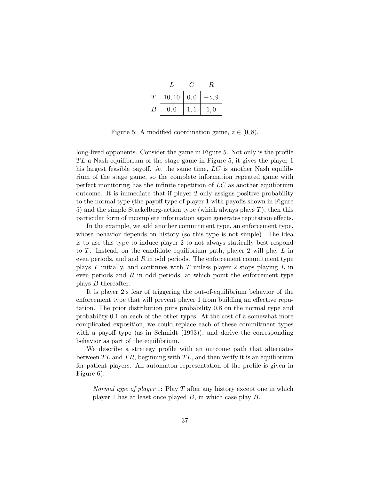|                  |        |            | К      |
|------------------|--------|------------|--------|
| T                | 10, 10 | $\mid 0,0$ | $-z,9$ |
| $\boldsymbol{B}$ | 0, 0   |            | 1,0    |

<span id="page-39-0"></span>Figure 5: A modified coordination game,  $z \in [0, 8)$ .

long-lived opponents. Consider the game in Figure [5.](#page-39-0) Not only is the profile  $TL$  a Nash equilibrium of the stage game in Figure [5,](#page-39-0) it gives the player 1 his largest feasible payoff. At the same time,  $LC$  is another Nash equilibrium of the stage game, so the complete information repeated game with perfect monitoring has the infinite repetition of  $LC$  as another equilibrium outcome. It is immediate that if player 2 only assigns positive probability to the normal type (the payoff type of player 1 with payoffs shown in Figure [5\)](#page-39-0) and the simple Stackelberg-action type (which always plays  $T$ ), then this particular form of incomplete information again generates reputation effects.

In the example, we add another commitment type, an enforcement type, whose behavior depends on history (so this type is not simple). The idea is to use this type to induce player 2 to not always statically best respond to  $T$ . Instead, on the candidate equilibrium path, player 2 will play  $L$  in even periods, and and  $R$  in odd periods. The enforcement commitment type plays T initially, and continues with T unless player 2 stops playing  $L$  in even periods and  $R$  in odd periods, at which point the enforcement type plays B thereafter.

It is player 2's fear of triggering the out-of-equilibrium behavior of the enforcement type that will prevent player 1 from building an effective reputation. The prior distribution puts probability 0.8 on the normal type and probability 0.1 on each of the other types. At the cost of a somewhat more complicated exposition, we could replace each of these commitment types with a payoff type (as in [Schmidt \(1993\)](#page-87-0)), and derive the corresponding behavior as part of the equilibrium.

We describe a strategy profile with an outcome path that alternates between TL and TR, beginning with TL, and then verify it is an equilibrium for patient players. An automaton representation of the profile is given in Figure [6\)](#page-40-0).

Normal type of player 1: Play  $T$  after any history except one in which player 1 has at least once played B, in which case play B.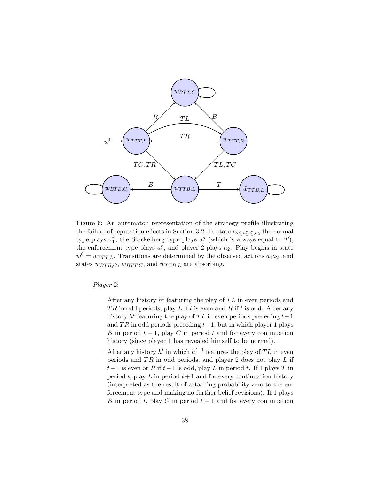

<span id="page-40-0"></span>Figure 6: An automaton representation of the strategy profile illustrating the failure of reputation effects in Section [3.2.](#page-38-0) In state  $w_{a_1^n a_1^s a_1^e, a_2}$  the normal type plays  $a_1^n$ , the Stackelberg type plays  $a_1^s$  (which is always equal to T), the enforcement type plays  $a_1^e$ , and player 2 plays  $a_2$ . Play begins in state  $w^0 = w_{TTT,L}$ . Transitions are determined by the observed actions  $a_1a_2$ , and states  $w_{BTB,C}$ ,  $w_{BTT,C}$ , and  $\hat{w}_{TTB,L}$  are absorbing.

## Player 2:

- After any history  $h^t$  featuring the play of TL in even periods and  $TR$  in odd periods, play L if t is even and R if t is odd. After any history  $h^t$  featuring the play of TL in even periods preceding  $t-1$ and  $TR$  in odd periods preceding  $t-1$ , but in which player 1 plays B in period  $t - 1$ , play C in period t and for every continuation history (since player 1 has revealed himself to be normal).
- − After any history  $h^t$  in which  $h^{t-1}$  features the play of TL in even periods and  $TR$  in odd periods, and player 2 does not play  $L$  if  $t-1$  is even or R if  $t-1$  is odd, play L in period t. If 1 plays T in period t, play L in period  $t+1$  and for every continuation history (interpreted as the result of attaching probability zero to the enforcement type and making no further belief revisions). If 1 plays B in period t, play C in period  $t + 1$  and for every continuation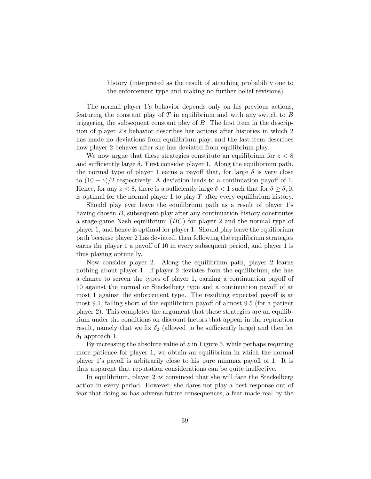history (interpreted as the result of attaching probability one to the enforcement type and making no further belief revisions).

The normal player 1's behavior depends only on his previous actions, featuring the constant play of  $T$  in equilibrium and with any switch to  $B$ triggering the subsequent constant play of  $B$ . The first item in the description of player 2's behavior describes her actions after histories in which 2 has made no deviations from equilibrium play, and the last item describes how player 2 behaves after she has deviated from equilibrium play.

We now argue that these strategies constitute an equilibrium for  $z < 8$ and sufficiently large  $\delta$ . First consider player 1. Along the equilibrium path, the normal type of player 1 earns a payoff that, for large  $\delta$  is very close to  $(10 - z)/2$  respectively. A deviation leads to a continuation payoff of 1. Hence, for any  $z < 8$ , there is a sufficiently large  $\bar{\delta} < 1$  such that for  $\delta \geq \bar{\delta}$ , it is optimal for the normal player 1 to play  $T$  after every equilibrium history.

Should play ever leave the equilibrium path as a result of player 1's having chosen B, subsequent play after any continuation history constitutes a stage-game Nash equilibrium  $(BC)$  for player 2 and the normal type of player 1, and hence is optimal for player 1. Should play leave the equilibrium path because player 2 has deviated, then following the equilibrium strategies earns the player 1 a payoff of 10 in every subsequent period, and player 1 is thus playing optimally.

Now consider player 2. Along the equilibrium path, player 2 learns nothing about player 1. If player 2 deviates from the equilibrium, she has a chance to screen the types of player 1, earning a continuation payoff of 10 against the normal or Stackelberg type and a continuation payoff of at most 1 against the enforcement type. The resulting expected payoff is at most 9.1, falling short of the equilibrium payoff of almost 9.5 (for a patient player 2). This completes the argument that these strategies are an equilibrium under the conditions on discount factors that appear in the reputation result, namely that we fix  $\delta_2$  (allowed to be sufficiently large) and then let  $\delta_1$  approach 1.

By increasing the absolute value of  $z$  in Figure [5,](#page-39-0) while perhaps requiring more patience for player 1, we obtain an equilibrium in which the normal player 1's payoff is arbitrarily close to his pure minmax payoff of 1. It is thus apparent that reputation considerations can be quite ineffective.

In equilibrium, player 2 is convinced that she will face the Stackelberg action in every period. However, she dares not play a best response out of fear that doing so has adverse future consequences, a fear made real by the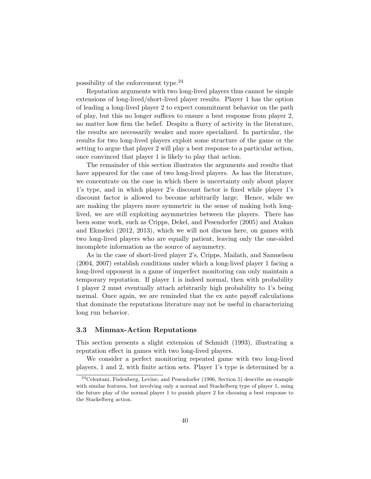possibility of the enforcement type.[24](#page-42-0)

Reputation arguments with two long-lived players thus cannot be simple extensions of long-lived/short-lived player results. Player 1 has the option of leading a long-lived player 2 to expect commitment behavior on the path of play, but this no longer suffices to ensure a best response from player 2, no matter how firm the belief. Despite a flurry of activity in the literature, the results are necessarily weaker and more specialized. In particular, the results for two long-lived players exploit some structure of the game or the setting to argue that player 2 will play a best response to a particular action, once convinced that player 1 is likely to play that action.

The remainder of this section illustrates the arguments and results that have appeared for the case of two long-lived players. As has the literature, we concentrate on the case in which there is uncertainty only about player 1's type, and in which player 2's discount factor is fixed while player 1's discount factor is allowed to become arbitrarily large. Hence, while we are making the players more symmetric in the sense of making both longlived, we are still exploiting asymmetries between the players. There has been some work, such as [Cripps, Dekel, and Pesendorfer \(2005\)](#page-84-0) and [Atakan](#page-83-0) [and Ekmekci \(2012,](#page-83-0) [2013\)](#page-83-1), which we will not discuss here, on games with two long-lived players who are equally patient, leaving only the one-sided incomplete information as the source of asymmetry.

As in the case of short-lived player 2's, [Cripps, Mailath, and Samuelson](#page-84-1) [\(2004,](#page-84-1) [2007\)](#page-84-2) establish conditions under which a long-lived player 1 facing a long-lived opponent in a game of imperfect monitoring can only maintain a temporary reputation. If player 1 is indeed normal, then with probability 1 player 2 must eventually attach arbitrarily high probability to 1's being normal. Once again, we are reminded that the ex ante payoff calculations that dominate the reputations literature may not be useful in characterizing long run behavior.

# <span id="page-42-1"></span>3.3 Minmax-Action Reputations

This section presents a slight extension of [Schmidt \(1993\)](#page-87-0), illustrating a reputation effect in games with two long-lived players.

We consider a perfect monitoring repeated game with two long-lived players, 1 and 2, with finite action sets. Player 1's type is determined by a

<span id="page-42-0"></span><sup>24</sup>[Celentani, Fudenberg, Levine, and Pesendorfer](#page-84-3) [\(1996,](#page-84-3) Section 5) describe an example with similar features, but involving only a normal and Stackelberg type of player 1, using the future play of the normal player 1 to punish player 2 for choosing a best response to the Stackelberg action.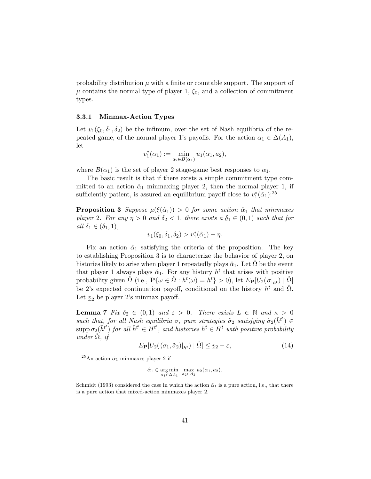probability distribution  $\mu$  with a finite or countable support. The support of  $\mu$  contains the normal type of player 1,  $\xi_0$ , and a collection of commitment types.

### 3.3.1 Minmax-Action Types

Let  $v_1(\xi_0, \delta_1, \delta_2)$  be the infimum, over the set of Nash equilibria of the re- $\lim_{\epsilon \to 0} \frac{\log_2(\xi_0, \xi_1, \xi_2)}{\log_2 \xi_1}$  be the mormal player 1's payoffs. For the action  $\alpha_1 \in \Delta(A_1)$ , let

$$
v_1^*(\alpha_1) := \min_{a_2 \in B(\alpha_1)} u_1(\alpha_1, a_2),
$$

where  $B(\alpha_1)$  is the set of player 2 stage-game best responses to  $\alpha_1$ .

The basic result is that if there exists a simple commitment type committed to an action  $\hat{\alpha}_1$  minmaxing player 2, then the normal player 1, if sufficiently patient, is assured an equilibrium payoff close to  $v_1^*(\hat{\alpha}_1)$ :<sup>[25](#page-43-0)</sup>

<span id="page-43-1"></span>**Proposition 3** Suppose  $\mu(\xi(\hat{\alpha}_1)) > 0$  for some action  $\hat{\alpha}_1$  that minmaxes player 2. For any  $\eta > 0$  and  $\delta_2 < 1$ , there exists a  $\delta_1 \in (0,1)$  such that for all  $\delta_1 \in (\underline{\delta}_1, 1),$ 

$$
\underline{v}_1(\xi_0, \delta_1, \delta_2) > v_1^*(\hat{\alpha}_1) - \eta.
$$

Fix an action  $\hat{\alpha}_1$  satisfying the criteria of the proposition. The key to establishing Proposition [3](#page-43-1) is to characterize the behavior of player 2, on histories likely to arise when player 1 repeatedly plays  $\hat{\alpha}_1$ . Let  $\hat{\Omega}$  be the event that player 1 always plays  $\hat{\alpha}_1$ . For any history  $h^t$  that arises with positive probability given  $\hat{\Omega}$  (i.e.,  $\mathbf{P}\{\omega \in \hat{\Omega} : h^t(\omega) = h^t\} > 0$ ), let  $E_{\mathbf{P}}[U_2(\sigma|_{h^t}) | \hat{\Omega}]$ be 2's expected continuation payoff, conditional on the history  $h^t$  and  $\hat{\Omega}$ . Let  $\underline{v}_2$  be player 2's minmax payoff.

<span id="page-43-3"></span>**Lemma 7** Fix  $\delta_2 \in (0,1)$  and  $\varepsilon > 0$ . There exists  $L \in \mathbb{N}$  and  $\kappa > 0$ such that, for all Nash equilibria  $\sigma$ , pure strategies  $\tilde{\sigma}_2$  satisfying  $\tilde{\sigma}_2(\bar{h}^{t'}) \in$  $\text{supp}\,\sigma_2(\bar{h}^{t'})$  for all  $\bar{h}^{t'} \in H^{t'}$ , and histories  $h^t \in H^{t}$  with positive probability under  $\hat{\Omega}$ , if

<span id="page-43-2"></span>
$$
E_{\mathbf{P}}[U_2((\sigma_1, \tilde{\sigma}_2)|_{h^t}) | \hat{\Omega}] \leq \nu_2 - \varepsilon,
$$
\n(14)

$$
\hat{\alpha}_1 \in \underset{\alpha_1 \in \Delta A_1}{\arg \min} \ \ \underset{a_2 \in A_2}{\max} \ u_2(\alpha_1, a_2).
$$

<span id="page-43-0"></span><sup>&</sup>lt;sup>25</sup>An action  $\hat{\alpha}_1$  minmaxes player 2 if

[Schmidt](#page-87-0) [\(1993\)](#page-87-0) considered the case in which the action  $\hat{\alpha}_1$  is a pure action, i.e., that there is a pure action that mixed-action minmaxes player 2.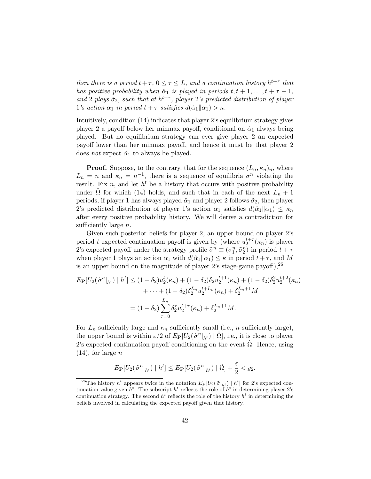then there is a period  $t + \tau$ ,  $0 \le \tau \le L$ , and a continuation history  $h^{t+\tau}$  that has positive probability when  $\hat{\alpha}_1$  is played in periods  $t, t + 1, \ldots, t + \tau - 1$ , and 2 plays  $\tilde{\sigma}_2$ , such that at  $h^{t+\tau}$ , player 2's predicted distribution of player 1's action  $\alpha_1$  in period  $t + \tau$  satisfies  $d(\hat{\alpha}_1 || \alpha_1) > \kappa$ .

Intuitively, condition [\(14\)](#page-43-2) indicates that player 2's equilibrium strategy gives player 2 a payoff below her minmax payoff, conditional on  $\hat{\alpha}_1$  always being played. But no equilibrium strategy can ever give player 2 an expected payoff lower than her minmax payoff, and hence it must be that player 2 does *not* expect  $\hat{\alpha}_1$  to always be played.

**Proof.** Suppose, to the contrary, that for the sequence  $(L_n, \kappa_n)_n$ , where  $L_n = n$  and  $\kappa_n = n^{-1}$ , there is a sequence of equilibria  $\sigma^n$  violating the result. Fix n, and let  $h<sup>t</sup>$  be a history that occurs with positive probability under  $\hat{\Omega}$  for which [\(14\)](#page-43-2) holds, and such that in each of the next  $L_n + 1$ periods, if player 1 has always played  $\hat{\alpha}_1$  and player 2 follows  $\tilde{\sigma}_2$ , then player 2's predicted distribution of player 1's action  $\alpha_1$  satisfies  $d(\hat{\alpha}_1||\alpha_1) \leq \kappa_n$ after every positive probability history. We will derive a contradiction for sufficiently large  $n$ .

Given such posterior beliefs for player 2, an upper bound on player 2's period t expected continuation payoff is given by (where  $u_2^{t+\tau}(\kappa_n)$  is player 2's expected payoff under the strategy profile  $\tilde{\sigma}^n \equiv (\sigma_1^n, \tilde{\sigma}_2^n)$  in period  $t + \tau$ when player 1 plays an action  $\alpha_1$  with  $d(\hat{\alpha}_1||\alpha_1) \leq \kappa$  in period  $t + \tau$ , and M is an upper bound on the magnitude of player 2's stage-game payoff),  $^{26}$  $^{26}$  $^{26}$ 

$$
E_{\mathbf{P}}[U_2(\tilde{\sigma}^n|_{h^t}) | h^t] \le (1 - \delta_2)u_2^t(\kappa_n) + (1 - \delta_2)\delta_2 u_2^{t+1}(\kappa_n) + (1 - \delta_2)\delta_2^2 u_2^{t+2}(\kappa_n) + \cdots + (1 - \delta_2)\delta_2^{L_n} u_2^{t+L_n}(\kappa_n) + \delta_2^{L_n+1} M = (1 - \delta_2) \sum_{\tau=0}^{L_n} \delta_2^{\tau} u_2^{t+\tau}(\kappa_n) + \delta_2^{L_n+1} M.
$$

For  $L_n$  sufficiently large and  $\kappa_n$  sufficiently small (i.e., n sufficiently large), the upper bound is within  $\varepsilon/2$  of  $E_{\mathbf{P}}[U_2(\tilde{\sigma}^n|_{h^t}) | \hat{\Omega}],$  i.e., it is close to player 2's expected continuation payoff conditioning on the event  $\Omega$ . Hence, using  $(14)$ , for large n

$$
E_{\mathbf{P}}[U_2(\tilde{\sigma}^n|_{h^t}) | h^t] \leq E_{\mathbf{P}}[U_2(\tilde{\sigma}^n|_{h^t}) | \hat{\Omega}] + \frac{\varepsilon}{2} < \underline{v}_2.
$$

<span id="page-44-0"></span><sup>&</sup>lt;sup>26</sup>The history  $h^t$  appears twice in the notation  $E_P[U_2(\tilde{\sigma}|_{h^t}) \mid h^t]$  for 2's expected continuation value given  $h^t$ . The subscript  $h^t$  reflects the role of  $h^t$  in determining player 2's continuation strategy. The second  $h^t$  reflects the role of the history  $h^t$  in determining the beliefs involved in calculating the expected payoff given that history.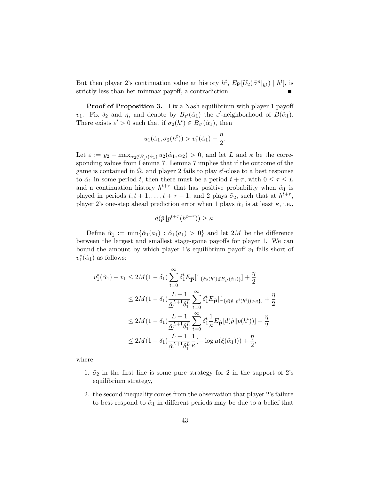But then player 2's continuation value at history  $h^t$ ,  $E_{\mathbf{P}}[U_2(\tilde{\sigma}^n|_{h^t}) | h^t]$ , is strictly less than her minmax payoff, a contradiction. П

**Proof of Proposition [3.](#page-43-1)** Fix a Nash equilibrium with player 1 payoff  $v_1$ . Fix  $\delta_2$  and  $\eta$ , and denote by  $B_{\varepsilon'}(\hat{\alpha}_1)$  the  $\varepsilon'$ -neighborhood of  $B(\hat{\alpha}_1)$ . There exists  $\varepsilon' > 0$  such that if  $\sigma_2(h^t) \in B_{\varepsilon'}(\hat{\alpha}_1)$ , then

$$
u_1(\hat{\alpha}_1, \sigma_2(h^t)) > v_1^*(\hat{\alpha}_1) - \frac{\eta}{2}.
$$

Let  $\varepsilon := \underline{v}_2 - \max_{\alpha_2 \notin B_{\varepsilon'}(\hat{\alpha}_1)} u_2(\hat{\alpha}_1, \alpha_2) > 0$ , and let L and  $\kappa$  be the corre-sponding values from Lemma [7.](#page-43-3) Lemma [7](#page-43-3) implies that if the outcome of the game is contained in  $\hat{\Omega}$ , and player 2 fails to play  $\varepsilon'$ -close to a best response to  $\hat{\alpha}_1$  in some period t, then there must be a period  $t + \tau$ , with  $0 \le \tau \le L$ and a continuation history  $h^{t+\tau}$  that has positive probability when  $\hat{\alpha}_1$  is played in periods  $t, t + 1, \ldots, t + \tau - 1$ , and 2 plays  $\tilde{\sigma}_2$ , such that at  $h^{t+\tau}$ , player 2's one-step ahead prediction error when 1 plays  $\hat{\alpha}_1$  is at least  $\kappa$ , i.e.,

$$
d(\hat{p}||p^{t+\tau}(h^{t+\tau})) \ge \kappa.
$$

Define  $\hat{\underline{\alpha}}_1 := \min\{\hat{\alpha}_1(a_1) : \hat{\alpha}_1(a_1) > 0\}$  and let 2M be the difference between the largest and smallest stage-game payoffs for player 1. We can bound the amount by which player 1's equilibrium payoff  $v_1$  falls short of  $v_1^*(\hat{\alpha}_1)$  as follows:

$$
v_1^*(\hat{\alpha}_1) - v_1 \le 2M(1 - \delta_1) \sum_{t=0}^{\infty} \delta_1^t E_{\widehat{\mathbf{P}}} [\mathbb{1}_{\{\tilde{\sigma}_2(h^t) \notin B_{\varepsilon'}(\hat{\alpha}_1)\}}] + \frac{\eta}{2}
$$
  

$$
\le 2M(1 - \delta_1) \frac{L+1}{\hat{\underline{\alpha}}_1^{L+1} \delta_1^L} \sum_{t=0}^{\infty} \delta_1^t E_{\widehat{\mathbf{P}}} [\mathbb{1}_{\{d(\hat{p}||p^t(h^t)) > \kappa\}}] + \frac{\eta}{2}
$$
  

$$
\le 2M(1 - \delta_1) \frac{L+1}{\hat{\underline{\alpha}}_1^{L+1} \delta_1^L} \sum_{t=0}^{\infty} \delta_1^t \frac{1}{\kappa} E_{\widehat{\mathbf{P}}} [d(\hat{p}||p(h^t))] + \frac{\eta}{2}
$$
  

$$
\le 2M(1 - \delta_1) \frac{L+1}{\hat{\underline{\alpha}}_1^{L+1} \delta_1^L} \frac{1}{\kappa} (-\log \mu(\xi(\hat{\alpha}_1))) + \frac{\eta}{2},
$$

where

- 1.  $\tilde{\sigma}_2$  in the first line is some pure strategy for 2 in the support of 2's equilibrium strategy,
- 2. the second inequality comes from the observation that player 2's failure to best respond to  $\hat{\alpha}_1$  in different periods may be due to a belief that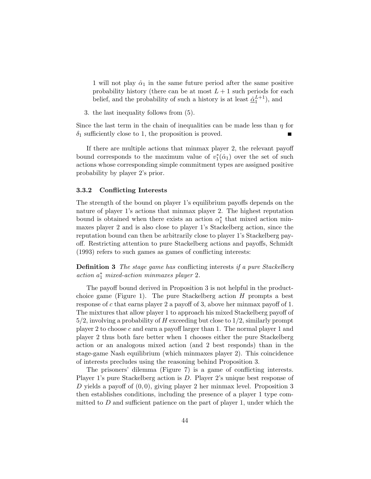1 will not play  $\hat{\alpha}_1$  in the same future period after the same positive probability history (there can be at most  $L + 1$  such periods for each belief, and the probability of such a history is at least  $\hat{\underline{\alpha}}_1^{L+1}$ , and

3. the last inequality follows from [\(5\)](#page-14-0).

Since the last term in the chain of inequalities can be made less than  $\eta$  for  $\delta_1$  sufficiently close to 1, the proposition is proved.

If there are multiple actions that minmax player 2, the relevant payoff bound corresponds to the maximum value of  $v_1^*(\hat{\alpha}_1)$  over the set of such actions whose corresponding simple commitment types are assigned positive probability by player 2's prior.

### 3.3.2 Conflicting Interests

The strength of the bound on player 1's equilibrium payoffs depends on the nature of player 1's actions that minmax player 2. The highest reputation bound is obtained when there exists an action  $\alpha_1^*$  that mixed action minmaxes player 2 and is also close to player 1's Stackelberg action, since the reputation bound can then be arbitrarily close to player 1's Stackelberg payoff. Restricting attention to pure Stackelberg actions and payoffs, [Schmidt](#page-87-0) [\(1993\)](#page-87-0) refers to such games as games of conflicting interests:

Definition 3 The stage game has conflicting interests if a pure Stackelberg  $action \ a_1^* \ mixed-action \ minmaxes \ player \ 2.$ 

The payoff bound derived in Proposition [3](#page-43-1) is not helpful in the product-choice game (Figure [1\)](#page-5-1). The pure Stackelberg action  $H$  prompts a best response of c that earns player 2 a payoff of 3, above her minmax payoff of 1. The mixtures that allow player 1 to approach his mixed Stackelberg payoff of  $5/2$ , involving a probability of H exceeding but close to  $1/2$ , similarly prompt player 2 to choose c and earn a payoff larger than 1. The normal player 1 and player 2 thus both fare better when 1 chooses either the pure Stackelberg action or an analogous mixed action (and 2 best responds) than in the stage-game Nash equilibrium (which minmaxes player 2). This coincidence of interests precludes using the reasoning behind Proposition [3.](#page-43-1)

The prisoners' dilemma (Figure [7\)](#page-47-0) is a game of conflicting interests. Player 1's pure Stackelberg action is D. Player 2's unique best response of D yields a payoff of  $(0, 0)$ , giving player 2 her minmax level. Proposition [3](#page-43-1) then establishes conditions, including the presence of a player 1 type committed to  $D$  and sufficient patience on the part of player 1, under which the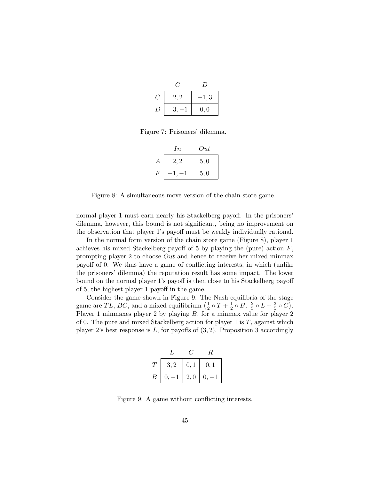|                |         | , ו     |
|----------------|---------|---------|
| C !            | 2, 2    | $-1, 3$ |
| $\overline{D}$ | $3, -1$ | 0, 0    |

Figure 7: Prisoners' dilemma.

<span id="page-47-0"></span>

|   | In   | Out |
|---|------|-----|
| А | 2, 2 | 5,0 |
| F |      | 5,0 |

<span id="page-47-1"></span>Figure 8: A simultaneous-move version of the chain-store game.

normal player 1 must earn nearly his Stackelberg payoff. In the prisoners' dilemma, however, this bound is not significant, being no improvement on the observation that player 1's payoff must be weakly individually rational.

In the normal form version of the chain store game (Figure [8\)](#page-47-1), player 1 achieves his mixed Stackelberg payoff of 5 by playing the (pure) action  $F$ , prompting player 2 to choose  $Out$  and hence to receive her mixed minmax payoff of 0. We thus have a game of conflicting interests, in which (unlike the prisoners' dilemma) the reputation result has some impact. The lower bound on the normal player 1's payoff is then close to his Stackelberg payoff of 5, the highest player 1 payoff in the game.

Consider the game shown in Figure [9.](#page-47-2) The Nash equilibria of the stage game are TL, BC, and a mixed equilibrium  $(\frac{1}{2})$  $\frac{1}{2} \circ T + \frac{1}{2}$  $\frac{1}{2} \circ B$ ,  $\frac{2}{5} \circ L + \frac{3}{5}$  $\frac{3}{5} \circ C$ ). Player 1 minmaxes player 2 by playing  $B$ , for a minmax value for player 2 of 0. The pure and mixed Stackelberg action for player 1 is  $T$ , against which player 2's best response is  $L$ , for payoffs of  $(3, 2)$ . Proposition [3](#page-43-1) accordingly

|                  |         |                 | R.      |
|------------------|---------|-----------------|---------|
| Ί'               | 3, 2    | 0,1             | 0, 1    |
| $\boldsymbol{B}$ | $0, -1$ | $\mid 2,0 \mid$ | $0, -1$ |

<span id="page-47-2"></span>Figure 9: A game without conflicting interests.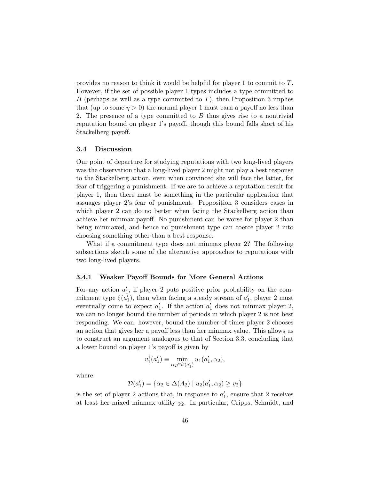provides no reason to think it would be helpful for player 1 to commit to T. However, if the set of possible player 1 types includes a type committed to B (perhaps as well as a type committed to  $T$ ), then Proposition [3](#page-43-1) implies that (up to some  $\eta > 0$ ) the normal player 1 must earn a payoff no less than 2. The presence of a type committed to  $B$  thus gives rise to a nontrivial reputation bound on player 1's payoff, though this bound falls short of his Stackelberg payoff.

## 3.4 Discussion

Our point of departure for studying reputations with two long-lived players was the observation that a long-lived player 2 might not play a best response to the Stackelberg action, even when convinced she will face the latter, for fear of triggering a punishment. If we are to achieve a reputation result for player 1, then there must be something in the particular application that assuages player 2's fear of punishment. Proposition [3](#page-43-1) considers cases in which player 2 can do no better when facing the Stackelberg action than achieve her minmax payoff. No punishment can be worse for player 2 than being minmaxed, and hence no punishment type can coerce player 2 into choosing something other than a best response.

What if a commitment type does not minmax player 2? The following subsections sketch some of the alternative approaches to reputations with two long-lived players.

#### <span id="page-48-0"></span>3.4.1 Weaker Payoff Bounds for More General Actions

For any action  $a'_1$ , if player 2 puts positive prior probability on the commitment type  $\xi(a_1)$ , then when facing a steady stream of  $a_1'$ , player 2 must eventually come to expect  $a'_1$ . If the action  $a'_1$  does not minmax player 2, we can no longer bound the number of periods in which player 2 is not best responding. We can, however, bound the number of times player 2 chooses an action that gives her a payoff less than her minmax value. This allows us to construct an argument analogous to that of Section [3.3,](#page-42-1) concluding that a lower bound on player 1's payoff is given by

$$
v_1^{\dagger}(a'_1) \equiv \min_{\alpha_2 \in \mathcal{D}(a'_1)} u_1(a'_1, \alpha_2),
$$

where

$$
\mathcal{D}(a'_1) = \{ \alpha_2 \in \Delta(A_2) \mid u_2(a'_1, \alpha_2) \ge v_2 \}
$$

is the set of player 2 actions that, in response to  $a'_1$ , ensure that 2 receives at least her mixed minmax utility  $v_2$ . In particular, [Cripps, Schmidt, and](#page-85-0)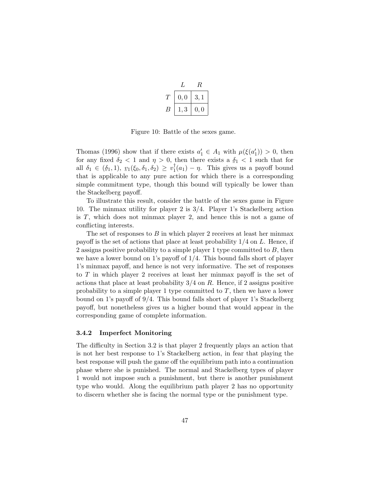|           |     | R.  |
|-----------|-----|-----|
| ΄ Γ       | 0,0 | 3,1 |
| $\vec{r}$ | 1,3 | 0,0 |

<span id="page-49-0"></span>Figure 10: Battle of the sexes game.

[Thomas \(1996\)](#page-85-0) show that if there exists  $a'_1 \in A_1$  with  $\mu(\xi(a'_1)) > 0$ , then for any fixed  $\delta_2$  < 1 and  $\eta > 0$ , then there exists a  $\delta_1$  < 1 such that for all  $\delta_1 \in (\underline{\delta_1}, 1), v_1(\xi_0, \delta_1, \delta_2) \geq v_1^{\dagger}(a_1) - \eta$ . This gives that is applicable to any pure action for which there is a corresponding  $\int_1^{\pi} (a_1) - \eta$ . This gives us a payoff bound simple commitment type, though this bound will typically be lower than the Stackelberg payoff.

To illustrate this result, consider the battle of the sexes game in Figure [10.](#page-49-0) The minmax utility for player 2 is 3/4. Player 1's Stackelberg action is T, which does not minmax player 2, and hence this is not a game of conflicting interests.

The set of responses to  $B$  in which player 2 receives at least her minmax payoff is the set of actions that place at least probability  $1/4$  on  $L$ . Hence, if 2 assigns positive probability to a simple player 1 type committed to  $B$ , then we have a lower bound on 1's payoff of  $1/4$ . This bound falls short of player 1's minmax payoff, and hence is not very informative. The set of responses to T in which player 2 receives at least her minmax payoff is the set of actions that place at least probability  $3/4$  on R. Hence, if 2 assigns positive probability to a simple player 1 type committed to  $T$ , then we have a lower bound on 1's payoff of 9/4. This bound falls short of player 1's Stackelberg payoff, but nonetheless gives us a higher bound that would appear in the corresponding game of complete information.

#### <span id="page-49-1"></span>3.4.2 Imperfect Monitoring

The difficulty in Section [3.2](#page-38-0) is that player 2 frequently plays an action that is not her best response to 1's Stackelberg action, in fear that playing the best response will push the game off the equilibrium path into a continuation phase where she is punished. The normal and Stackelberg types of player 1 would not impose such a punishment, but there is another punishment type who would. Along the equilibrium path player 2 has no opportunity to discern whether she is facing the normal type or the punishment type.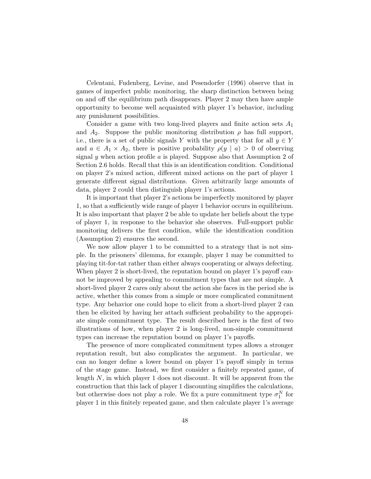[Celentani, Fudenberg, Levine, and Pesendorfer \(1996\)](#page-84-3) observe that in games of imperfect public monitoring, the sharp distinction between being on and off the equilibrium path disappears. Player 2 may then have ample opportunity to become well acquainted with player 1's behavior, including any punishment possibilities.

Consider a game with two long-lived players and finite action sets  $A_1$ and  $A_2$ . Suppose the public monitoring distribution  $\rho$  has full support, i.e., there is a set of public signals Y with the property that for all  $y \in Y$ and  $a \in A_1 \times A_2$ , there is positive probability  $\rho(y \mid a) > 0$  of observing signal y when action profile a is played. Suppose also that Assumption [2](#page-22-0) of Section [2.6](#page-22-1) holds. Recall that this is an identification condition. Conditional on player 2's mixed action, different mixed actions on the part of player 1 generate different signal distributions. Given arbitrarily large amounts of data, player 2 could then distinguish player 1's actions.

It is important that player 2's actions be imperfectly monitored by player 1, so that a sufficiently wide range of player 1 behavior occurs in equilibrium. It is also important that player 2 be able to update her beliefs about the type of player 1, in response to the behavior she observes. Full-support public monitoring delivers the first condition, while the identification condition (Assumption [2\)](#page-22-0) ensures the second.

We now allow player 1 to be committed to a strategy that is not simple. In the prisoners' dilemma, for example, player 1 may be committed to playing tit-for-tat rather than either always cooperating or always defecting. When player 2 is short-lived, the reputation bound on player 1's payoff cannot be improved by appealing to commitment types that are not simple. A short-lived player 2 cares only about the action she faces in the period she is active, whether this comes from a simple or more complicated commitment type. Any behavior one could hope to elicit from a short-lived player 2 can then be elicited by having her attach sufficient probability to the appropriate simple commitment type. The result described here is the first of two illustrations of how, when player 2 is long-lived, non-simple commitment types can increase the reputation bound on player 1's payoffs.

The presence of more complicated commitment types allows a stronger reputation result, but also complicates the argument. In particular, we can no longer define a lower bound on player 1's payoff simply in terms of the stage game. Instead, we first consider a finitely repeated game, of length  $N$ , in which player 1 does not discount. It will be apparent from the construction that this lack of player 1 discounting simplifies the calculations, but otherwise does not play a role. We fix a pure commitment type  $\sigma_1^N$  for player 1 in this finitely repeated game, and then calculate player 1's average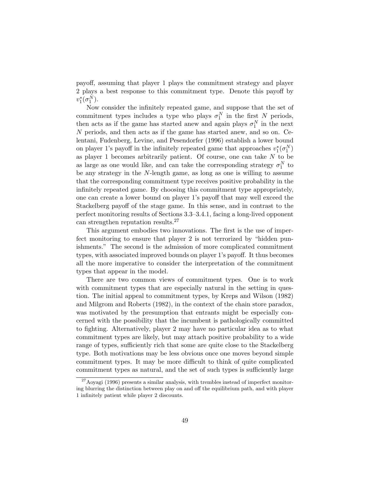payoff, assuming that player 1 plays the commitment strategy and player 2 plays a best response to this commitment type. Denote this payoff by  $v_1^*(\sigma_1^N)$ .

Now consider the infinitely repeated game, and suppose that the set of commitment types includes a type who plays  $\sigma_1^N$  in the first N periods, then acts as if the game has started anew and again plays  $\sigma_1^N$  in the next N periods, and then acts as if the game has started anew, and so on. [Ce](#page-84-3)[lentani, Fudenberg, Levine, and Pesendorfer \(1996\)](#page-84-3) establish a lower bound on player 1's payoff in the infinitely repeated game that approaches  $v_1^*(\sigma_1^N)$ as player 1 becomes arbitrarily patient. Of course, one can take  $N$  to be as large as one would like, and can take the corresponding strategy  $\sigma_1^N$  to be any strategy in the N-length game, as long as one is willing to assume that the corresponding commitment type receives positive probability in the infinitely repeated game. By choosing this commitment type appropriately, one can create a lower bound on player 1's payoff that may well exceed the Stackelberg payoff of the stage game. In this sense, and in contrast to the perfect monitoring results of Sections [3.3–](#page-42-1)[3.4.1,](#page-48-0) facing a long-lived opponent can strengthen reputation results.[27](#page-51-0)

This argument embodies two innovations. The first is the use of imperfect monitoring to ensure that player 2 is not terrorized by "hidden punishments." The second is the admission of more complicated commitment types, with associated improved bounds on player 1's payoff. It thus becomes all the more imperative to consider the interpretation of the commitment types that appear in the model.

There are two common views of commitment types. One is to work with commitment types that are especially natural in the setting in question. The initial appeal to commitment types, by [Kreps and Wilson \(1982\)](#page-86-0) and [Milgrom and Roberts \(1982\)](#page-87-1), in the context of the chain store paradox, was motivated by the presumption that entrants might be especially concerned with the possibility that the incumbent is pathologically committed to fighting. Alternatively, player 2 may have no particular idea as to what commitment types are likely, but may attach positive probability to a wide range of types, sufficiently rich that some are quite close to the Stackelberg type. Both motivations may be less obvious once one moves beyond simple commitment types. It may be more difficult to think of quite complicated commitment types as natural, and the set of such types is sufficiently large

<span id="page-51-0"></span> $27$ [Aoyagi](#page-83-2) [\(1996\)](#page-83-2) presents a similar analysis, with trembles instead of imperfect monitoring blurring the distinction between play on and off the equilibrium path, and with player 1 infinitely patient while player 2 discounts.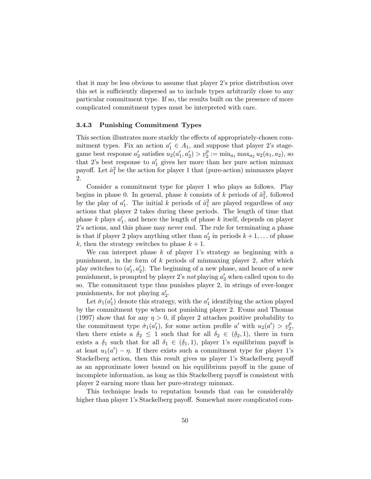that it may be less obvious to assume that player 2's prior distribution over this set is sufficiently dispersed as to include types arbitrarily close to any particular commitment type. If so, the results built on the presence of more complicated commitment types must be interpreted with care.

## 3.4.3 Punishing Commitment Types

This section illustrates more starkly the effects of appropriately-chosen commitment types. Fix an action  $a'_1 \in A_1$ , and suppose that player 2's stagegame best response  $a'_2$  satisfies  $u_2(a'_1, a'_2) > v_2^p$ that 2's best response to  $a'_1$  gives her more than her pure action minmax  $_2^p := \min_{a_1} \max_{a_2} u_2(a_1, a_2)$ , so payoff. Let  $\hat{a}_1^2$  be the action for player 1 that (pure-action) minmaxes player 2.

Consider a commitment type for player 1 who plays as follows. Play begins in phase 0. In general, phase k consists of k periods of  $\hat{a}_1^2$ , followed by the play of  $a'_1$ . The initial k periods of  $\hat{a}_1^2$  are played regardless of any actions that player 2 takes during these periods. The length of time that phase  $k$  plays  $a'_1$ , and hence the length of phase  $k$  itself, depends on player 2's actions, and this phase may never end. The rule for terminating a phase is that if player 2 plays anything other than  $a'_2$  in periods  $k+1, \ldots$  of phase k, then the strategy switches to phase  $k + 1$ .

We can interpret phase  $k$  of player 1's strategy as beginning with a punishment, in the form of  $k$  periods of minmaxing player 2, after which play switches to  $(a'_1, a'_2)$ . The beginning of a new phase, and hence of a new punishment, is prompted by player 2's *not* playing  $a'_2$  when called upon to do so. The commitment type thus punishes player 2, in strings of ever-longer punishments, for not playing  $a'_2$ .

Let  $\hat{\sigma}_1(a'_1)$  denote this strategy, with the  $a'_1$  identifying the action played by the commitment type when not punishing player 2. [Evans and Thomas](#page-85-1) [\(1997\)](#page-85-1) show that for any  $\eta > 0$ , if player 2 attaches positive probability to the commitment type  $\hat{\sigma}_1(a'_1)$ , for some action profile a' with  $u_2(a') > v_2^p$ then there exists a  $\delta_2 \leq 1$  such that for all  $\delta_2 \in (\delta_2, 1)$ , there in turn  $_{2}^{p},$ exists a  $\delta_1$  such that for all  $\delta_1 \in (\delta_1, 1)$ , player 1's equilibrium payoff is at least  $u_1(a') - \eta$ . If there exists such a commitment type for player 1's Stackelberg action, then this result gives us player 1's Stackelberg payoff as an approximate lower bound on his equilibrium payoff in the game of incomplete information, as long as this Stackelberg payoff is consistent with player 2 earning more than her pure-strategy minmax.

This technique leads to reputation bounds that can be considerably higher than player 1's Stackelberg payoff. Somewhat more complicated com-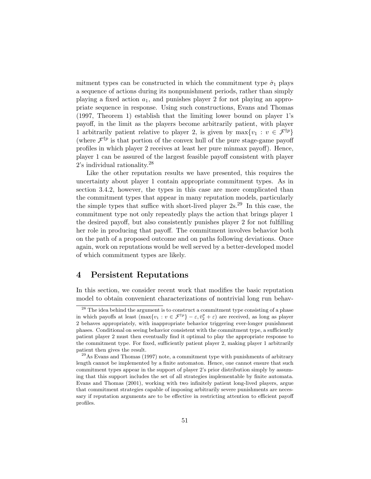mitment types can be constructed in which the commitment type  $\hat{\sigma}_1$  plays a sequence of actions during its nonpunishment periods, rather than simply playing a fixed action  $a_1$ , and punishes player 2 for not playing an appropriate sequence in response. Using such constructions, [Evans and Thomas](#page-85-1) [\(1997,](#page-85-1) Theorem 1) establish that the limiting lower bound on player 1's payoff, in the limit as the players become arbitrarily patient, with player 1 arbitrarily patient relative to player 2, is given by  $\max\{v_1 : v \in \mathcal{F}^{\dagger p}\}\$ (where  $\mathcal{F}^{\dagger p}$  is that portion of the convex hull of the pure stage-game payoff profiles in which player 2 receives at least her pure minmax payoff). Hence, player 1 can be assured of the largest feasible payoff consistent with player 2's individual rationality.[28](#page-53-0)

Like the other reputation results we have presented, this requires the uncertainty about player 1 contain appropriate commitment types. As in section [3.4.2,](#page-49-1) however, the types in this case are more complicated than the commitment types that appear in many reputation models, particularly the simple types that suffice with short-lived player  $2s^{29}$  $2s^{29}$  $2s^{29}$  In this case, the commitment type not only repeatedly plays the action that brings player 1 the desired payoff, but also consistently punishes player 2 for not fulfilling her role in producing that payoff. The commitment involves behavior both on the path of a proposed outcome and on paths following deviations. Once again, work on reputations would be well served by a better-developed model of which commitment types are likely.

# 4 Persistent Reputations

In this section, we consider recent work that modifies the basic reputation model to obtain convenient characterizations of nontrivial long run behav-

<span id="page-53-0"></span> $28$  The idea behind the argument is to construct a commitment type consisting of a phase in which payoffs at least  $(\max\{v_1 : v \in \mathcal{F}^{\dagger p}\} - \varepsilon, \bar{v}_2^p + \varepsilon)$  are received, as long as player 2 behaves appropriately, with inappropriate behavior triggering ever-longer punishment phases. Conditional on seeing behavior consistent with the commitment type, a sufficiently patient player 2 must then eventually find it optimal to play the appropriate response to the commitment type. For fixed, sufficiently patient player 2, making player 1 arbitrarily patient then gives the result.

<span id="page-53-1"></span> $^{29}$ As [Evans and Thomas](#page-85-1) [\(1997\)](#page-85-1) note, a commitment type with punishments of arbitrary length cannot be implemented by a finite automaton. Hence, one cannot ensure that such commitment types appear in the support of player 2's prior distribution simply by assuming that this support includes the set of all strategies implementable by finite automata. [Evans and Thomas](#page-85-2) [\(2001\)](#page-85-2), working with two infinitely patient long-lived players, argue that commitment strategies capable of imposing arbitrarily severe punishments are necessary if reputation arguments are to be effective in restricting attention to efficient payoff profiles.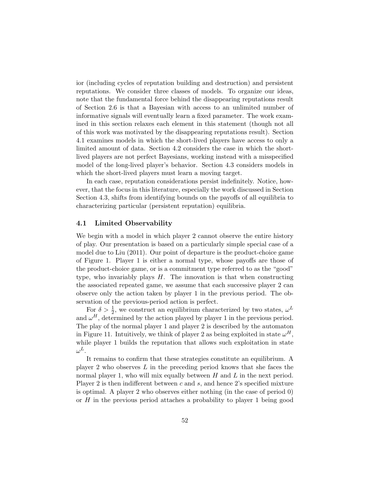ior (including cycles of reputation building and destruction) and persistent reputations. We consider three classes of models. To organize our ideas, note that the fundamental force behind the disappearing reputations result of Section [2.6](#page-22-1) is that a Bayesian with access to an unlimited number of informative signals will eventually learn a fixed parameter. The work examined in this section relaxes each element in this statement (though not all of this work was motivated by the disappearing reputations result). Section [4.1](#page-54-0) examines models in which the short-lived players have access to only a limited amount of data. Section [4.2](#page-57-0) considers the case in which the shortlived players are not perfect Bayesians, working instead with a misspecified model of the long-lived player's behavior. Section [4.3](#page-62-0) considers models in which the short-lived players must learn a moving target.

In each case, reputation considerations persist indefinitely. Notice, however, that the focus in this literature, especially the work discussed in Section Section [4.3,](#page-62-0) shifts from identifying bounds on the payoffs of all equilibria to characterizing particular (persistent reputation) equilibria.

## <span id="page-54-0"></span>4.1 Limited Observability

We begin with a model in which player 2 cannot observe the entire history of play. Our presentation is based on a particularly simple special case of a model due to [Liu \(2011\)](#page-86-1). Our point of departure is the product-choice game of Figure [1.](#page-5-1) Player 1 is either a normal type, whose payoffs are those of the product-choice game, or is a commitment type referred to as the "good" type, who invariably plays  $H$ . The innovation is that when constructing the associated repeated game, we assume that each successive player 2 can observe only the action taken by player 1 in the previous period. The observation of the previous-period action is perfect.

For  $\delta > \frac{1}{2}$ , we construct an equilibrium characterized by two states,  $\omega^L$ and  $\omega^H$ , determined by the action played by player 1 in the previous period. The play of the normal player 1 and player 2 is described by the automaton in Figure [11.](#page-55-0) Intuitively, we think of player 2 as being exploited in state  $\omega^H$ , while player 1 builds the reputation that allows such exploitation in state  $\omega^L$ .

It remains to confirm that these strategies constitute an equilibrium. A player 2 who observes  $L$  in the preceding period knows that she faces the normal player 1, who will mix equally between  $H$  and  $L$  in the next period. Player 2 is then indifferent between  $c$  and  $s$ , and hence 2's specified mixture is optimal. A player 2 who observes either nothing (in the case of period 0) or  $H$  in the previous period attaches a probability to player 1 being good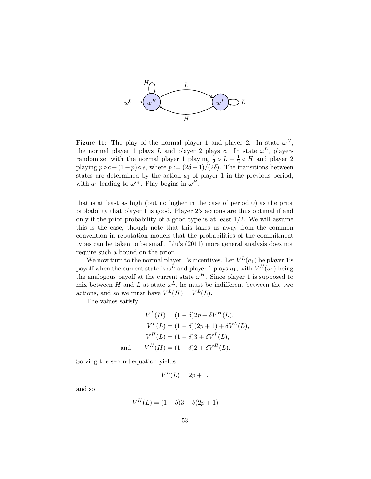

<span id="page-55-0"></span>Figure 11: The play of the normal player 1 and player 2. In state  $\omega^H$ , the normal player 1 plays L and player 2 plays c. In state  $\omega^L$ , players randomize, with the normal player 1 playing  $\frac{1}{2} \circ L + \frac{1}{2}$  $\frac{1}{2} \circ H$  and player 2 playing  $p \circ c + (1 - p) \circ s$ , where  $p := (2\delta - 1)/(2\delta)$ . The transitions between states are determined by the action  $a_1$  of player 1 in the previous period, with  $a_1$  leading to  $\omega^{a_1}$ . Play begins in  $\omega^H$ .

that is at least as high (but no higher in the case of period 0) as the prior probability that player 1 is good. Player 2's actions are thus optimal if and only if the prior probability of a good type is at least  $1/2$ . We will assume this is the case, though note that this takes us away from the common convention in reputation models that the probabilities of the commitment types can be taken to be small. [Liu'](#page-86-1)s [\(2011\)](#page-86-1) more general analysis does not require such a bound on the prior.

We now turn to the normal player 1's incentives. Let  $V^L(a_1)$  be player 1's payoff when the current state is  $\omega^L$  and player 1 plays  $a_1$ , with  $V^H(a_1)$  being the analogous payoff at the current state  $\omega^H$ . Since player 1 is supposed to mix between H and L at state  $\omega^L$ , he must be indifferent between the two actions, and so we must have  $V^L(H) = V^L(L)$ .

The values satisfy

$$
V^{L}(H) = (1 - \delta)2p + \delta V^{H}(L),
$$
  
\n
$$
V^{L}(L) = (1 - \delta)(2p + 1) + \delta V^{L}(L),
$$
  
\n
$$
V^{H}(L) = (1 - \delta)3 + \delta V^{L}(L),
$$
  
\nand 
$$
V^{H}(H) = (1 - \delta)2 + \delta V^{H}(L).
$$

Solving the second equation yields

$$
V^L(L) = 2p + 1,
$$

and so

$$
V^{H}(L) = (1 - \delta)3 + \delta(2p + 1)
$$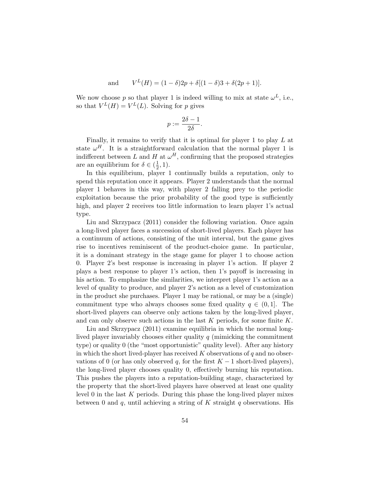and 
$$
V^{L}(H) = (1 - \delta)2p + \delta[(1 - \delta)3 + \delta(2p + 1)].
$$

We now choose p so that player 1 is indeed willing to mix at state  $\omega^L$ , i.e., so that  $V^L(H) = V^L(L)$ . Solving for p gives

$$
p:=\frac{2\delta-1}{2\delta}.
$$

Finally, it remains to verify that it is optimal for player 1 to play  $L$  at state  $\omega^H$ . It is a straightforward calculation that the normal player 1 is indifferent between L and H at  $\omega^H$ , confirming that the proposed strategies are an equilibrium for  $\delta \in (\frac{1}{2})$  $(\frac{1}{2}, 1).$ 

In this equilibrium, player 1 continually builds a reputation, only to spend this reputation once it appears. Player 2 understands that the normal player 1 behaves in this way, with player 2 falling prey to the periodic exploitation because the prior probability of the good type is sufficiently high, and player 2 receives too little information to learn player 1's actual type.

[Liu and Skrzypacz \(2011\)](#page-86-2) consider the following variation. Once again a long-lived player faces a succession of short-lived players. Each player has a continuum of actions, consisting of the unit interval, but the game gives rise to incentives reminiscent of the product-choice game. In particular, it is a dominant strategy in the stage game for player 1 to choose action 0. Player 2's best response is increasing in player 1's action. If player 2 plays a best response to player 1's action, then 1's payoff is increasing in his action. To emphasize the similarities, we interpret player 1's action as a level of quality to produce, and player 2's action as a level of customization in the product she purchases. Player 1 may be rational, or may be a (single) commitment type who always chooses some fixed quality  $q \in (0,1]$ . The short-lived players can observe only actions taken by the long-lived player, and can only observe such actions in the last  $K$  periods, for some finite  $K$ .

[Liu and Skrzypacz \(2011\)](#page-86-2) examine equilibria in which the normal longlived player invariably chooses either quality  $q$  (mimicking the commitment type) or quality 0 (the "most opportunistic" quality level). After any history in which the short lived-player has received  $K$  observations of q and no observations of 0 (or has only observed q, for the first  $K-1$  short-lived players), the long-lived player chooses quality 0, effectively burning his reputation. This pushes the players into a reputation-building stage, characterized by the property that the short-lived players have observed at least one quality level 0 in the last  $K$  periods. During this phase the long-lived player mixes between 0 and  $q$ , until achieving a string of K straight  $q$  observations. His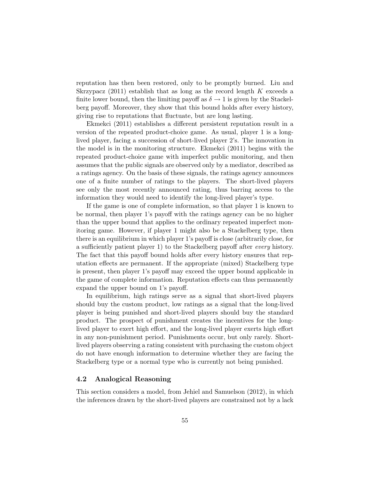reputation has then been restored, only to be promptly burned. [Liu and](#page-86-2) Skrzypacz  $(2011)$  establish that as long as the record length K exceeds a finite lower bound, then the limiting payoff as  $\delta \to 1$  is given by the Stackelberg payoff. Moreover, they show that this bound holds after every history, giving rise to reputations that fluctuate, but are long lasting.

[Ekmekci \(2011\)](#page-85-3) establishes a different persistent reputation result in a version of the repeated product-choice game. As usual, player 1 is a longlived player, facing a succession of short-lived player 2's. The innovation in the model is in the monitoring structure. [Ekmekci \(2011\)](#page-85-3) begins with the repeated product-choice game with imperfect public monitoring, and then assumes that the public signals are observed only by a mediator, described as a ratings agency. On the basis of these signals, the ratings agency announces one of a finite number of ratings to the players. The short-lived players see only the most recently announced rating, thus barring access to the information they would need to identify the long-lived player's type.

If the game is one of complete information, so that player 1 is known to be normal, then player 1's payoff with the ratings agency can be no higher than the upper bound that applies to the ordinary repeated imperfect monitoring game. However, if player 1 might also be a Stackelberg type, then there is an equilibrium in which player 1's payoff is close (arbitrarily close, for a sufficiently patient player 1) to the Stackelberg payoff after every history. The fact that this payoff bound holds after every history ensures that reputation effects are permanent. If the appropriate (mixed) Stackelberg type is present, then player 1's payoff may exceed the upper bound applicable in the game of complete information. Reputation effects can thus permanently expand the upper bound on 1's payoff.

In equilibrium, high ratings serve as a signal that short-lived players should buy the custom product, low ratings as a signal that the long-lived player is being punished and short-lived players should buy the standard product. The prospect of punishment creates the incentives for the longlived player to exert high effort, and the long-lived player exerts high effort in any non-punishment period. Punishments occur, but only rarely. Shortlived players observing a rating consistent with purchasing the custom object do not have enough information to determine whether they are facing the Stackelberg type or a normal type who is currently not being punished.

# <span id="page-57-0"></span>4.2 Analogical Reasoning

This section considers a model, from [Jehiel and Samuelson \(2012\)](#page-86-3), in which the inferences drawn by the short-lived players are constrained not by a lack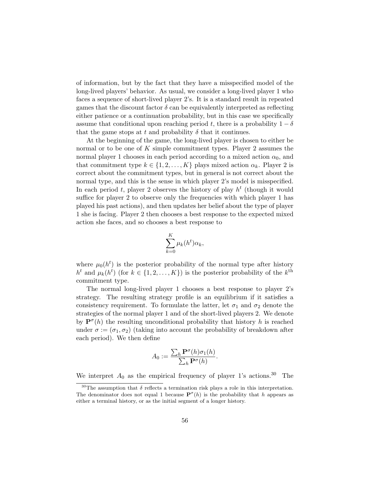of information, but by the fact that they have a misspecified model of the long-lived players' behavior. As usual, we consider a long-lived player 1 who faces a sequence of short-lived player 2's. It is a standard result in repeated games that the discount factor  $\delta$  can be equivalently interpreted as reflecting either patience or a continuation probability, but in this case we specifically assume that conditional upon reaching period t, there is a probability  $1 - \delta$ that the game stops at t and probability  $\delta$  that it continues.

At the beginning of the game, the long-lived player is chosen to either be normal or to be one of  $K$  simple commitment types. Player 2 assumes the normal player 1 chooses in each period according to a mixed action  $\alpha_0$ , and that commitment type  $k \in \{1, 2, ..., K\}$  plays mixed action  $\alpha_k$ . Player 2 is correct about the commitment types, but in general is not correct about the normal type, and this is the sense in which player 2's model is misspecified. In each period t, player 2 observes the history of play  $h<sup>t</sup>$  (though it would suffice for player 2 to observe only the frequencies with which player 1 has played his past actions), and then updates her belief about the type of player 1 she is facing. Player 2 then chooses a best response to the expected mixed action she faces, and so chooses a best response to

$$
\sum_{k=0}^{K} \mu_k(h^t) \alpha_k,
$$

where  $\mu_0(h^t)$  is the posterior probability of the normal type after history  $h^t$  and  $\mu_k(h^t)$  (for  $k \in \{1, 2, ..., K\}$ ) is the posterior probability of the  $k^{\text{th}}$ commitment type.

The normal long-lived player 1 chooses a best response to player 2's strategy. The resulting strategy profile is an equilibrium if it satisfies a consistency requirement. To formulate the latter, let  $\sigma_1$  and  $\sigma_2$  denote the strategies of the normal player 1 and of the short-lived players 2. We denote by  $\mathbf{P}^{\sigma}(h)$  the resulting unconditional probability that history h is reached under  $\sigma := (\sigma_1, \sigma_2)$  (taking into account the probability of breakdown after each period). We then define

$$
A_0 := \frac{\sum_h \mathbf{P}^\sigma(h)\sigma_1(h)}{\sum_h \mathbf{P}^\sigma(h)}.
$$

We interpret  $A_0$  as the empirical frequency of player 1's actions.<sup>[30](#page-58-0)</sup> The

<span id="page-58-0"></span><sup>&</sup>lt;sup>30</sup>The assumption that  $\delta$  reflects a termination risk plays a role in this interpretation. The denominator does not equal 1 because  $\mathbf{P}^{\sigma}(h)$  is the probability that h appears as either a terminal history, or as the initial segment of a longer history.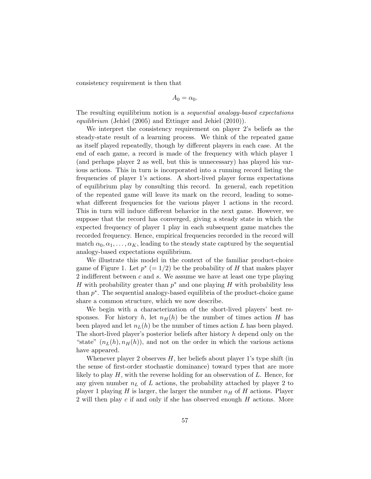consistency requirement is then that

$$
A_0=\alpha_0.
$$

The resulting equilibrium notion is a *sequential analogy-based expectations* equilibrium [\(Jehiel \(2005\)](#page-86-4) and [Ettinger and Jehiel \(2010\)](#page-85-4)).

We interpret the consistency requirement on player 2's beliefs as the steady-state result of a learning process. We think of the repeated game as itself played repeatedly, though by different players in each case. At the end of each game, a record is made of the frequency with which player 1 (and perhaps player 2 as well, but this is unnecessary) has played his various actions. This in turn is incorporated into a running record listing the frequencies of player 1's actions. A short-lived player forms expectations of equilibrium play by consulting this record. In general, each repetition of the repeated game will leave its mark on the record, leading to somewhat different frequencies for the various player 1 actions in the record. This in turn will induce different behavior in the next game. However, we suppose that the record has converged, giving a steady state in which the expected frequency of player 1 play in each subsequent game matches the recorded frequency. Hence, empirical frequencies recorded in the record will match  $\alpha_0, \alpha_1, \ldots, \alpha_K$ , leading to the steady state captured by the sequential analogy-based expectations equilibrium.

We illustrate this model in the context of the familiar product-choice game of Figure [1.](#page-5-1) Let  $p^* (= 1/2)$  be the probability of H that makes player 2 indifferent between c and s. We assume we have at least one type playing H with probability greater than  $p^*$  and one playing H with probability less  $\frac{1}{2}$  than  $p^*$ . The sequential analogy-based equilibria of the product-choice game share a common structure, which we now describe.

We begin with a characterization of the short-lived players' best responses. For history h, let  $n_H(h)$  be the number of times action H has been played and let  $n_L(h)$  be the number of times action L has been played. The short-lived player's posterior beliefs after history h depend only on the "state"  $(n_L(h), n_H(h))$ , and not on the order in which the various actions have appeared.

Whenever player 2 observes  $H$ , her beliefs about player 1's type shift (in the sense of first-order stochastic dominance) toward types that are more likely to play  $H$ , with the reverse holding for an observation of  $L$ . Hence, for any given number  $n<sub>L</sub>$  of L actions, the probability attached by player 2 to player 1 playing H is larger, the larger the number  $n_H$  of H actions. Player 2 will then play c if and only if she has observed enough  $H$  actions. More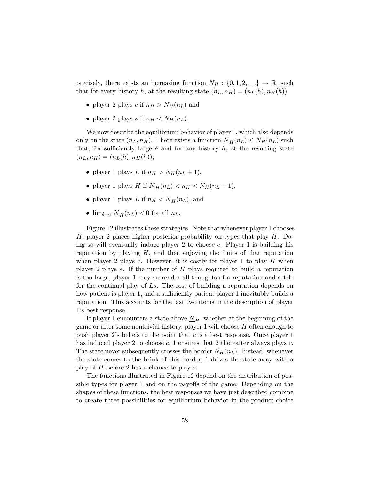precisely, there exists an increasing function  $N_H : \{0, 1, 2, ...\} \to \mathbb{R}$ , such that for every history h, at the resulting state  $(n_L, n_H) = (n_L(h), n_H(h)),$ 

- player 2 plays c if  $n_H > N_H(n_L)$  and
- player 2 plays s if  $n_H < N_H(n_L)$ .

We now describe the equilibrium behavior of player 1, which also depends only on the state  $(n_L, n_H)$ . There exists a function  $N_H(n_L) \leq N_H(n_L)$  such that, for sufficiently large  $\delta$  and for any history h, at the resulting state  $(n_L, n_H) = (n_L(h), n_H(h)).$ 

- player 1 plays L if  $n_H > N_H(n_L + 1)$ ,
- player 1 plays H if  $N_H(n_L) < n_H < N_H(n_L + 1)$ ,
- player 1 plays L if  $n_H < \underline{N}_H(n_L)$ , and
- $\lim_{\delta \to 1} N_H(n_L) < 0$  for all  $n_L$ .

Figure [12](#page-61-0) illustrates these strategies. Note that whenever player 1 chooses  $H$ , player 2 places higher posterior probability on types that play  $H$ . Doing so will eventually induce player 2 to choose c. Player 1 is building his reputation by playing  $H$ , and then enjoying the fruits of that reputation when player 2 plays c. However, it is costly for player 1 to play  $H$  when player 2 plays s. If the number of H plays required to build a reputation is too large, player 1 may surrender all thoughts of a reputation and settle for the continual play of Ls. The cost of building a reputation depends on how patient is player 1, and a sufficiently patient player 1 inevitably builds a reputation. This accounts for the last two items in the description of player 1's best response.

If player 1 encounters a state above  $N_H$ , whether at the beginning of the game or after some nontrivial history, player  $1$  will choose  $H$  often enough to push player 2's beliefs to the point that  $c$  is a best response. Once player 1 has induced player 2 to choose c, 1 ensures that 2 thereafter always plays c. The state never subsequently crosses the border  $N_H(n_L)$ . Instead, whenever the state comes to the brink of this border, 1 drives the state away with a play of H before 2 has a chance to play s.

The functions illustrated in Figure [12](#page-61-0) depend on the distribution of possible types for player 1 and on the payoffs of the game. Depending on the shapes of these functions, the best responses we have just described combine to create three possibilities for equilibrium behavior in the product-choice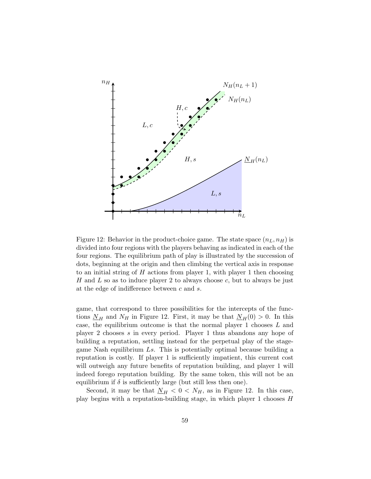

<span id="page-61-0"></span>Figure 12: Behavior in the product-choice game. The state space  $(n_L, n_H)$  is divided into four regions with the players behaving as indicated in each of the four regions. The equilibrium path of play is illustrated by the succession of dots, beginning at the origin and then climbing the vertical axis in response to an initial string of  $H$  actions from player 1, with player 1 then choosing H and L so as to induce player 2 to always choose c, but to always be just at the edge of indifference between  $c$  and  $s$ .

game, that correspond to three possibilities for the intercepts of the functions  $\underline{N}_H$  and  $N_H$  in Figure [12.](#page-61-0) First, it may be that  $\underline{N}_H(0) > 0$ . In this case, the equilibrium outcome is that the normal player 1 chooses L and player 2 chooses s in every period. Player 1 thus abandons any hope of building a reputation, settling instead for the perpetual play of the stagegame Nash equilibrium  $\overline{L}$ s. This is potentially optimal because building a reputation is costly. If player 1 is sufficiently impatient, this current cost will outweigh any future benefits of reputation building, and player 1 will indeed forego reputation building. By the same token, this will not be an equilibrium if  $\delta$  is sufficiently large (but still less then one).

Second, it may be that  $N_H < 0 < N_H$ , as in Figure [12.](#page-61-0) In this case, play begins with a reputation-building stage, in which player 1 chooses H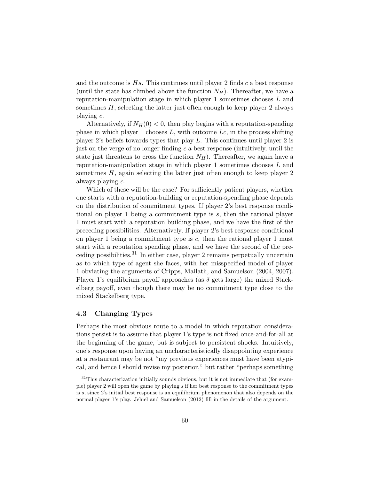and the outcome is  $Hs$ . This continues until player 2 finds c a best response (until the state has climbed above the function  $N_H$ ). Thereafter, we have a reputation-manipulation stage in which player 1 sometimes chooses L and sometimes  $H$ , selecting the latter just often enough to keep player 2 always playing c.

Alternatively, if  $N_H(0) < 0$ , then play begins with a reputation-spending phase in which player 1 chooses  $L$ , with outcome  $Lc$ , in the process shifting player 2's beliefs towards types that play L. This continues until player 2 is just on the verge of no longer finding  $c$  a best response (intuitively, until the state just threatens to cross the function  $N_H$ ). Thereafter, we again have a reputation-manipulation stage in which player 1 sometimes chooses L and sometimes  $H$ , again selecting the latter just often enough to keep player 2 always playing c.

Which of these will be the case? For sufficiently patient players, whether one starts with a reputation-building or reputation-spending phase depends on the distribution of commitment types. If player 2's best response conditional on player 1 being a commitment type is s, then the rational player 1 must start with a reputation building phase, and we have the first of the preceding possibilities. Alternatively, If player 2's best response conditional on player 1 being a commitment type is  $c$ , then the rational player 1 must start with a reputation spending phase, and we have the second of the preceding possibilities.[31](#page-62-1) In either case, player 2 remains perpetually uncertain as to which type of agent she faces, with her misspecified model of player 1 obviating the arguments of [Cripps, Mailath, and Samuelson \(2004,](#page-84-1) [2007\)](#page-84-2). Player 1's equilibrium payoff approaches (as  $\delta$  gets large) the mixed Stackelberg payoff, even though there may be no commitment type close to the mixed Stackelberg type.

# <span id="page-62-0"></span>4.3 Changing Types

Perhaps the most obvious route to a model in which reputation considerations persist is to assume that player 1's type is not fixed once-and-for-all at the beginning of the game, but is subject to persistent shocks. Intuitively, one's response upon having an uncharacteristically disappointing experience at a restaurant may be not "my previous experiences must have been atypical, and hence I should revise my posterior," but rather "perhaps something

<span id="page-62-1"></span> $31$ This characterization initially sounds obvious, but it is not immediate that (for example) player 2 will open the game by playing s if her best response to the commitment types is s, since 2's initial best response is an equilibrium phenomenon that also depends on the normal player 1's play. [Jehiel and Samuelson](#page-86-3) [\(2012\)](#page-86-3) fill in the details of the argument.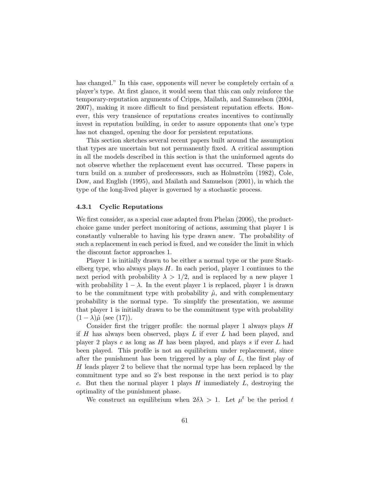has changed." In this case, opponents will never be completely certain of a player's type. At first glance, it would seem that this can only reinforce the temporary-reputation arguments of [Cripps, Mailath, and Samuelson \(2004,](#page-84-1) [2007\)](#page-84-2), making it more difficult to find persistent reputation effects. However, this very transience of reputations creates incentives to continually invest in reputation building, in order to assure opponents that one's type has not changed, opening the door for persistent reputations.

This section sketches several recent papers built around the assumption that types are uncertain but not permanently fixed. A critical assumption in all the models described in this section is that the uninformed agents do not observe whether the replacement event has occurred. These papers in turn build on a number of predecessors, such as Holmström (1982), [Cole,](#page-84-4) [Dow, and English \(1995\)](#page-84-4), and [Mailath and Samuelson \(2001\)](#page-87-2), in which the type of the long-lived player is governed by a stochastic process.

#### 4.3.1 Cyclic Reputations

We first consider, as a special case adapted from Phelan  $(2006)$ , the productchoice game under perfect monitoring of actions, assuming that player 1 is constantly vulnerable to having his type drawn anew. The probability of such a replacement in each period is fixed, and we consider the limit in which the discount factor approaches 1.

Player 1 is initially drawn to be either a normal type or the pure Stackelberg type, who always plays  $H$ . In each period, player 1 continues to the next period with probability  $\lambda > 1/2$ , and is replaced by a new player 1 with probability  $1 - \lambda$ . In the event player 1 is replaced, player 1 is drawn to be the commitment type with probability  $\hat{\mu}$ , and with complementary probability is the normal type. To simplify the presentation, we assume that player 1 is initially drawn to be the commitment type with probability  $(1 - \lambda)\hat{\mu}$  (see [\(17\)](#page-64-0)).

Consider first the trigger profile: the normal player 1 always plays  $H$ if  $H$  has always been observed, plays  $L$  if ever  $L$  had been played, and player 2 plays c as long as  $H$  has been played, and plays  $s$  if ever  $L$  had been played. This profile is not an equilibrium under replacement, since after the punishment has been triggered by a play of  $L$ , the first play of H leads player 2 to believe that the normal type has been replaced by the commitment type and so 2's best response in the next period is to play c. But then the normal player 1 plays  $H$  immediately  $L$ , destroying the optimality of the punishment phase.

We construct an equilibrium when  $2\delta\lambda > 1$ . Let  $\mu^t$  be the period t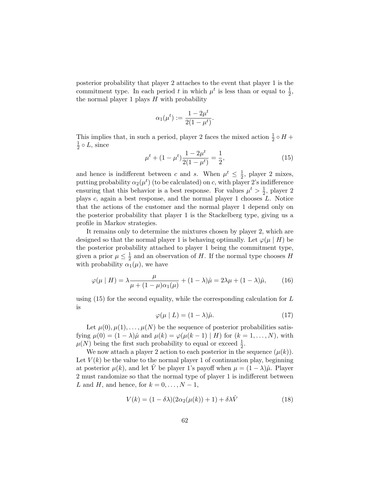posterior probability that player 2 attaches to the event that player 1 is the commitment type. In each period t in which  $\mu^t$  is less than or equal to  $\frac{1}{2}$ , the normal player 1 plays  $H$  with probability

$$
\alpha_1(\mu^t) := \frac{1 - 2\mu^t}{2(1 - \mu^t)}.
$$

This implies that, in such a period, player 2 faces the mixed action  $\frac{1}{2} \circ H +$ 1  $\frac{1}{2} \circ L$ , since

<span id="page-64-1"></span>
$$
\mu^{t} + (1 - \mu^{t}) \frac{1 - 2\mu^{t}}{2(1 - \mu^{t})} = \frac{1}{2},
$$
\n(15)

and hence is indifferent between c and s. When  $\mu^t \leq \frac{1}{2}$  $\frac{1}{2}$ , player 2 mixes, putting probability  $\alpha_2(\mu^t)$  (to be calculated) on c, with player 2's indifference ensuring that this behavior is a best response. For values  $\mu^t > \frac{1}{2}$  $\frac{1}{2}$ , player 2 plays c, again a best response, and the normal player 1 chooses L. Notice that the actions of the customer and the normal player 1 depend only on the posterior probability that player 1 is the Stackelberg type, giving us a profile in Markov strategies.

It remains only to determine the mixtures chosen by player 2, which are designed so that the normal player 1 is behaving optimally. Let  $\varphi(\mu \mid H)$  be the posterior probability attached to player 1 being the commitment type, given a prior  $\mu \leq \frac{1}{2}$  $\frac{1}{2}$  and an observation of H. If the normal type chooses H with probability  $\alpha_1(\mu)$ , we have

$$
\varphi(\mu \mid H) = \lambda \frac{\mu}{\mu + (1 - \mu)\alpha_1(\mu)} + (1 - \lambda)\hat{\mu} = 2\lambda\mu + (1 - \lambda)\hat{\mu},\qquad(16)
$$

using  $(15)$  for the second equality, while the corresponding calculation for  $L$ is

<span id="page-64-2"></span><span id="page-64-0"></span>
$$
\varphi(\mu \mid L) = (1 - \lambda)\hat{\mu}.\tag{17}
$$

Let  $\mu(0), \mu(1), \ldots, \mu(N)$  be the sequence of posterior probabilities satisfying  $\mu(0) = (1 - \lambda)\hat{\mu}$  and  $\mu(k) = \varphi(\mu(k-1) | H)$  for  $(k = 1, \ldots, N)$ , with  $\mu(N)$  being the first such probability to equal or exceed  $\frac{1}{2}$ .

We now attach a player 2 action to each posterior in the sequence  $(\mu(k))$ . Let  $V(k)$  be the value to the normal player 1 of continuation play, beginning at posterior  $\mu(k)$ , and let  $\hat{V}$  be player 1's payoff when  $\mu = (1 - \lambda)\hat{\mu}$ . Player 2 must randomize so that the normal type of player 1 is indifferent between L and H, and hence, for  $k = 0, \ldots, N - 1$ ,

$$
V(k) = (1 - \delta\lambda)(2\alpha_2(\mu(k)) + 1) + \delta\lambda\hat{V}
$$
\n(18)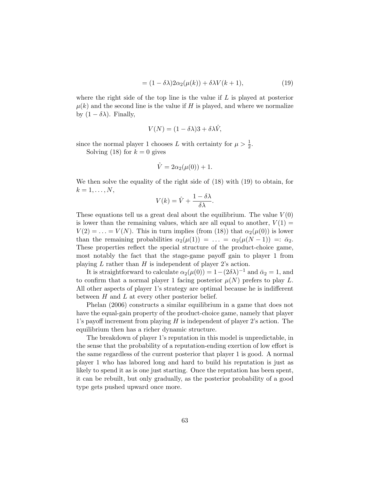<span id="page-65-0"></span>
$$
= (1 - \delta\lambda)2\alpha_2(\mu(k)) + \delta\lambda V(k+1), \tag{19}
$$

where the right side of the top line is the value if  $L$  is played at posterior  $\mu(k)$  and the second line is the value if H is played, and where we normalize by  $(1 - \delta \lambda)$ . Finally,

$$
V(N) = (1 - \delta\lambda)3 + \delta\lambda \hat{V},
$$

since the normal player 1 chooses L with certainty for  $\mu > \frac{1}{2}$ .

Solving [\(18\)](#page-64-2) for  $k = 0$  gives

$$
\hat{V} = 2\alpha_2(\mu(0)) + 1
$$

We then solve the equality of the right side of [\(18\)](#page-64-2) with [\(19\)](#page-65-0) to obtain, for  $k=1,\ldots,N,$ 

$$
V(k) = \hat{V} + \frac{1 - \delta\lambda}{\delta\lambda}.
$$

These equations tell us a great deal about the equilibrium. The value  $V(0)$ is lower than the remaining values, which are all equal to another,  $V(1) =$  $V(2) = \ldots = V(N)$ . This in turn implies (from [\(18\)](#page-64-2)) that  $\alpha_2(\mu(0))$  is lower than the remaining probabilities  $\alpha_2(\mu(1)) = \ldots = \alpha_2(\mu(N-1)) =: \bar{\alpha}_2$ . These properties reflect the special structure of the product-choice game, most notably the fact that the stage-game payoff gain to player 1 from playing  $L$  rather than  $H$  is independent of player 2's action.

It is straightforward to calculate  $\alpha_2(\mu(0)) = 1 - (2\delta\lambda)^{-1}$  and  $\bar{\alpha}_2 = 1$ , and to confirm that a normal player 1 facing posterior  $\mu(N)$  prefers to play L. All other aspects of player 1's strategy are optimal because he is indifferent between  $H$  and  $L$  at every other posterior belief.

[Phelan \(2006\)](#page-87-3) constructs a similar equilibrium in a game that does not have the equal-gain property of the product-choice game, namely that player 1's payoff increment from playing  $H$  is independent of player 2's action. The equilibrium then has a richer dynamic structure.

The breakdown of player 1's reputation in this model is unpredictable, in the sense that the probability of a reputation-ending exertion of low effort is the same regardless of the current posterior that player 1 is good. A normal player 1 who has labored long and hard to build his reputation is just as likely to spend it as is one just starting. Once the reputation has been spent, it can be rebuilt, but only gradually, as the posterior probability of a good type gets pushed upward once more.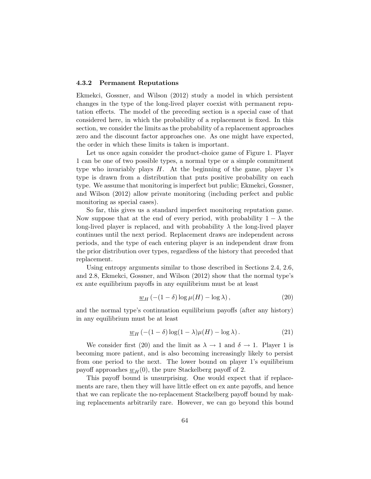# 4.3.2 Permanent Reputations

[Ekmekci, Gossner, and Wilson \(2012\)](#page-85-5) study a model in which persistent changes in the type of the long-lived player coexist with permanent reputation effects. The model of the preceding section is a special case of that considered here, in which the probability of a replacement is fixed. In this section, we consider the limits as the probability of a replacement approaches zero and the discount factor approaches one. As one might have expected, the order in which these limits is taken is important.

Let us once again consider the product-choice game of Figure [1.](#page-5-1) Player 1 can be one of two possible types, a normal type or a simple commitment type who invariably plays  $H$ . At the beginning of the game, player 1's type is drawn from a distribution that puts positive probability on each type. We assume that monitoring is imperfect but public; [Ekmekci, Gossner,](#page-85-5) [and Wilson \(2012\)](#page-85-5) allow private monitoring (including perfect and public monitoring as special cases).

So far, this gives us a standard imperfect monitoring reputation game. Now suppose that at the end of every period, with probability  $1 - \lambda$  the long-lived player is replaced, and with probability  $\lambda$  the long-lived player continues until the next period. Replacement draws are independent across periods, and the type of each entering player is an independent draw from the prior distribution over types, regardless of the history that preceded that replacement.

Using entropy arguments similar to those described in Sections [2.4,](#page-10-0) [2.6,](#page-22-1) and [2.8,](#page-34-0) [Ekmekci, Gossner, and Wilson \(2012\)](#page-85-5) show that the normal type's ex ante equilibrium payoffs in any equilibrium must be at least

<span id="page-66-0"></span>
$$
\underline{w}_H\left(-(1-\delta)\log\mu(H) - \log\lambda\right),\tag{20}
$$

and the normal type's continuation equilibrium payoffs (after any history) in any equilibrium must be at least

<span id="page-66-1"></span>
$$
\underline{w}_H\left(-(1-\delta)\log(1-\lambda)\mu(H) - \log\lambda\right). \tag{21}
$$

We consider first [\(20\)](#page-66-0) and the limit as  $\lambda \to 1$  and  $\delta \to 1$ . Player 1 is becoming more patient, and is also becoming increasingly likely to persist from one period to the next. The lower bound on player 1's equilibrium payoff approaches  $w_H(0)$ , the pure Stackelberg payoff of 2.

This payoff bound is unsurprising. One would expect that if replacements are rare, then they will have little effect on ex ante payoffs, and hence that we can replicate the no-replacement Stackelberg payoff bound by making replacements arbitrarily rare. However, we can go beyond this bound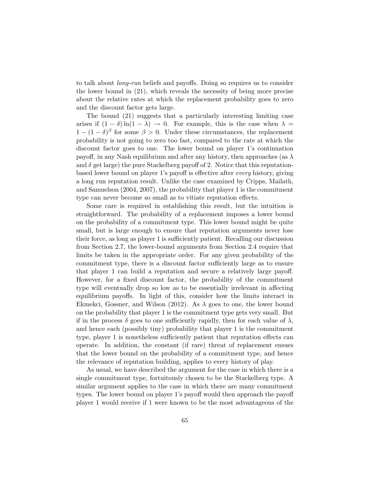to talk about long-run beliefs and payoffs. Doing so requires us to consider the lower bound in [\(21\)](#page-66-1), which reveals the necessity of being more precise about the relative rates at which the replacement probability goes to zero and the discount factor gets large.

The bound [\(21\)](#page-66-1) suggests that a particularly interesting limiting case arises if  $(1 - \delta) \ln(1 - \lambda) \rightarrow 0$ . For example, this is the case when  $\lambda =$  $1 - (1 - \delta)^{\beta}$  for some  $\beta > 0$ . Under these circumstances, the replacement probability is not going to zero too fast, compared to the rate at which the discount factor goes to one. The lower bound on player 1's continuation payoff, in any Nash equilibrium and after any history, then approaches (as  $\lambda$ ) and  $\delta$  get large) the pure Stackelberg payoff of 2. Notice that this reputationbased lower bound on player 1's payoff is effective after every history, giving a long run reputation result. Unlike the case examined by [Cripps, Mailath,](#page-84-1) [and Samuelson \(2004,](#page-84-1) [2007\)](#page-84-2), the probability that player 1 is the commitment type can never become so small as to vitiate reputation effects.

Some care is required in establishing this result, but the intuition is straightforward. The probability of a replacement imposes a lower bound on the probability of a commitment type. This lower bound might be quite small, but is large enough to ensure that reputation arguments never lose their force, as long as player 1 is sufficiently patient. Recalling our discussion from Section [2.7,](#page-31-0) the lower-bound arguments from Section [2.4](#page-10-0) require that limits be taken in the appropriate order. For any given probability of the commitment type, there is a discount factor sufficiently large as to ensure that player 1 can build a reputation and secure a relatively large payoff. However, for a fixed discount factor, the probability of the commitment type will eventually drop so low as to be essentially irrelevant in affecting equilibrium payoffs. In light of this, consider how the limits interact in [Ekmekci, Gossner, and Wilson \(2012\)](#page-85-5). As  $\lambda$  goes to one, the lower bound on the probability that player 1 is the commitment type gets very small. But if in the process  $\delta$  goes to one sufficiently rapidly, then for each value of  $\lambda$ , and hence each (possibly tiny) probability that player 1 is the commitment type, player 1 is nonetheless sufficiently patient that reputation effects can operate. In addition, the constant (if rare) threat of replacement ensues that the lower bound on the probability of a commitment type, and hence the relevance of reputation building, applies to every history of play.

As usual, we have described the argument for the case in which there is a single commitment type, fortuitously chosen to be the Stackelberg type. A similar argument applies to the case in which there are many commitment types. The lower bound on player 1's payoff would then approach the payoff player 1 would receive if 1 were known to be the most advantageous of the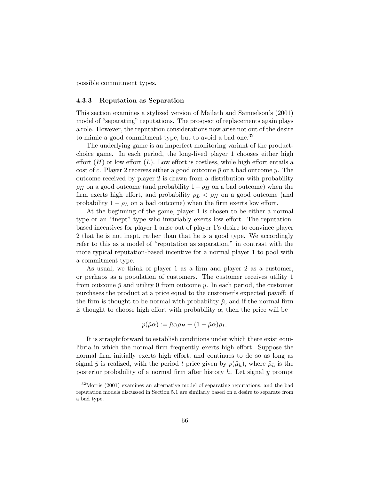possible commitment types.

#### 4.3.3 Reputation as Separation

This section examines a stylized version of [Mailath and Samuelson'](#page-87-2)s [\(2001\)](#page-87-2) model of "separating" reputations. The prospect of replacements again plays a role. However, the reputation considerations now arise not out of the desire to mimic a good commitment type, but to avoid a bad one.<sup>[32](#page-68-0)</sup>

The underlying game is an imperfect monitoring variant of the productchoice game. In each period, the long-lived player 1 chooses either high effort  $(H)$  or low effort  $(L)$ . Low effort is costless, while high effort entails a cost of c. Player 2 receives either a good outcome  $\bar{y}$  or a bad outcome y. The outcome received by player 2 is drawn from a distribution with probability  $\rho_H$  on a good outcome (and probability  $1-\rho_H$  on a bad outcome) when the firm exerts high effort, and probability  $\rho_L < \rho_H$  on a good outcome (and probability  $1 - \rho_L$  on a bad outcome) when the firm exerts low effort.

At the beginning of the game, player 1 is chosen to be either a normal type or an "inept" type who invariably exerts low effort. The reputationbased incentives for player 1 arise out of player 1's desire to convince player 2 that he is not inept, rather than that he is a good type. We accordingly refer to this as a model of "reputation as separation," in contrast with the more typical reputation-based incentive for a normal player 1 to pool with a commitment type.

As usual, we think of player 1 as a firm and player 2 as a customer, or perhaps as a population of customers. The customer receives utility 1 from outcome  $\bar{y}$  and utility 0 from outcome y. In each period, the customer purchases the product at a price equal to the customer's expected payoff: if the firm is thought to be normal with probability  $\tilde{\mu}$ , and if the normal firm is thought to choose high effort with probability  $\alpha$ , then the price will be

$$
p(\tilde{\mu}\alpha) := \tilde{\mu}\alpha\rho_H + (1 - \tilde{\mu}\alpha)\rho_L.
$$

It is straightforward to establish conditions under which there exist equilibria in which the normal firm frequently exerts high effort. Suppose the normal firm initially exerts high effort, and continues to do so as long as signal  $\bar{y}$  is realized, with the period t price given by  $p(\tilde{\mu}_h)$ , where  $\tilde{\mu}_h$  is the posterior probability of a normal firm after history h. Let signal  $\leq$ y prompt

<span id="page-68-0"></span><sup>32</sup>[Morris](#page-87-4) [\(2001\)](#page-87-4) examines an alternative model of separating reputations, and the bad reputation models discussed in Section [5.1](#page-74-0) are similarly based on a desire to separate from a bad type.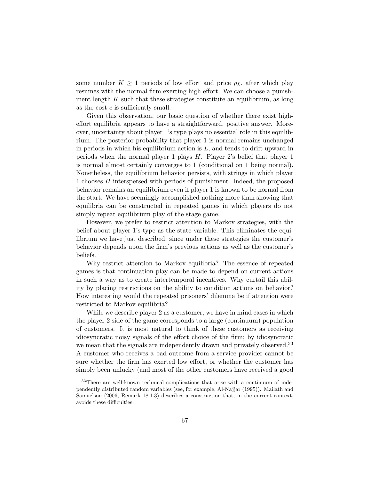some number  $K \geq 1$  periods of low effort and price  $\rho_L$ , after which play resumes with the normal firm exerting high effort. We can choose a punishment length  $K$  such that these strategies constitute an equilibrium, as long as the cost  $c$  is sufficiently small.

Given this observation, our basic question of whether there exist higheffort equilibria appears to have a straightforward, positive answer. Moreover, uncertainty about player 1's type plays no essential role in this equilibrium. The posterior probability that player 1 is normal remains unchanged in periods in which his equilibrium action is  $L$ , and tends to drift upward in periods when the normal player 1 plays  $H$ . Player 2's belief that player 1 is normal almost certainly converges to 1 (conditional on 1 being normal). Nonetheless, the equilibrium behavior persists, with strings in which player 1 chooses H interspersed with periods of punishment. Indeed, the proposed behavior remains an equilibrium even if player 1 is known to be normal from the start. We have seemingly accomplished nothing more than showing that equilibria can be constructed in repeated games in which players do not simply repeat equilibrium play of the stage game.

However, we prefer to restrict attention to Markov strategies, with the belief about player 1's type as the state variable. This eliminates the equilibrium we have just described, since under these strategies the customer's behavior depends upon the firm's previous actions as well as the customer's beliefs.

Why restrict attention to Markov equilibria? The essence of repeated games is that continuation play can be made to depend on current actions in such a way as to create intertemporal incentives. Why curtail this ability by placing restrictions on the ability to condition actions on behavior? How interesting would the repeated prisoners' dilemma be if attention were restricted to Markov equilibria?

While we describe player 2 as a customer, we have in mind cases in which the player 2 side of the game corresponds to a large (continuum) population of customers. It is most natural to think of these customers as receiving idiosyncratic noisy signals of the effort choice of the firm; by idiosyncratic we mean that the signals are independently drawn and privately observed.<sup>[33](#page-69-0)</sup> A customer who receives a bad outcome from a service provider cannot be sure whether the firm has exerted low effort, or whether the customer has simply been unlucky (and most of the other customers have received a good

<span id="page-69-0"></span><sup>&</sup>lt;sup>33</sup>There are well-known technical complications that arise with a continuum of independently distributed random variables (see, for example, [Al-Najjar](#page-83-3) [\(1995\)](#page-83-3)). [Mailath and](#page-87-5) [Samuelson](#page-87-5) [\(2006,](#page-87-5) Remark 18.1.3) describes a construction that, in the current context, avoids these difficulties.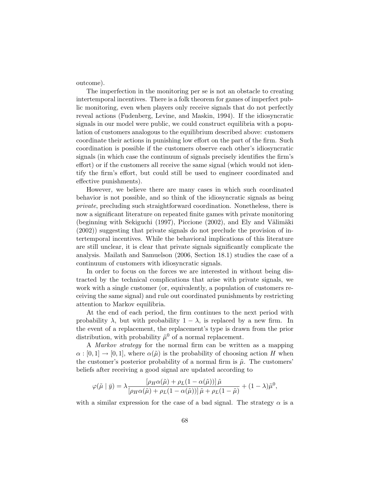outcome).

The imperfection in the monitoring per se is not an obstacle to creating intertemporal incentives. There is a folk theorem for games of imperfect public monitoring, even when players only receive signals that do not perfectly reveal actions [\(Fudenberg, Levine, and Maskin, 1994\)](#page-86-6). If the idiosyncratic signals in our model were public, we could construct equilibria with a population of customers analogous to the equilibrium described above: customers coordinate their actions in punishing low effort on the part of the firm. Such coordination is possible if the customers observe each other's idiosyncratic signals (in which case the continuum of signals precisely identifies the firm's effort) or if the customers all receive the same signal (which would not identify the firm's effort, but could still be used to engineer coordinated and effective punishments).

However, we believe there are many cases in which such coordinated behavior is not possible, and so think of the idiosyncratic signals as being private, precluding such straightforward coordination. Nonetheless, there is now a significant literature on repeated finite games with private monitoring (beginning with [Sekiguchi \(1997\)](#page-87-6), Piccione  $(2002)$ , and Ely and Välimäki [\(2002\)](#page-85-6)) suggesting that private signals do not preclude the provision of intertemporal incentives. While the behavioral implications of this literature are still unclear, it is clear that private signals significantly complicate the analysis. [Mailath and Samuelson \(2006,](#page-87-5) Section 18.1) studies the case of a continuum of customers with idiosyncratic signals.

In order to focus on the forces we are interested in without being distracted by the technical complications that arise with private signals, we work with a single customer (or, equivalently, a population of customers receiving the same signal) and rule out coordinated punishments by restricting attention to Markov equilibria.

At the end of each period, the firm continues to the next period with probability  $\lambda$ , but with probability  $1 - \lambda$ , is replaced by a new firm. In the event of a replacement, the replacement's type is drawn from the prior distribution, with probability  $\tilde{\mu}^0$  of a normal replacement.

A Markov strategy for the normal firm can be written as a mapping  $\alpha : [0,1] \to [0,1],$  where  $\alpha(\tilde{\mu})$  is the probability of choosing action H when the customer's posterior probability of a normal firm is  $\tilde{\mu}$ . The customers' beliefs after receiving a good signal are updated according to

$$
\varphi(\tilde{\mu} \mid \bar{y}) = \lambda \frac{\left[\rho_H \alpha(\tilde{\mu}) + \rho_L (1 - \alpha(\tilde{\mu}))\right] \tilde{\mu}}{\left[\rho_H \alpha(\tilde{\mu}) + \rho_L (1 - \alpha(\tilde{\mu}))\right] \tilde{\mu} + \rho_L (1 - \tilde{\mu})} + (1 - \lambda) \tilde{\mu}^0,
$$

with a similar expression for the case of a bad signal. The strategy  $\alpha$  is a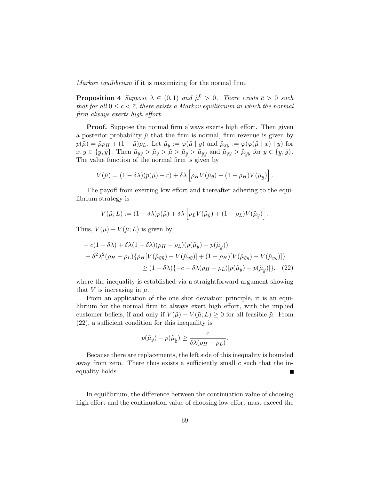Markov equilibrium if it is maximizing for the normal firm.

**Proposition 4** Suppose  $\lambda \in (0,1)$  and  $\tilde{\mu}^0 > 0$ . There exists  $\bar{c} > 0$  such that for all  $0 \leq c < \overline{c}$ , there exists a Markov equilibrium in which the normal firm always exerts high effort.

**Proof.** Suppose the normal firm always exerts high effort. Then given a posterior probability  $\tilde{\mu}$  that the firm is normal, firm revenue is given by  $p(\tilde{\mu}) = \tilde{\mu}\rho_H + (1 - \tilde{\mu})\rho_L$ . Let  $\tilde{\mu}_y := \varphi(\tilde{\mu} \mid y)$  and  $\tilde{\mu}_{xy} := \varphi(\varphi(\tilde{\mu} \mid x) \mid y)$  for  $x, y \in {\{\overline{y}, \overline{y}\}}.$  Then  $\tilde{\mu}_{\overline{y}\overline{y}} > \tilde{\mu}_{\overline{y}} > \tilde{\mu} > \tilde{\mu}_{\overline{y}} \geq \tilde{\mu}_{\overline{y}y}$  and  $\tilde{\mu}_{\overline{y}y} > \tilde{\mu}_{\overline{y}y}$  for  $y \in {\{\overline{y}\}}$ . The value function of the normal firm is given by  $\frac{1}{2}$  $y,\bar{y}\}.$ 

$$
V(\tilde{\mu}) = (1 - \delta\lambda)(p(\tilde{\mu}) - c) + \delta\lambda \left[ \rho_H V(\tilde{\mu}_{\bar{y}}) + (1 - \rho_H) V(\tilde{\mu}_{\bar{y}}) \right].
$$

The payoff from exerting low effort and thereafter adhering to the equilibrium strategy is

$$
V(\tilde{\mu};L) := (1 - \delta\lambda)p(\tilde{\mu}) + \delta\lambda\left[\rho_L V(\tilde{\mu}_{\bar{y}}) + (1 - \rho_L)V(\tilde{\mu}_{\underline{y}})\right].
$$

Thus,  $V(\tilde{\mu}) - V(\tilde{\mu};L)$  is given by

$$
- c(1 - \delta \lambda) + \delta \lambda (1 - \delta \lambda)(\rho_H - \rho_L)(p(\tilde{\mu}_{\tilde{y}}) - p(\tilde{\mu}_y))
$$
  
+ 
$$
\delta^2 \lambda^2 (\rho_H - \rho_L) {\rho_H [V(\tilde{\mu}_{\tilde{y}\tilde{y}}) - V(\tilde{\mu}_{\tilde{y}\tilde{y}})] + (1 - \rho_H) [V(\tilde{\mu}_{\tilde{y}\tilde{y}}) - V(\tilde{\mu}_{\tilde{y}\tilde{y}})] }
$$
  

$$
\geq (1 - \delta \lambda) {- c + \delta \lambda (\rho_H - \rho_L) [p(\tilde{\mu}_{\tilde{y}}) - p(\tilde{\mu}_{\tilde{y}})] }, (22)
$$

where the inequality is established via a straightforward argument showing that V is increasing in  $\mu$ .

From an application of the one shot deviation principle, it is an equilibrium for the normal firm to always exert high effort, with the implied customer beliefs, if and only if  $V(\tilde{\mu}) - V(\tilde{\mu};L) \geq 0$  for all feasible  $\tilde{\mu}$ . From [\(22\)](#page-71-0), a sufficient condition for this inequality is

<span id="page-71-0"></span>
$$
p(\tilde{\mu}_{\bar{y}}) - p(\tilde{\mu}_{\underline{y}}) \ge \frac{c}{\delta \lambda(\rho_H - \rho_L)}.
$$

Because there are replacements, the left side of this inequality is bounded away from zero. There thus exists a sufficiently small  $c$  such that the inequality holds.

In equilibrium, the difference between the continuation value of choosing high effort and the continuation value of choosing low effort must exceed the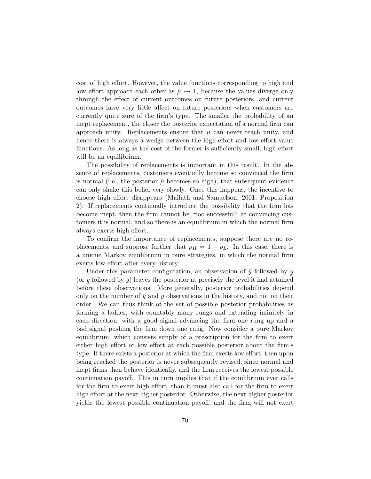<span id="page-72-0"></span>cost of high effort. However, the value functions corresponding to high and low effort approach each other as  $\tilde{\mu} \rightarrow 1$ , because the values diverge only through the effect of current outcomes on future posteriors, and current outcomes have very little affect on future posteriors when customers are currently quite sure of the firm's type. The smaller the probability of an inept replacement, the closer the posterior expectation of a normal firm can approach unity. Replacements ensure that  $\tilde{\mu}$  can never reach unity, and hence there is always a wedge between the high-effort and low-effort value functions. As long as the cost of the former is sufficiently small, high effort will be an equilibrium.

The possibility of replacements is important in this result. In the absence of replacements, customers eventually become so convinced the firm is normal (i.e., the posterior  $\tilde{\mu}$  becomes so high), that subsequent evidence can only shake this belief very slowly. Once this happens, the incentive to choose high effort disappears [\(Mailath and Samuelson, 2001,](#page-87-0) Proposition 2). If replacements continually introduce the possibility that the firm has become inept, then the firm cannot be "too successful" at convincing customers it is normal, and so there is an equilibrium in which the normal firm always exerts high effort.

To confirm the importance of replacements, suppose there are no replacements, and suppose further that  $\rho_H = 1 - \rho_L$ . In this case, there is a unique Markov equilibrium in pure strategies, in which the normal firm exerts low effort after every history:

Under this parameter configuration, an observation of  $\bar{y}$  followed by  $y$ (or y followed by  $\bar{y}$ ) leaves the posterior at precisely the level it had attained before these observations. More generally, posterior probabilities depend only on the number of  $\bar{y}$  and  $y$  observations in the history, and not on their order. We can thus think of the set of possible posterior probabilities as forming a ladder, with countably many rungs and extending infinitely in each direction, with a good signal advancing the firm one rung up and a bad signal pushing the firm down one rung. Now consider a pure Markov equilibrium, which consists simply of a prescription for the firm to exert either high effort or low effort at each possible posterior about the firm's type. If there exists a posterior at which the firm exerts low effort, then upon being reached the posterior is never subsequently revised, since normal and inept firms then behave identically, and the firm receives the lowest possible continuation payoff. This in turn implies that if the equilibrium ever calls for the firm to exert high effort, than it must also call for the firm to exert high effort at the next higher posterior. Otherwise, the next higher posterior yields the lowest possible continuation payoff, and the firm will not exert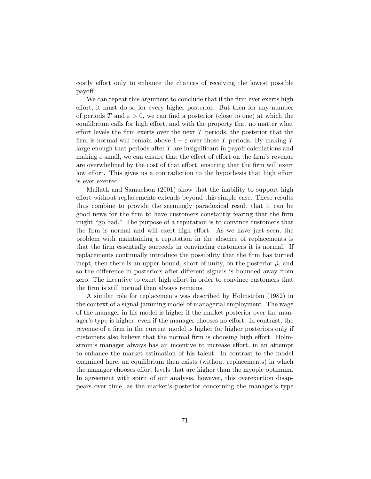<span id="page-73-0"></span>costly effort only to enhance the chances of receiving the lowest possible payoff.

We can repeat this argument to conclude that if the firm ever exerts high effort, it must do so for every higher posterior. But then for any number of periods T and  $\varepsilon > 0$ , we can find a posterior (close to one) at which the equilibrium calls for high effort, and with the property that no matter what effort levels the firm exerts over the next  $T$  periods, the posterior that the firm is normal will remain above  $1 - \varepsilon$  over those T periods. By making T large enough that periods after T are insignificant in payoff calculations and making  $\varepsilon$  small, we can ensure that the effect of effort on the firm's revenue are overwhelmed by the cost of that effort, ensuring that the firm will exert low effort. This gives us a contradiction to the hypothesis that high effort is ever exerted.

[Mailath and Samuelson \(2001\)](#page-87-0) show that the inability to support high effort without replacements extends beyond this simple case. These results thus combine to provide the seemingly paradoxical result that it can be good news for the firm to have customers constantly fearing that the firm might "go bad." The purpose of a reputation is to convince customers that the firm is normal and will exert high effort. As we have just seen, the problem with maintaining a reputation in the absence of replacements is that the firm essentially succeeds in convincing customers it is normal. If replacements continually introduce the possibility that the firm has turned inept, then there is an upper bound, short of unity, on the posterior  $\tilde{\mu}$ , and so the difference in posteriors after different signals is bounded away from zero. The incentive to exert high effort in order to convince customers that the firm is still normal then always remains.

A similar role for replacements was described by Holmström  $(1982)$  in the context of a signal-jamming model of managerial employment. The wage of the manager in his model is higher if the market posterior over the manager's type is higher, even if the manager chooses no effort. In contrast, the revenue of a firm in the current model is higher for higher posteriors only if customers also believe that the normal firm is choosing high effort. Holmström's manager always has an incentive to increase effort, in an attempt to enhance the market estimation of his talent. In contrast to the model examined here, an equilibrium then exists (without replacements) in which the manager chooses effort levels that are higher than the myopic optimum. In agreement with spirit of our analysis, however, this overexertion disappears over time, as the market's posterior concerning the manager's type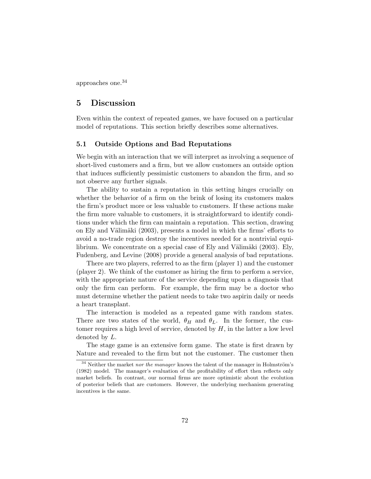<span id="page-74-2"></span>approaches one.[34](#page-74-0)

# 5 Discussion

Even within the context of repeated games, we have focused on a particular model of reputations. This section briefly describes some alternatives.

## <span id="page-74-1"></span>5.1 Outside Options and Bad Reputations

We begin with an interaction that we will interpret as involving a sequence of short-lived customers and a firm, but we allow customers an outside option that induces sufficiently pessimistic customers to abandon the firm, and so not observe any further signals.

The ability to sustain a reputation in this setting hinges crucially on whether the behavior of a firm on the brink of losing its customers makes the firm's product more or less valuable to customers. If these actions make the firm more valuable to customers, it is straightforward to identify conditions under which the firm can maintain a reputation. This section, drawing on Ely and Välimäki  $(2003)$ , presents a model in which the firms' efforts to avoid a no-trade region destroy the incentives needed for a nontrivial equilibrium. We concentrate on a special case of Ely and Välimäki  $(2003)$ . [Ely,](#page-85-1) [Fudenberg, and Levine \(2008\)](#page-85-1) provide a general analysis of bad reputations.

There are two players, referred to as the firm (player 1) and the customer (player 2). We think of the customer as hiring the firm to perform a service, with the appropriate nature of the service depending upon a diagnosis that only the firm can perform. For example, the firm may be a doctor who must determine whether the patient needs to take two aspirin daily or needs a heart transplant.

The interaction is modeled as a repeated game with random states. There are two states of the world,  $\theta_H$  and  $\theta_L$ . In the former, the customer requires a high level of service, denoted by  $H$ , in the latter a low level denoted by L.

The stage game is an extensive form game. The state is first drawn by Nature and revealed to the firm but not the customer. The customer then

<span id="page-74-0"></span> $^{34}$  Neither the market nor the manager knows the talent of the manager in Holmström's [\(1982\)](#page-86-0) model. The manager's evaluation of the profitability of effort then reflects only market beliefs. In contrast, our normal firms are more optimistic about the evolution of posterior beliefs that are customers. However, the underlying mechanism generating incentives is the same.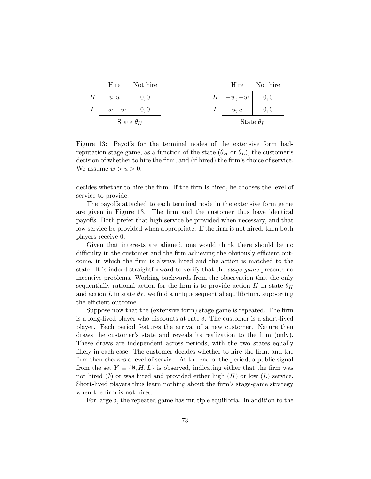|   | Hire     | Not hire         |   | Hire             | Not hire |
|---|----------|------------------|---|------------------|----------|
| H | u, u     | 0,0              | H | $-w, -w$         | 0,0      |
|   | $-w, -w$ | 0,0              |   | u, u             | 0, 0     |
|   |          | State $\theta_H$ |   | State $\theta_L$ |          |

<span id="page-75-0"></span>Figure 13: Payoffs for the terminal nodes of the extensive form badreputation stage game, as a function of the state  $(\theta_H \text{ or } \theta_L)$ , the customer's decision of whether to hire the firm, and (if hired) the firm's choice of service. We assume  $w > u > 0$ .

decides whether to hire the firm. If the firm is hired, he chooses the level of service to provide.

The payoffs attached to each terminal node in the extensive form game are given in Figure [13.](#page-75-0) The firm and the customer thus have identical payoffs. Both prefer that high service be provided when necessary, and that low service be provided when appropriate. If the firm is not hired, then both players receive 0.

Given that interests are aligned, one would think there should be no difficulty in the customer and the firm achieving the obviously efficient outcome, in which the firm is always hired and the action is matched to the state. It is indeed straightforward to verify that the stage game presents no incentive problems. Working backwards from the observation that the only sequentially rational action for the firm is to provide action H in state  $\theta_H$ and action L in state  $\theta_L$ , we find a unique sequential equilibrium, supporting the efficient outcome.

Suppose now that the (extensive form) stage game is repeated. The firm is a long-lived player who discounts at rate  $\delta$ . The customer is a short-lived player. Each period features the arrival of a new customer. Nature then draws the customer's state and reveals its realization to the firm (only). These draws are independent across periods, with the two states equally likely in each case. The customer decides whether to hire the firm, and the firm then chooses a level of service. At the end of the period, a public signal from the set  $Y \equiv \{\emptyset, H, L\}$  is observed, indicating either that the firm was not hired  $(\emptyset)$  or was hired and provided either high  $(H)$  or low  $(L)$  service. Short-lived players thus learn nothing about the firm's stage-game strategy when the firm is not hired.

For large  $\delta$ , the repeated game has multiple equilibria. In addition to the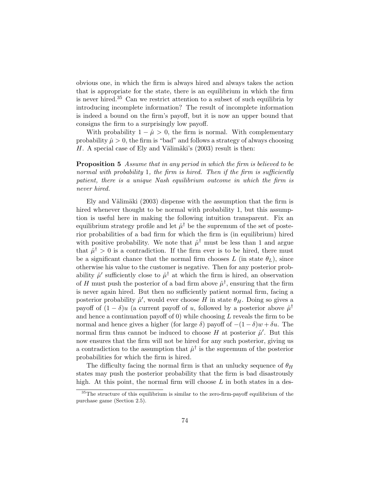<span id="page-76-1"></span>obvious one, in which the firm is always hired and always takes the action that is appropriate for the state, there is an equilibrium in which the firm is never hired.<sup>[35](#page-76-0)</sup> Can we restrict attention to a subset of such equilibria by introducing incomplete information? The result of incomplete information is indeed a bound on the firm's payoff, but it is now an upper bound that consigns the firm to a surprisingly low payoff.

With probability  $1 - \hat{\mu} > 0$ , the firm is normal. With complementary probability  $\hat{\mu} > 0$ , the firm is "bad" and follows a strategy of always choosing H. A special case of Ely and Välimäki's  $(2003)$  result is then:

Proposition 5 Assume that in any period in which the firm is believed to be normal with probability 1, the firm is hired. Then if the firm is sufficiently patient, there is a unique Nash equilibrium outcome in which the firm is never hired.

Ely and Välimäki  $(2003)$  dispense with the assumption that the firm is hired whenever thought to be normal with probability 1, but this assumption is useful here in making the following intuition transparent. Fix an equilibrium strategy profile and let  $\hat{\mu}^{\dagger}$  be the supremum of the set of posterior probabilities of a bad firm for which the firm is (in equilibrium) hired with positive probability. We note that  $\hat{\mu}^{\dagger}$  must be less than 1 and argue that  $\hat{\mu}^{\dagger} > 0$  is a contradiction. If the firm ever is to be hired, there must be a significant chance that the normal firm chooses L (in state  $\theta_L$ ), since otherwise his value to the customer is negative. Then for any posterior probability  $\hat{\mu}'$  sufficiently close to  $\hat{\mu}^{\dagger}$  at which the firm is hired, an observation of H must push the posterior of a bad firm above  $\hat{\mu}^{\dagger}$ , ensuring that the firm is never again hired. But then no sufficiently patient normal firm, facing a posterior probability  $\hat{\mu}'$ , would ever choose H in state  $\theta_H$ . Doing so gives a payoff of  $(1 - \delta)u$  (a current payoff of u, followed by a posterior above  $\hat{\mu}^{\dagger}$ and hence a continuation payoff of  $\theta$ ) while choosing L reveals the firm to be normal and hence gives a higher (for large  $\delta$ ) payoff of  $-(1 - \delta)w + \delta u$ . The normal firm thus cannot be induced to choose  $H$  at posterior  $\hat{\mu}'$ . But this now ensures that the firm will not be hired for any such posterior, giving us a contradiction to the assumption that  $\hat{\mu}^{\dagger}$  is the supremum of the posterior probabilities for which the firm is hired.

The difficulty facing the normal firm is that an unlucky sequence of  $\theta_H$ states may push the posterior probability that the firm is bad disastrously high. At this point, the normal firm will choose  $L$  in both states in a des-

<span id="page-76-0"></span><sup>&</sup>lt;sup>35</sup>The structure of this equilibrium is similar to the zero-firm-payoff equilibrium of the purchase game (Section [2.5\)](#page-20-0).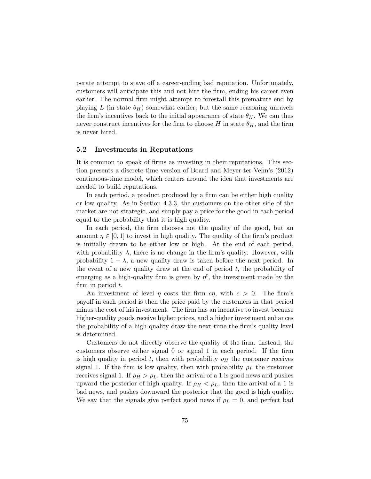<span id="page-77-0"></span>perate attempt to stave off a career-ending bad reputation. Unfortunately, customers will anticipate this and not hire the firm, ending his career even earlier. The normal firm might attempt to forestall this premature end by playing L (in state  $\theta_H$ ) somewhat earlier, but the same reasoning unravels the firm's incentives back to the initial appearance of state  $\theta_H$ . We can thus never construct incentives for the firm to choose H in state  $\theta_H$ , and the firm is never hired.

## 5.2 Investments in Reputations

It is common to speak of firms as investing in their reputations. This section presents a discrete-time version of [Board and Meyer-ter-Vehn'](#page-84-0)s [\(2012\)](#page-84-0) continuous-time model, which centers around the idea that investments are needed to build reputations.

In each period, a product produced by a firm can be either high quality or low quality. As in Section [4.3.3,](#page-68-0) the customers on the other side of the market are not strategic, and simply pay a price for the good in each period equal to the probability that it is high quality.

In each period, the firm chooses not the quality of the good, but an amount  $\eta \in [0, 1]$  to invest in high quality. The quality of the firm's product is initially drawn to be either low or high. At the end of each period, with probability  $\lambda$ , there is no change in the firm's quality. However, with probability  $1 - \lambda$ , a new quality draw is taken before the next period. In the event of a new quality draw at the end of period  $t$ , the probability of emerging as a high-quality firm is given by  $\eta^t$ , the investment made by the firm in period  $t$ .

An investment of level  $\eta$  costs the firm  $c\eta$ , with  $c > 0$ . The firm's payoff in each period is then the price paid by the customers in that period minus the cost of his investment. The firm has an incentive to invest because higher-quality goods receive higher prices, and a higher investment enhances the probability of a high-quality draw the next time the firm's quality level is determined.

Customers do not directly observe the quality of the firm. Instead, the customers observe either signal 0 or signal 1 in each period. If the firm is high quality in period t, then with probability  $\rho_H$  the customer receives signal 1. If the firm is low quality, then with probability  $\rho_L$  the customer receives signal 1. If  $\rho_H > \rho_L$ , then the arrival of a 1 is good news and pushes upward the posterior of high quality. If  $\rho_H < \rho_L$ , then the arrival of a 1 is bad news, and pushes downward the posterior that the good is high quality. We say that the signals give perfect good news if  $\rho_L = 0$ , and perfect bad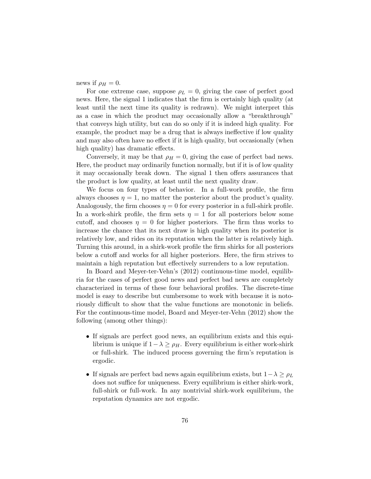<span id="page-78-0"></span>news if  $\rho_H = 0$ .

For one extreme case, suppose  $\rho_L = 0$ , giving the case of perfect good news. Here, the signal 1 indicates that the firm is certainly high quality (at least until the next time its quality is redrawn). We might interpret this as a case in which the product may occasionally allow a "breakthrough" that conveys high utility, but can do so only if it is indeed high quality. For example, the product may be a drug that is always ineffective if low quality and may also often have no effect if it is high quality, but occasionally (when high quality) has dramatic effects.

Conversely, it may be that  $\rho_H = 0$ , giving the case of perfect bad news. Here, the product may ordinarily function normally, but if it is of low quality it may occasionally break down. The signal 1 then offers assurances that the product is low quality, at least until the next quality draw.

We focus on four types of behavior. In a full-work profile, the firm always chooses  $\eta = 1$ , no matter the posterior about the product's quality. Analogously, the firm chooses  $\eta = 0$  for every posterior in a full-shirk profile. In a work-shirk profile, the firm sets  $\eta = 1$  for all posteriors below some cutoff, and chooses  $\eta = 0$  for higher posteriors. The firm thus works to increase the chance that its next draw is high quality when its posterior is relatively low, and rides on its reputation when the latter is relatively high. Turning this around, in a shirk-work profile the firm shirks for all posteriors below a cutoff and works for all higher posteriors. Here, the firm strives to maintain a high reputation but effectively surrenders to a low reputation.

In [Board and Meyer-ter-Vehn'](#page-84-0)s [\(2012\)](#page-84-0) continuous-time model, equilibria for the cases of perfect good news and perfect bad news are completely characterized in terms of these four behavioral profiles. The discrete-time model is easy to describe but cumbersome to work with because it is notoriously difficult to show that the value functions are monotonic in beliefs. For the continuous-time model, [Board and Meyer-ter-Vehn \(2012\)](#page-84-0) show the following (among other things):

- If signals are perfect good news, an equilibrium exists and this equilibrium is unique if  $1-\lambda \geq \rho_H$ . Every equilibrium is either work-shirk or full-shirk. The induced process governing the firm's reputation is ergodic.
- If signals are perfect bad news again equilibrium exists, but  $1-\lambda \geq \rho_L$ does not suffice for uniqueness. Every equilibrium is either shirk-work, full-shirk or full-work. In any nontrivial shirk-work equilibrium, the reputation dynamics are not ergodic.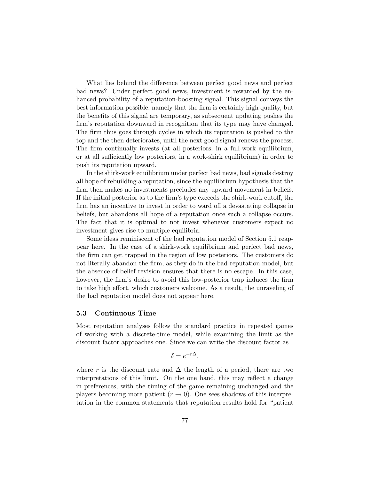What lies behind the difference between perfect good news and perfect bad news? Under perfect good news, investment is rewarded by the enhanced probability of a reputation-boosting signal. This signal conveys the best information possible, namely that the firm is certainly high quality, but the benefits of this signal are temporary, as subsequent updating pushes the firm's reputation downward in recognition that its type may have changed. The firm thus goes through cycles in which its reputation is pushed to the top and the then deteriorates, until the next good signal renews the process. The firm continually invests (at all posteriors, in a full-work equilibrium, or at all sufficiently low posteriors, in a work-shirk equilibrium) in order to push its reputation upward.

In the shirk-work equilibrium under perfect bad news, bad signals destroy all hope of rebuilding a reputation, since the equilibrium hypothesis that the firm then makes no investments precludes any upward movement in beliefs. If the initial posterior as to the firm's type exceeds the shirk-work cutoff, the firm has an incentive to invest in order to ward off a devastating collapse in beliefs, but abandons all hope of a reputation once such a collapse occurs. The fact that it is optimal to not invest whenever customers expect no investment gives rise to multiple equilibria.

Some ideas reminiscent of the bad reputation model of Section [5.1](#page-74-1) reappear here. In the case of a shirk-work equilibrium and perfect bad news, the firm can get trapped in the region of low posteriors. The customers do not literally abandon the firm, as they do in the bad-reputation model, but the absence of belief revision ensures that there is no escape. In this case, however, the firm's desire to avoid this low-posterior trap induces the firm to take high effort, which customers welcome. As a result, the unraveling of the bad reputation model does not appear here.

### 5.3 Continuous Time

Most reputation analyses follow the standard practice in repeated games of working with a discrete-time model, while examining the limit as the discount factor approaches one. Since we can write the discount factor as

$$
\delta = e^{-r\Delta},
$$

where r is the discount rate and  $\Delta$  the length of a period, there are two interpretations of this limit. On the one hand, this may reflect a change in preferences, with the timing of the game remaining unchanged and the players becoming more patient  $(r \to 0)$ . One sees shadows of this interpretation in the common statements that reputation results hold for "patient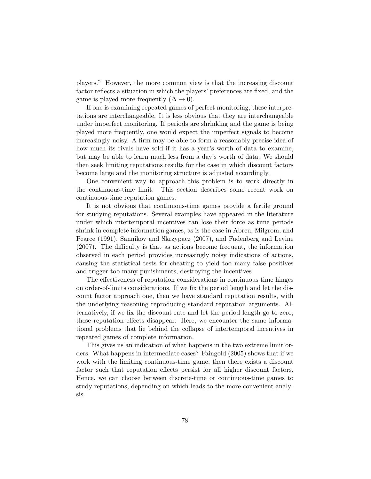<span id="page-80-0"></span>players." However, the more common view is that the increasing discount factor reflects a situation in which the players' preferences are fixed, and the game is played more frequently  $(\Delta \rightarrow 0)$ .

If one is examining repeated games of perfect monitoring, these interpretations are interchangeable. It is less obvious that they are interchangeable under imperfect monitoring. If periods are shrinking and the game is being played more frequently, one would expect the imperfect signals to become increasingly noisy. A firm may be able to form a reasonably precise idea of how much its rivals have sold if it has a year's worth of data to examine, but may be able to learn much less from a day's worth of data. We should then seek limiting reputations results for the case in which discount factors become large and the monitoring structure is adjusted accordingly.

One convenient way to approach this problem is to work directly in the continuous-time limit. This section describes some recent work on continuous-time reputation games.

It is not obvious that continuous-time games provide a fertile ground for studying reputations. Several examples have appeared in the literature under which intertemporal incentives can lose their force as time periods shrink in complete information games, as is the case in [Abreu, Milgrom, and](#page-83-0) [Pearce \(1991\)](#page-83-0), [Sannikov and Skrzypacz \(2007\)](#page-87-1), and [Fudenberg and Levine](#page-86-1) [\(2007\)](#page-86-1). The difficulty is that as actions become frequent, the information observed in each period provides increasingly noisy indications of actions, causing the statistical tests for cheating to yield too many false positives and trigger too many punishments, destroying the incentives.

The effectiveness of reputation considerations in continuous time hinges on order-of-limits considerations. If we fix the period length and let the discount factor approach one, then we have standard reputation results, with the underlying reasoning reproducing standard reputation arguments. Alternatively, if we fix the discount rate and let the period length go to zero, these reputation effects disappear. Here, we encounter the same informational problems that lie behind the collapse of intertemporal incentives in repeated games of complete information.

This gives us an indication of what happens in the two extreme limit orders. What happens in intermediate cases? [Faingold \(2005\)](#page-85-2) shows that if we work with the limiting continuous-time game, then there exists a discount factor such that reputation effects persist for all higher discount factors. Hence, we can choose between discrete-time or continuous-time games to study reputations, depending on which leads to the more convenient analysis.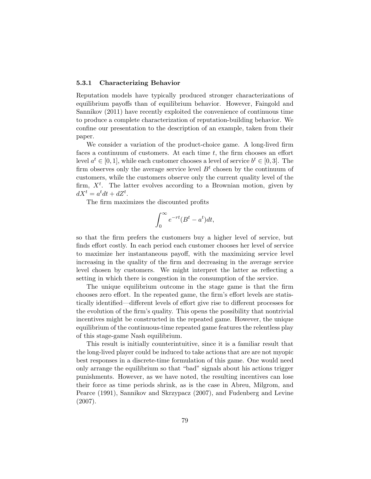### <span id="page-81-0"></span>5.3.1 Characterizing Behavior

Reputation models have typically produced stronger characterizations of equilibrium payoffs than of equilibrium behavior. However, [Faingold and](#page-85-3) [Sannikov \(2011\)](#page-85-3) have recently exploited the convenience of continuous time to produce a complete characterization of reputation-building behavior. We confine our presentation to the description of an example, taken from their paper.

We consider a variation of the product-choice game. A long-lived firm faces a continuum of customers. At each time  $t$ , the firm chooses an effort level  $a^t \in [0, 1]$ , while each customer chooses a level of service  $b^t \in [0, 3]$ . The firm observes only the average service level  $B<sup>t</sup>$  chosen by the continuum of customers, while the customers observe only the current quality level of the firm,  $X<sup>t</sup>$ . The latter evolves according to a Brownian motion, given by  $dX^t = a^t dt + dZ^t.$ 

The firm maximizes the discounted profits

$$
\int_0^\infty e^{-rt} (B^t - a^t) dt,
$$

so that the firm prefers the customers buy a higher level of service, but finds effort costly. In each period each customer chooses her level of service to maximize her instantaneous payoff, with the maximizing service level increasing in the quality of the firm and decreasing in the average service level chosen by customers. We might interpret the latter as reflecting a setting in which there is congestion in the consumption of the service.

The unique equilibrium outcome in the stage game is that the firm chooses zero effort. In the repeated game, the firm's effort levels are statistically identified—different levels of effort give rise to different processes for the evolution of the firm's quality. This opens the possibility that nontrivial incentives might be constructed in the repeated game. However, the unique equilibrium of the continuous-time repeated game features the relentless play of this stage-game Nash equilibrium.

This result is initially counterintuitive, since it is a familiar result that the long-lived player could be induced to take actions that are are not myopic best responses in a discrete-time formulation of this game. One would need only arrange the equilibrium so that "bad" signals about his actions trigger punishments. However, as we have noted, the resulting incentives can lose their force as time periods shrink, as is the case in [Abreu, Milgrom, and](#page-83-0) [Pearce \(1991\)](#page-83-0), [Sannikov and Skrzypacz \(2007\)](#page-87-1), and [Fudenberg and Levine](#page-86-1) [\(2007\)](#page-86-1).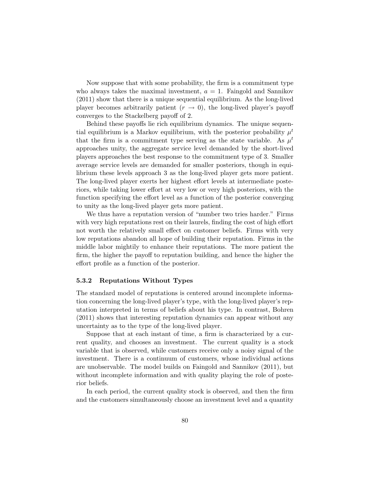<span id="page-82-0"></span>Now suppose that with some probability, the firm is a commitment type who always takes the maximal investment,  $a = 1$ . [Faingold and Sannikov](#page-85-3) [\(2011\)](#page-85-3) show that there is a unique sequential equilibrium. As the long-lived player becomes arbitrarily patient  $(r \to 0)$ , the long-lived player's payoff converges to the Stackelberg payoff of 2.

Behind these payoffs lie rich equilibrium dynamics. The unique sequential equilibrium is a Markov equilibrium, with the posterior probability  $\mu^t$ that the firm is a commitment type serving as the state variable. As  $\mu^t$ approaches unity, the aggregate service level demanded by the short-lived players approaches the best response to the commitment type of 3. Smaller average service levels are demanded for smaller posteriors, though in equilibrium these levels approach 3 as the long-lived player gets more patient. The long-lived player exerts her highest effort levels at intermediate posteriors, while taking lower effort at very low or very high posteriors, with the function specifying the effort level as a function of the posterior converging to unity as the long-lived player gets more patient.

We thus have a reputation version of "number two tries harder." Firms with very high reputations rest on their laurels, finding the cost of high effort not worth the relatively small effect on customer beliefs. Firms with very low reputations abandon all hope of building their reputation. Firms in the middle labor mightily to enhance their reputations. The more patient the firm, the higher the payoff to reputation building, and hence the higher the effort profile as a function of the posterior.

### 5.3.2 Reputations Without Types

The standard model of reputations is centered around incomplete information concerning the long-lived player's type, with the long-lived player's reputation interpreted in terms of beliefs about his type. In contrast, [Bohren](#page-84-1) [\(2011\)](#page-84-1) shows that interesting reputation dynamics can appear without any uncertainty as to the type of the long-lived player.

Suppose that at each instant of time, a firm is characterized by a current quality, and chooses an investment. The current quality is a stock variable that is observed, while customers receive only a noisy signal of the investment. There is a continuum of customers, whose individual actions are unobservable. The model builds on [Faingold and Sannikov \(2011\)](#page-85-3), but without incomplete information and with quality playing the role of posterior beliefs.

In each period, the current quality stock is observed, and then the firm and the customers simultaneously choose an investment level and a quantity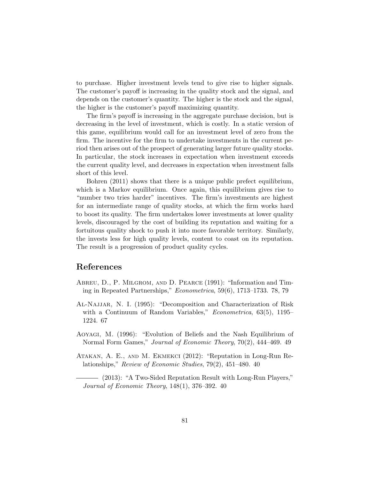<span id="page-83-1"></span>to purchase. Higher investment levels tend to give rise to higher signals. The customer's payoff is increasing in the quality stock and the signal, and depends on the customer's quantity. The higher is the stock and the signal, the higher is the customer's payoff maximizing quantity.

The firm's payoff is increasing in the aggregate purchase decision, but is decreasing in the level of investment, which is costly. In a static version of this game, equilibrium would call for an investment level of zero from the firm. The incentive for the firm to undertake investments in the current period then arises out of the prospect of generating larger future quality stocks. In particular, the stock increases in expectation when investment exceeds the current quality level, and decreases in expectation when investment falls short of this level.

[Bohren \(2011\)](#page-84-1) shows that there is a unique public prefect equilibrium, which is a Markov equilibrium. Once again, this equilibrium gives rise to "number two tries harder" incentives. The firm's investments are highest for an intermediate range of quality stocks, at which the firm works hard to boost its quality. The firm undertakes lower investments at lower quality levels, discouraged by the cost of building its reputation and waiting for a fortuitous quality shock to push it into more favorable territory. Similarly, the invests less for high quality levels, content to coast on its reputation. The result is a progression of product quality cycles.

# References

- <span id="page-83-0"></span>Abreu, D., P. Milgrom, and D. Pearce (1991): "Information and Timing in Repeated Partnerships," Econometrica, 59(6), 1713–1733. [78,](#page-80-0) [79](#page-81-0)
- Al-Najjar, N. I. (1995): "Decomposition and Characterization of Risk with a Continuum of Random Variables," *Econometrica*, 63(5), 1195– 1224. [67](#page-69-0)
- Aoyagi, M. (1996): "Evolution of Beliefs and the Nash Equilibrium of Normal Form Games," Journal of Economic Theory, 70(2), 444–469. [49](#page-51-0)
- Atakan, A. E., and M. Ekmekci (2012): "Reputation in Long-Run Relationships," Review of Economic Studies, 79(2), 451–480. [40](#page-42-0)

(2013): "A Two-Sided Reputation Result with Long-Run Players," Journal of Economic Theory, 148(1), 376–392. [40](#page-42-0)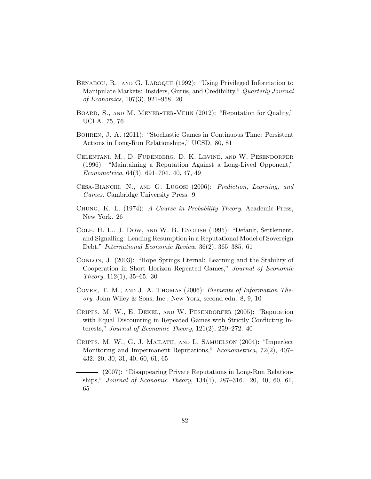- Benabou, R., and G. Laroque (1992): "Using Privileged Information to Manipulate Markets: Insiders, Gurus, and Credibility," Quarterly Journal of Economics, 107(3), 921–958. [20](#page-22-0)
- <span id="page-84-0"></span>Board, S., and M. Meyer-ter-Vehn (2012): "Reputation for Quality," UCLA. [75,](#page-77-0) [76](#page-78-0)
- <span id="page-84-1"></span>Bohren, J. A. (2011): "Stochastic Games in Continuous Time: Persistent Actions in Long-Run Relationships," UCSD. [80,](#page-82-0) [81](#page-83-1)
- Celentani, M., D. Fudenberg, D. K. Levine, and W. Pesendorfer (1996): "Maintaining a Reputation Against a Long-Lived Opponent," Econometrica, 64(3), 691–704. [40,](#page-42-0) [47,](#page-49-0) [49](#page-51-0)
- Cesa-Bianchi, N., and G. Lugosi (2006): Prediction, Learning, and Games. Cambridge University Press. [9](#page-11-0)
- Chung, K. L. (1974): A Course in Probability Theory. Academic Press, New York. [26](#page-28-0)
- Cole, H. L., J. Dow, and W. B. English (1995): "Default, Settlement, and Signalling: Lending Resumption in a Reputational Model of Sovereign Debt," International Economic Review, 36(2), 365–385. [61](#page-63-0)
- Conlon, J. (2003): "Hope Springs Eternal: Learning and the Stability of Cooperation in Short Horizon Repeated Games," Journal of Economic Theory, 112(1), 35–65. [30](#page-32-0)
- Cover, T. M., and J. A. Thomas (2006): Elements of Information Theory. John Wiley & Sons, Inc., New York, second edn. [8,](#page-10-0) [9,](#page-11-0) [10](#page-12-0)
- Cripps, M. W., E. Dekel, and W. Pesendorfer (2005): "Reputation with Equal Discounting in Repeated Games with Strictly Conflicting Interests," Journal of Economic Theory,  $121(2)$ ,  $259-272$ .  $40$
- Cripps, M. W., G. J. Mailath, and L. Samuelson (2004): "Imperfect Monitoring and Impermanent Reputations," Econometrica, 72(2), 407– 432. [20,](#page-22-0) [30,](#page-32-0) [31,](#page-33-0) [40,](#page-42-0) [60,](#page-62-0) [61,](#page-63-0) [65](#page-67-0)

(2007): "Disappearing Private Reputations in Long-Run Relationships," Journal of Economic Theory, 134(1), 287–316. [20,](#page-22-0) [40,](#page-42-0) [60,](#page-62-0) [61,](#page-63-0) [65](#page-67-0)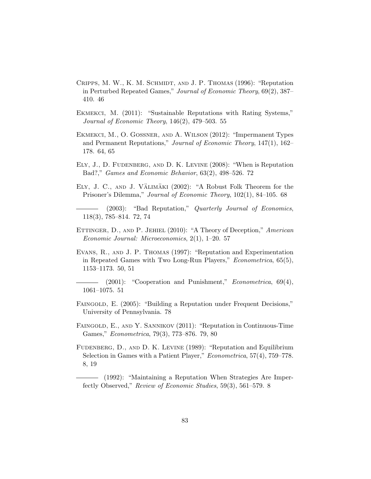- Cripps, M. W., K. M. Schmidt, and J. P. Thomas (1996): "Reputation in Perturbed Repeated Games," Journal of Economic Theory, 69(2), 387– 410. [46](#page-48-0)
- Ekmekci, M. (2011): "Sustainable Reputations with Rating Systems," Journal of Economic Theory, 146(2), 479–503. [55](#page-57-0)
- Ekmekci, M., O. Gossner, and A. Wilson (2012): "Impermanent Types and Permanent Reputations," Journal of Economic Theory, 147(1), 162– 178. [64,](#page-66-0) [65](#page-67-0)
- <span id="page-85-1"></span>Ely, J., D. Fudenberg, and D. K. Levine (2008): "When is Reputation Bad?," Games and Economic Behavior, 63(2), 498–526. [72](#page-74-2)
- <span id="page-85-0"></span>ELY, J. C., AND J. VÄLIMÄKI  $(2002)$ : "A Robust Folk Theorem for the Prisoner's Dilemma," Journal of Economic Theory, 102(1), 84–105. [68](#page-70-0)
	- (2003): "Bad Reputation," Quarterly Journal of Economics, 118(3), 785–814. [72,](#page-74-2) [74](#page-76-1)
- ETTINGER, D., AND P. JEHIEL (2010): "A Theory of Deception," American Economic Journal: Microeconomics, 2(1), 1–20. [57](#page-59-0)
- Evans, R., and J. P. Thomas (1997): "Reputation and Experimentation in Repeated Games with Two Long-Run Players," Econometrica, 65(5), 1153–1173. [50,](#page-52-0) [51](#page-53-0)
- (2001): "Cooperation and Punishment," Econometrica, 69(4), 1061–1075. [51](#page-53-0)
- <span id="page-85-2"></span>Faingold, E. (2005): "Building a Reputation under Frequent Decisions," University of Pennsylvania. [78](#page-80-0)
- <span id="page-85-3"></span>Faingold, E., and Y. Sannikov (2011): "Reputation in Continuous-Time Games," Econometrica, 79(3), 773–876. [79,](#page-81-0) [80](#page-82-0)
- Fudenberg, D., and D. K. Levine (1989): "Reputation and Equilibrium Selection in Games with a Patient Player," Econometrica, 57(4), 759–778. [8,](#page-10-0) [19](#page-21-0)
	- (1992): "Maintaining a Reputation When Strategies Are Imperfectly Observed," Review of Economic Studies, 59(3), 561–579. [8](#page-10-0)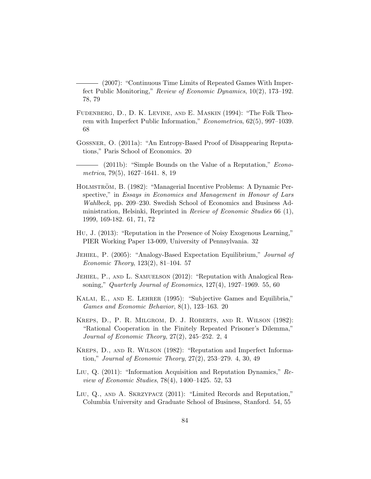<span id="page-86-1"></span>(2007): "Continuous Time Limits of Repeated Games With Imperfect Public Monitoring," Review of Economic Dynamics, 10(2), 173–192. [78,](#page-80-0) [79](#page-81-0)

- Fudenberg, D., D. K. Levine, and E. Maskin (1994): "The Folk Theorem with Imperfect Public Information," *Econometrica*, 62(5), 997–1039. [68](#page-70-0)
- Gossner, O. (2011a): "An Entropy-Based Proof of Disappearing Reputations," Paris School of Economics. [20](#page-22-0)

(2011b): "Simple Bounds on the Value of a Reputation," *Econo*metrica, 79(5), 1627–1641. [8,](#page-10-0) [19](#page-21-0)

- <span id="page-86-0"></span>HOLMSTRÖM, B. (1982): "Managerial Incentive Problems: A Dynamic Perspective," in Essays in Economics and Management in Honour of Lars Wahlbeck, pp. 209–230. Swedish School of Economics and Business Administration, Helsinki, Reprinted in Review of Economic Studies 66 (1), 1999, 169-182. [61,](#page-63-0) [71,](#page-73-0) [72](#page-74-2)
- Hu, J. (2013): "Reputation in the Presence of Noisy Exogenous Learning," PIER Working Paper 13-009, University of Pennsylvania. [32](#page-34-0)
- JEHIEL, P. (2005): "Analogy-Based Expectation Equilibrium," Journal of Economic Theory, 123(2), 81–104. [57](#page-59-0)
- JEHIEL, P., AND L. SAMUELSON (2012): "Reputation with Analogical Reasoning," Quarterly Journal of Economics, 127(4), 1927–1969. [55,](#page-57-0) [60](#page-62-0)
- Kalai, E., and E. Lehrer (1995): "Subjective Games and Equilibria," Games and Economic Behavior, 8(1), 123–163. [20](#page-22-0)
- Kreps, D., P. R. Milgrom, D. J. Roberts, and R. Wilson (1982): "Rational Cooperation in the Finitely Repeated Prisoner's Dilemma," Journal of Economic Theory, 27(2), 245–252. [2,](#page-4-0) [4](#page-6-0)
- Kreps, D., and R. Wilson (1982): "Reputation and Imperfect Information," Journal of Economic Theory, 27(2), 253–279. [4,](#page-6-0) [30,](#page-32-0) [49](#page-51-0)
- Liu, Q. (2011): "Information Acquisition and Reputation Dynamics," Review of Economic Studies, 78(4), 1400–1425. [52,](#page-54-0) [53](#page-55-0)
- Liu, Q., and A. Skrzypacz (2011): "Limited Records and Reputation," Columbia University and Graduate School of Business, Stanford. [54,](#page-56-0) [55](#page-57-0)